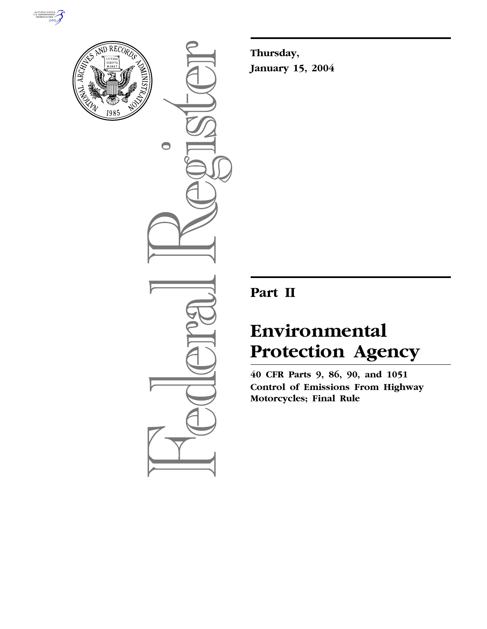



 $\bullet$ 

**Thursday, January 15, 2004**

# **Part II**

# **Environmental Protection Agency**

**40 CFR Parts 9, 86, 90, and 1051 Control of Emissions From Highway Motorcycles; Final Rule**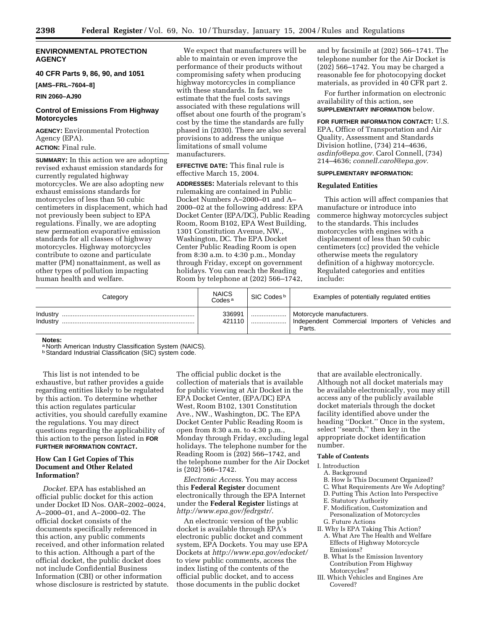# **ENVIRONMENTAL PROTECTION AGENCY**

# **40 CFR Parts 9, 86, 90, and 1051**

**[AMS–FRL–7604–8]**

**RIN 2060–AJ90**

# **Control of Emissions From Highway Motorcycles**

**AGENCY:** Environmental Protection Agency (EPA). **ACTION:** Final rule.

**SUMMARY:** In this action we are adopting revised exhaust emission standards for currently regulated highway motorcycles. We are also adopting new exhaust emissions standards for motorcycles of less than 50 cubic centimeters in displacement, which had not previously been subject to EPA regulations. Finally, we are adopting new permeation evaporative emission standards for all classes of highway motorcycles. Highway motorcycles contribute to ozone and particulate matter (PM) nonattainment, as well as other types of pollution impacting human health and welfare.

We expect that manufacturers will be able to maintain or even improve the performance of their products without compromising safety when producing highway motorcycles in compliance with these standards. In fact, we estimate that the fuel costs savings associated with these regulations will offset about one fourth of the program's cost by the time the standards are fully phased in (2030). There are also several provisions to address the unique limitations of small volume manufacturers.

**EFFECTIVE DATE:** This final rule is effective March 15, 2004.

**ADDRESSES:** Materials relevant to this rulemaking are contained in Public Docket Numbers A–2000–01 and A– 2000–02 at the following address: EPA Docket Center (EPA/DC), Public Reading Room, Room B102, EPA West Building, 1301 Constitution Avenue, NW., Washington, DC. The EPA Docket Center Public Reading Room is open from 8:30 a.m. to 4:30 p.m., Monday through Friday, except on government holidays. You can reach the Reading Room by telephone at (202) 566–1742,

and by facsimile at (202) 566–1741. The telephone number for the Air Docket is (202) 566–1742. You may be charged a reasonable fee for photocopying docket materials, as provided in 40 CFR part 2.

For further information on electronic availability of this action, see **SUPPLEMENTARY INFORMATION** below.

**FOR FURTHER INFORMATION CONTACT:** U.S. EPA, Office of Transportation and Air Quality, Assessment and Standards Division hotline, (734) 214–4636, *asdinfo@epa.gov.* Carol Connell, (734) 214–4636; *connell.carol@epa.gov.*

#### **SUPPLEMENTARY INFORMATION:**

# **Regulated Entities**

This action will affect companies that manufacture or introduce into commerce highway motorcycles subject to the standards. This includes motorcycles with engines with a displacement of less than 50 cubic centimeters (cc) provided the vehicle otherwise meets the regulatory definition of a highway motorcycle. Regulated categories and entities include:

| Category             | <b>NAICS</b><br>Codes <sup>a</sup> | SIC Codes <sup>b</sup> | Examples of potentially regulated entities                                              |
|----------------------|------------------------------------|------------------------|-----------------------------------------------------------------------------------------|
| Industry<br>Industry | 336991<br>421110                   | <br>                   | Motorcycle manufacturers.<br>Independent Commercial Importers of Vehicles and<br>Parts. |

**Notes:**

a North American Industry Classification System (NAICS).

**b Standard Industrial Classification (SIC) system code.** 

This list is not intended to be exhaustive, but rather provides a guide regarding entities likely to be regulated by this action. To determine whether this action regulates particular activities, you should carefully examine the regulations. You may direct questions regarding the applicability of this action to the person listed in **FOR FURTHER INFORMATION CONTACT.**

# **How Can I Get Copies of This Document and Other Related Information?**

*Docket.* EPA has established an official public docket for this action under Docket ID Nos. OAR–2002–0024, A–2000–01, and A–2000–02. The official docket consists of the documents specifically referenced in this action, any public comments received, and other information related to this action. Although a part of the official docket, the public docket does not include Confidential Business Information (CBI) or other information whose disclosure is restricted by statute.

The official public docket is the collection of materials that is available for public viewing at Air Docket in the EPA Docket Center, (EPA/DC) EPA West, Room B102, 1301 Constitution Ave., NW., Washington, DC. The EPA Docket Center Public Reading Room is open from 8:30 a.m. to 4:30 p.m., Monday through Friday, excluding legal holidays. The telephone number for the Reading Room is (202) 566–1742, and the telephone number for the Air Docket is (202) 566–1742.

*Electronic Access.* You may access this **Federal Register** document electronically through the EPA Internet under the **Federal Register** listings at *http://www.epa.gov/fedrgstr/*.

An electronic version of the public docket is available through EPA's electronic public docket and comment system, EPA Dockets. You may use EPA Dockets at *http://www.epa.gov/edocket/* to view public comments, access the index listing of the contents of the official public docket, and to access those documents in the public docket

that are available electronically. Although not all docket materials may be available electronically, you may still access any of the publicly available docket materials through the docket facility identified above under the heading ''Docket.'' Once in the system, select ''search,'' then key in the appropriate docket identification number.

#### **Table of Contents**

- I. Introduction
	- A. Background
	- B. How Is This Document Organized?
	- C. What Requirements Are We Adopting?
	- D. Putting This Action Into Perspective
	- E. Statutory Authority
	- F. Modification, Customization and Personalization of Motorcycles
- G. Future Actions
- II. Why Is EPA Taking This Action? A. What Are The Health and Welfare Effects of Highway Motorcycle Emissions?
- B. What Is the Emission Inventory Contribution From Highway Motorcycles?
- III. Which Vehicles and Engines Are Covered?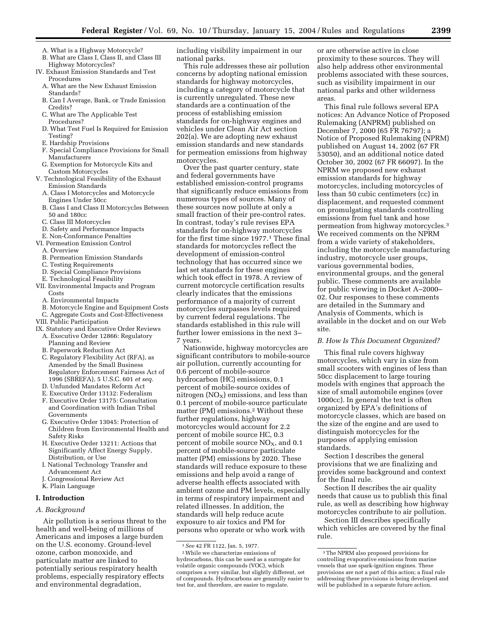- A. What is a Highway Motorcycle? B. What are Class I, Class II, and Class III
- Highway Motorcycles?
- IV. Exhaust Emission Standards and Test Procedures
	- A. What are the New Exhaust Emission Standards?
	- B. Can I Average, Bank, or Trade Emission Credits?
	- C. What are The Applicable Test Procedures?
	- D. What Test Fuel Is Required for Emission Testing?
	- E. Hardship Provisions
	- F. Special Compliance Provisions for Small Manufacturers
	- G. Exemption for Motorcycle Kits and Custom Motorcycles
- V. Technological Feasibility of the Exhaust Emission Standards
	- A. Class I Motorcycles and Motorcycle Engines Under 50cc
	- B. Class I and Class II Motorcycles Between 50 and 180cc
	- C. Class III Motorcycles
	- D. Safety and Performance Impacts
- E. Non-Conformance Penalties
- VI. Permeation Emission Control
	- A. Overview
	- B. Permeation Emission Standards
	- C. Testing Requirements
	- D. Special Compliance Provisions
- E. Technological Feasibility
- VII. Environmental Impacts and Program Costs
	- A. Environmental Impacts
	- B. Motorcycle Engine and Equipment Costs
- C. Aggregate Costs and Cost-Effectiveness
- VIII. Public Participation
- IX. Statutory and Executive Order Reviews
- A. Executive Order 12866: Regulatory Planning and Review
- B. Paperwork Reduction Act
- C. Regulatory Flexibility Act (RFA), as Amended by the Small Business Regulatory Enforcement Fairness Act of 1996 (SBREFA), 5 U.S.C. 601 *et seq.*
- D. Unfunded Mandates Reform Act
- E. Executive Order 13132: Federalism
- F. Executive Order 13175: Consultation and Coordination with Indian Tribal Governments
- G. Executive Order 13045: Protection of Children from Environmental Health and Safety Risks
- H. Executive Order 13211: Actions that Significantly Affect Energy Supply, Distribution, or Use
- I. National Technology Transfer and Advancement Act
- **Congressional Review Act**
- K. Plain Language

# **I. Introduction**

# *A. Background*

Air pollution is a serious threat to the health and well-being of millions of Americans and imposes a large burden on the U.S. economy. Ground-level ozone, carbon monoxide, and particulate matter are linked to potentially serious respiratory health problems, especially respiratory effects and environmental degradation,

including visibility impairment in our national parks.

This rule addresses these air pollution concerns by adopting national emission standards for highway motorcycles, including a category of motorcycle that is currently unregulated. These new standards are a continuation of the process of establishing emission standards for on-highway engines and vehicles under Clean Air Act section 202(a). We are adopting new exhaust emission standards and new standards for permeation emissions from highway motorcycles.

Over the past quarter century, state and federal governments have established emission-control programs that significantly reduce emissions from numerous types of sources. Many of these sources now pollute at only a small fraction of their pre-control rates. In contrast, today's rule revises EPA standards for on-highway motorcycles for the first time since 1977.<sup>1</sup> These final standards for motorcycles reflect the development of emission-control technology that has occurred since we last set standards for these engines which took effect in 1978. A review of current motorcycle certification results clearly indicates that the emissions performance of a majority of current motorcycles surpasses levels required by current federal regulations. The standards established in this rule will further lower emissions in the next 3– 7 years.

Nationwide, highway motorcycles are significant contributors to mobile-source air pollution, currently accounting for 0.6 percent of mobile-source hydrocarbon (HC) emissions, 0.1 percent of mobile-source oxides of nitrogen  $(NO<sub>X</sub>)$  emissions, and less than 0.1 percent of mobile-source particulate matter (PM) emissions.2 Without these further regulations, highway motorcycles would account for 2.2 percent of mobile source HC, 0.3 percent of mobile source  $NO<sub>x</sub>$ , and 0.1 percent of mobile-source particulate matter (PM) emissions by 2020. These standards will reduce exposure to these emissions and help avoid a range of adverse health effects associated with ambient ozone and PM levels, especially in terms of respiratory impairment and related illnesses. In addition, the standards will help reduce acute exposure to air toxics and PM for persons who operate or who work with

or are otherwise active in close proximity to these sources. They will also help address other environmental problems associated with these sources, such as visibility impairment in our national parks and other wilderness areas.

This final rule follows several EPA notices: An Advance Notice of Proposed Rulemaking (ANPRM) published on December 7, 2000 (65 FR 76797); a Notice of Proposed Rulemaking (NPRM) published on August 14, 2002 (67 FR 53050), and an additional notice dated October 30, 2002 (67 FR 66097). In the NPRM we proposed new exhaust emission standards for highway motorcycles, including motorcycles of less than 50 cubic centimeters (cc) in displacement, and requested comment on promulgating standards controlling emissions from fuel tank and hose permeation from highway motorcycles.3 We received comments on the NPRM from a wide variety of stakeholders, including the motorcycle manufacturing industry, motorcycle user groups, various governmental bodies, environmental groups, and the general public. These comments are available for public viewing in Docket A–2000– 02. Our responses to these comments are detailed in the Summary and Analysis of Comments, which is available in the docket and on our Web site.

#### *B. How Is This Document Organized?*

This final rule covers highway motorcycles, which vary in size from small scooters with engines of less than 50cc displacement to large touring models with engines that approach the size of small automobile engines (over 1000cc). In general the text is often organized by EPA's definitions of motorcycle classes, which are based on the size of the engine and are used to distinguish motorcycles for the purposes of applying emission standards.

Section I describes the general provisions that we are finalizing and provides some background and context for the final rule.

Section II describes the air quality needs that cause us to publish this final rule, as well as describing how highway motorcycles contribute to air pollution.

Section III describes specifically which vehicles are covered by the final rule.

<sup>1</sup>*See* 42 FR 1122, Jan. 5, 1977.

<sup>2</sup>While we characterize emissions of hydrocarbons, this can be used as a surrogate for volatile organic compounds (VOC), which comprises a very similar, but slightly different, set of compounds. Hydrocarbons are generally easier to test for, and therefore, are easier to regulate.

<sup>3</sup>The NPRM also proposed provisions for controlling evaporative emissions from marine vessels that use spark-ignition engines. These provisions are not a part of this action; a final rule addressing these provisions is being developed and will be published in a separate future action.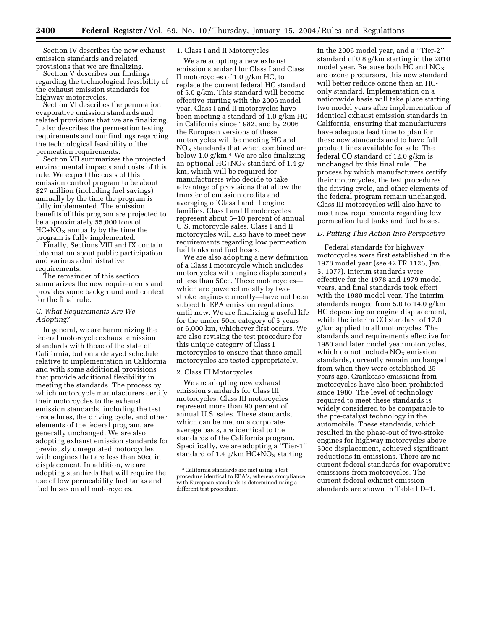Section IV describes the new exhaust emission standards and related provisions that we are finalizing.

Section V describes our findings regarding the technological feasibility of the exhaust emission standards for highway motorcycles.

Section VI describes the permeation evaporative emission standards and related provisions that we are finalizing. It also describes the permeation testing requirements and our findings regarding the technological feasibility of the permeation requirements.

Section VII summarizes the projected environmental impacts and costs of this rule. We expect the costs of this emission control program to be about \$27 million (including fuel savings) annually by the time the program is fully implemented. The emission benefits of this program are projected to be approximately 55,000 tons of  $HC+NO<sub>X</sub>$  annually by the time the program is fully implemented.

Finally, Sections VIII and IX contain information about public participation and various administrative requirements.

The remainder of this section summarizes the new requirements and provides some background and context for the final rule.

#### *C. What Requirements Are We Adopting?*

In general, we are harmonizing the federal motorcycle exhaust emission standards with those of the state of California, but on a delayed schedule relative to implementation in California and with some additional provisions that provide additional flexibility in meeting the standards. The process by which motorcycle manufacturers certify their motorcycles to the exhaust emission standards, including the test procedures, the driving cycle, and other elements of the federal program, are generally unchanged. We are also adopting exhaust emission standards for previously unregulated motorcycles with engines that are less than 50cc in displacement. In addition, we are adopting standards that will require the use of low permeability fuel tanks and fuel hoses on all motorcycles.

# 1. Class I and II Motorcycles

We are adopting a new exhaust emission standard for Class I and Class II motorcycles of 1.0 g/km HC, to replace the current federal HC standard of 5.0 g/km. This standard will become effective starting with the 2006 model year. Class I and II motorcycles have been meeting a standard of 1.0 g/km HC in California since 1982, and by 2006 the European versions of these motorcycles will be meeting HC and  $NO<sub>x</sub>$  standards that when combined are below 1.0 g/km.4 We are also finalizing an optional HC+NO<sub>X</sub> standard of 1.4 g/ km, which will be required for manufacturers who decide to take advantage of provisions that allow the transfer of emission credits and averaging of Class I and II engine families. Class I and II motorcycles represent about 5–10 percent of annual U.S. motorcycle sales. Class I and II motorcycles will also have to meet new requirements regarding low permeation fuel tanks and fuel hoses.

We are also adopting a new definition of a Class I motorcycle which includes motorcycles with engine displacements of less than 50cc. These motorcycles which are powered mostly by twostroke engines currently—have not been subject to EPA emission regulations until now. We are finalizing a useful life for the under 50cc category of 5 years or 6,000 km, whichever first occurs. We are also revising the test procedure for this unique category of Class I motorcycles to ensure that these small motorcycles are tested appropriately.

#### 2. Class III Motorcycles

We are adopting new exhaust emission standards for Class III motorcycles. Class III motorcycles represent more than 90 percent of annual U.S. sales. These standards, which can be met on a corporateaverage basis, are identical to the standards of the California program. Specifically, we are adopting a ''Tier-1'' standard of 1.4 g/km  $HC+NO<sub>X</sub>$  starting

in the 2006 model year, and a ''Tier-2'' standard of 0.8 g/km starting in the 2010 model year. Because both HC and  $NO<sub>x</sub>$ are ozone precursors, this new standard will better reduce ozone than an HConly standard. Implementation on a nationwide basis will take place starting two model years after implementation of identical exhaust emission standards in California, ensuring that manufacturers have adequate lead time to plan for these new standards and to have full product lines available for sale. The federal CO standard of 12.0 g/km is unchanged by this final rule. The process by which manufacturers certify their motorcycles, the test procedures, the driving cycle, and other elements of the federal program remain unchanged. Class III motorcycles will also have to meet new requirements regarding low permeation fuel tanks and fuel hoses.

# *D. Putting This Action Into Perspective*

Federal standards for highway motorcycles were first established in the 1978 model year (see 42 FR 1126, Jan. 5, 1977). Interim standards were effective for the 1978 and 1979 model years, and final standards took effect with the 1980 model year. The interim standards ranged from 5.0 to 14.0 g/km HC depending on engine displacement, while the interim CO standard of 17.0 g/km applied to all motorcycles. The standards and requirements effective for 1980 and later model year motorcycles, which do not include  $NO<sub>X</sub>$  emission standards, currently remain unchanged from when they were established 25 years ago. Crankcase emissions from motorcycles have also been prohibited since 1980. The level of technology required to meet these standards is widely considered to be comparable to the pre-catalyst technology in the automobile. These standards, which resulted in the phase-out of two-stroke engines for highway motorcycles above 50cc displacement, achieved significant reductions in emissions. There are no current federal standards for evaporative emissions from motorcycles. The current federal exhaust emission standards are shown in Table I.D–1.

<sup>4</sup>California standards are met using a test procedure identical to EPA's, whereas compliance with European standards is determined using a different test procedure.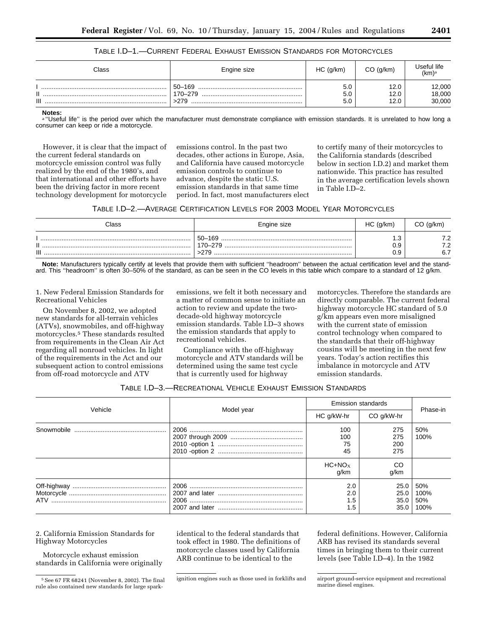| TABLE I.D—1.—CURRENT FEDERAL EXHAUST EMISSION STANDARDS FOR MOTORCYCLES |  |  |
|-------------------------------------------------------------------------|--|--|
|-------------------------------------------------------------------------|--|--|

| Class    | Engine size                   | HC (g/km)         | $CO$ (g/km)          | Useful life<br>(km) <sub>a</sub> |
|----------|-------------------------------|-------------------|----------------------|----------------------------------|
| п<br>III | $50 - 169$<br>170-279<br>>279 | 5.0<br>5.0<br>5.0 | 12.0<br>12.0<br>12.0 | 12,000<br>18,000<br>30,000       |

**Notes:**

a "Useful life" is the period over which the manufacturer must demonstrate compliance with emission standards. It is unrelated to how long a consumer can keep or ride a motorcycle.

However, it is clear that the impact of the current federal standards on motorcycle emission control was fully realized by the end of the 1980's, and that international and other efforts have been the driving factor in more recent technology development for motorcycle

emissions control. In the past two decades, other actions in Europe, Asia, and California have caused motorcycle emission controls to continue to advance, despite the static U.S. emission standards in that same time period. In fact, most manufacturers elect

to certify many of their motorcycles to the California standards (described below in section I.D.2) and market them nationwide. This practice has resulted in the average certification levels shown in Table I.D–2.

| TABLE 1.D–2.—AVERAGE CERTIFICATION LEVELS FOR 2003 MODEL YEAR MOTORCYCLES |  |  |
|---------------------------------------------------------------------------|--|--|
|---------------------------------------------------------------------------|--|--|

| Class    | Engine size                     | HC (q/km)               | $CO$ (g/km)      |
|----------|---------------------------------|-------------------------|------------------|
| п<br>III | 50-169<br>170-279<br>$\sim$ 270 | ں.<br>0.9<br>n a<br>v.ə | 7.2<br>7.2<br>ຂະ |

**Note:** Manufacturers typically certify at levels that provide them with sufficient ''headroom'' between the actual certification level and the standard. This ''headroom'' is often 30–50% of the standard, as can be seen in the CO levels in this table which compare to a standard of 12 g/km.

1. New Federal Emission Standards for Recreational Vehicles

On November 8, 2002, we adopted new standards for all-terrain vehicles (ATVs), snowmobiles, and off-highway motorcycles.5 These standards resulted from requirements in the Clean Air Act regarding all nonroad vehicles. In light of the requirements in the Act and our subsequent action to control emissions from off-road motorcycle and ATV

emissions, we felt it both necessary and a matter of common sense to initiate an action to review and update the twodecade-old highway motorcycle emission standards. Table I.D–3 shows the emission standards that apply to recreational vehicles.

Compliance with the off-highway motorcycle and ATV standards will be determined using the same test cycle that is currently used for highway

motorcycles. Therefore the standards are directly comparable. The current federal highway motorcycle HC standard of 5.0 g/km appears even more misaligned with the current state of emission control technology when compared to the standards that their off-highway cousins will be meeting in the next few years. Today's action rectifies this imbalance in motorcycle and ATV emission standards.

# TABLE I.D–3.—RECREATIONAL VEHICLE EXHAUST EMISSION STANDARDS

| Vehicle |            | <b>Emission standards</b> | Phase-in                     |                            |
|---------|------------|---------------------------|------------------------------|----------------------------|
|         | Model year | HC q/kW-hr                | CO g/kW-hr                   |                            |
|         |            | 100<br>100<br>75<br>45    | 275<br>275<br>200<br>275     | 50%<br>100%                |
|         |            | $HC+NOx$<br>g/km          | CO<br>q/km                   |                            |
|         |            | 2.0<br>2.0<br>1.5<br>.5   | 25.0<br>25.0<br>35.0<br>35.0 | 50%<br>100%<br>50%<br>100% |

2. California Emission Standards for Highway Motorcycles

Motorcycle exhaust emission standards in California were originally identical to the federal standards that took effect in 1980. The definitions of motorcycle classes used by California ARB continue to be identical to the

federal definitions. However, California ARB has revised its standards several times in bringing them to their current levels (see Table I.D–4). In the 1982

<sup>5</sup>See 67 FR 68241 (November 8, 2002). The final rule also contained new standards for large spark-

ignition engines such as those used in forklifts and airport ground-service equipment and recreational

marine diesel engines.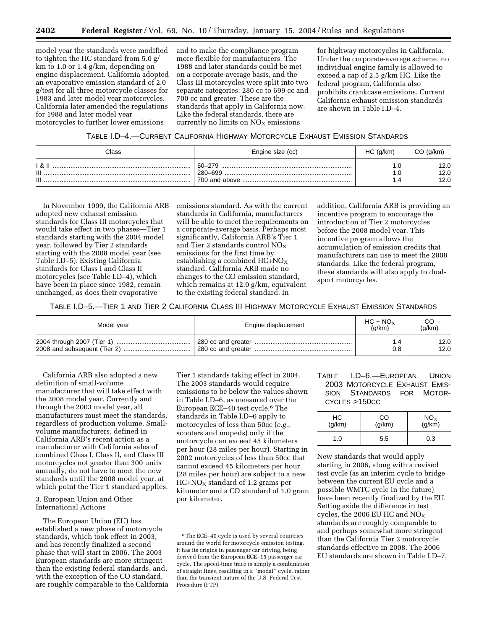model year the standards were modified to tighten the HC standard from 5.0 g/ km to 1.0 or 1.4 g/km, depending on engine displacement. California adopted an evaporative emission standard of 2.0 g/test for all three motorcycle classes for 1983 and later model year motorcycles. California later amended the regulations for 1988 and later model year motorcycles to further lower emissions

and to make the compliance program more flexible for manufacturers. The 1988 and later standards could be met on a corporate-average basis, and the Class III motorcycles were split into two separate categories: 280 cc to 699 cc and 700 cc and greater. These are the standards that apply in California now. Like the federal standards, there are currently no limits on  $NO<sub>X</sub>$  emissions

for highway motorcycles in California. Under the corporate-average scheme, no individual engine family is allowed to exceed a cap of 2.5 g/km HC. Like the federal program, California also prohibits crankcase emissions. Current California exhaust emission standards are shown in Table I.D–4.

# TABLE I.D–4.—CURRENT CALIFORNIA HIGHWAY MOTORCYCLE EXHAUST EMISSION STANDARDS

| Class             | Engine size (cc)  | HC (q/km) | $CO$ (g/km)         |
|-------------------|-------------------|-----------|---------------------|
| ା &<br>III<br>III | 50–279<br>280-699 | .u<br>.u  | 2.0<br>12.0<br>12.0 |

In November 1999, the California ARB adopted new exhaust emission standards for Class III motorcycles that would take effect in two phases—Tier 1 standards starting with the 2004 model year, followed by Tier 2 standards starting with the 2008 model year (see Table I.D–5). Existing California standards for Class I and Class II motorcycles (see Table I.D–4), which have been in place since 1982, remain unchanged, as does their evaporative

emissions standard. As with the current standards in California, manufacturers will be able to meet the requirements on a corporate-average basis. Perhaps most significantly, California ARB's Tier 1 and Tier 2 standards control  $NO<sub>X</sub>$ emissions for the first time by establishing a combined  $HC+NO<sub>X</sub>$ standard. California ARB made no changes to the CO emission standard, which remains at 12.0 g/km, equivalent to the existing federal standard. In

addition, California ARB is providing an incentive program to encourage the introduction of Tier 2 motorcycles before the 2008 model year. This incentive program allows the accumulation of emission credits that manufacturers can use to meet the 2008 standards. Like the federal program, these standards will also apply to dualsport motorcycles.

TABLE I.D–5.—TIER 1 AND TIER 2 CALIFORNIA CLASS III HIGHWAY MOTORCYCLE EXHAUST EMISSION STANDARDS

| Model year | Engine displacement | $HC + NO_X$<br>(a/km) | (q/km) |
|------------|---------------------|-----------------------|--------|
|            |                     | .4                    | 12.0   |
|            |                     | 0.8                   | 12.0   |

California ARB also adopted a new definition of small-volume manufacturer that will take effect with the 2008 model year. Currently and through the 2003 model year, all manufacturers must meet the standards, regardless of production volume. Smallvolume manufacturers, defined in California ARB's recent action as a manufacturer with California sales of combined Class I, Class II, and Class III motorcycles not greater than 300 units annually, do not have to meet the new standards until the 2008 model year, at which point the Tier 1 standard applies.

# 3. European Union and Other International Actions

The European Union (EU) has established a new phase of motorcycle standards, which took effect in 2003, and has recently finalized a second phase that will start in 2006. The 2003 European standards are more stringent than the existing federal standards, and, with the exception of the CO standard, are roughly comparable to the California Tier 1 standards taking effect in 2004. The 2003 standards would require emissions to be below the values shown in Table I.D–6, as measured over the European ECE–40 test cycle.6 The standards in Table I.D–6 apply to motorcycles of less than 50cc (*e.g.*, scooters and mopeds) only if the motorcycle can exceed 45 kilometers per hour (28 miles per hour). Starting in 2002 motorcycles of less than 50cc that cannot exceed 45 kilometers per hour (28 miles per hour) are subject to a new  $HC+NO<sub>X</sub>$  standard of 1.2 grams per kilometer and a CO standard of 1.0 gram per kilometer.

# TABLE I.D–6.—EUROPEAN UNION 2003 MOTORCYCLE EXHAUST EMIS-SION STANDARDS FOR MOTOR-CYCLES >150CC

| HС<br>(g/km) | CO<br>(g/km) | $NOx$ (g/km) |
|--------------|--------------|--------------|
| 1.0          | 5.5          | 0.3          |

New standards that would apply starting in 2006, along with a revised test cycle (as an interim cycle to bridge between the current EU cycle and a possible WMTC cycle in the future) have been recently finalized by the EU. Setting aside the difference in test cycles, the 2006 EU HC and  $NO<sub>X</sub>$ standards are roughly comparable to and perhaps somewhat more stringent than the California Tier 2 motorcycle standards effective in 2008. The 2006 EU standards are shown in Table I.D–7.

<sup>6</sup>The ECE–40 cycle is used by several countries around the world for motorcycle emission testing. It has its origins in passenger car driving, being derived from the European ECE–15 passenger car cycle. The speed-time trace is simply a combination of straight lines, resulting in a ''modal'' cycle, rather than the transient nature of the U.S. Federal Test Procedure (FTP).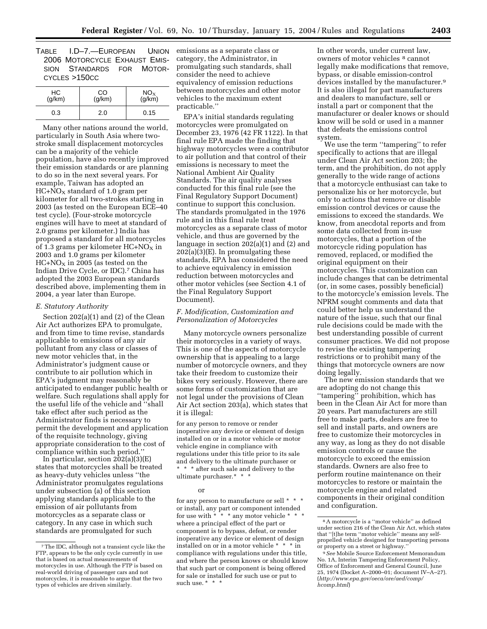TABLE I.D–7.—EUROPEAN UNION 2006 MOTORCYCLE EXHAUST EMIS-SION STANDARDS FOR MOTOR-CYCLES >150CC

| НC     | CO     | $NO_{X}$ |
|--------|--------|----------|
| (g/km) | (g/km) | (g/km)   |
| 0.3    | 2.0    | 0.15     |

Many other nations around the world, particularly in South Asia where twostroke small displacement motorcycles can be a majority of the vehicle population, have also recently improved their emission standards or are planning to do so in the next several years. For example, Taiwan has adopted an  $HC + \overline{N}O_X$  standard of 1.0 gram per kilometer for all two-strokes starting in 2003 (as tested on the European ECE–40 test cycle). (Four-stroke motorcycle engines will have to meet at standard of 2.0 grams per kilometer.) India has proposed a standard for all motorcycles of 1.3 grams per kilometer  $HC+NO<sub>X</sub>$  in 2003 and 1.0 grams per kilometer  $HC+NO<sub>X</sub>$  in 2005 (as tested on the Indian Drive Cycle, or IDC).7 China has adopted the 2003 European standards described above, implementing them in 2004, a year later than Europe.

#### *E. Statutory Authority*

Section 202(a)(1) and (2) of the Clean Air Act authorizes EPA to promulgate, and from time to time revise, standards applicable to emissions of any air pollutant from any class or classes of new motor vehicles that, in the Administrator's judgment cause or contribute to air pollution which in EPA's judgment may reasonably be anticipated to endanger public health or welfare. Such regulations shall apply for the useful life of the vehicle and ''shall take effect after such period as the Administrator finds is necessary to permit the development and application of the requisite technology, giving appropriate consideration to the cost of compliance within such period.''

In particular, section  $202(a)(3)(E)$ states that motorcycles shall be treated as heavy-duty vehicles unless ''the Administrator promulgates regulations under subsection (a) of this section applying standards applicable to the emission of air pollutants from motorcycles as a separate class or category. In any case in which such standards are promulgated for such

emissions as a separate class or category, the Administrator, in promulgating such standards, shall consider the need to achieve equivalency of emission reductions between motorcycles and other motor vehicles to the maximum extent practicable.''

EPA's initial standards regulating motorcycles were promulgated on December 23, 1976 (42 FR 1122). In that final rule EPA made the finding that highway motorcycles were a contributor to air pollution and that control of their emissions is necessary to meet the National Ambient Air Quality Standards. The air quality analyses conducted for this final rule (see the Final Regulatory Support Document) continue to support this conclusion. The standards promulgated in the 1976 rule and in this final rule treat motorcycles as a separate class of motor vehicle, and thus are governed by the language in section 202(a)(1) and (2) and  $202(a)(3)(E)$ . In promulgating these standards, EPA has considered the need to achieve equivalency in emission reduction between motorcycles and other motor vehicles (see Section 4.1 of the Final Regulatory Support Document).

# *F. Modification, Customization and Personalization of Motorcycles*

Many motorcycle owners personalize their motorcycles in a variety of ways. This is one of the aspects of motorcycle ownership that is appealing to a large number of motorcycle owners, and they take their freedom to customize their bikes very seriously. However, there are some forms of customization that are not legal under the provisions of Clean Air Act section 203(a), which states that it is illegal:

for any person to remove or render inoperative any device or element of design installed on or in a motor vehicle or motor vehicle engine in compliance with regulations under this title prior to its sale and delivery to the ultimate purchaser or \* \* \* after such sale and delivery to the ultimate purchaser.\* \* \*

#### or

for any person to manufacture or sell \* \* \* or install, any part or component intended for use with  $\stackrel{*}{\cdot}$  \*  $\stackrel{*}{\cdot}$  any motor vehicle \* where a principal effect of the part or component is to bypass, defeat, or render inoperative any device or element of design installed on or in a motor vehicle \* \* \* in compliance with regulations under this title, and where the person knows or should know that such part or component is being offered for sale or installed for such use or put to such use. \* \* \*

In other words, under current law, owners of motor vehicles 8 cannot legally make modifications that remove, bypass, or disable emission-control devices installed by the manufacturer.9 It is also illegal for part manufacturers and dealers to manufacture, sell or install a part or component that the manufacturer or dealer knows or should know will be sold or used in a manner that defeats the emissions control system.

We use the term ''tampering'' to refer specifically to actions that are illegal under Clean Air Act section 203; the term, and the prohibition, do not apply generally to the wide range of actions that a motorcycle enthusiast can take to personalize his or her motorcycle, but only to actions that remove or disable emission control devices or cause the emissions to exceed the standards. We know, from anecdotal reports and from some data collected from in-use motorcycles, that a portion of the motorcycle riding population has removed, replaced, or modified the original equipment on their motorcycles. This customization can include changes that can be detrimental (or, in some cases, possibly beneficial) to the motorcycle's emission levels. The NPRM sought comments and data that could better help us understand the nature of the issue, such that our final rule decisions could be made with the best understanding possible of current consumer practices. We did not propose to revise the existing tampering restrictions or to prohibit many of the things that motorcycle owners are now doing legally.

The new emission standards that we are adopting do not change this ''tampering'' prohibition, which has been in the Clean Air Act for more than 20 years. Part manufacturers are still free to make parts, dealers are free to sell and install parts, and owners are free to customize their motorcycles in any way, as long as they do not disable emission controls or cause the motorcycle to exceed the emission standards. Owners are also free to perform routine maintenance on their motorcycles to restore or maintain the motorcycle engine and related components in their original condition and configuration.

<sup>7</sup>The IDC, although not a transient cycle like the FTP, appears to be the only cycle currently in use that is based on actual measurements of motorcycles in use. Although the FTP is based on real-world driving of passenger cars and not motorcycles, it is reasonable to argue that the two types of vehicles are driven similarly.

<sup>8</sup>A motorcycle is a ''motor vehicle'' as defined under section 216 of the Clean Air Act, which states that ''[t]he term ''motor vehicle'' means any selfpropelled vehicle designed for transporting persons or property on a street or highway.''

<sup>9</sup>*See* Mobile Source Enforcement Memorandum No. 1A, Interim Tampering Enforcement Policy, Office of Enforcement and General Council, June 25, 1974 (Docket A–2000–01; document IV–A–27). (*http://www.epa.gov/oeca/ore/aed/comp/ hcomp.html*)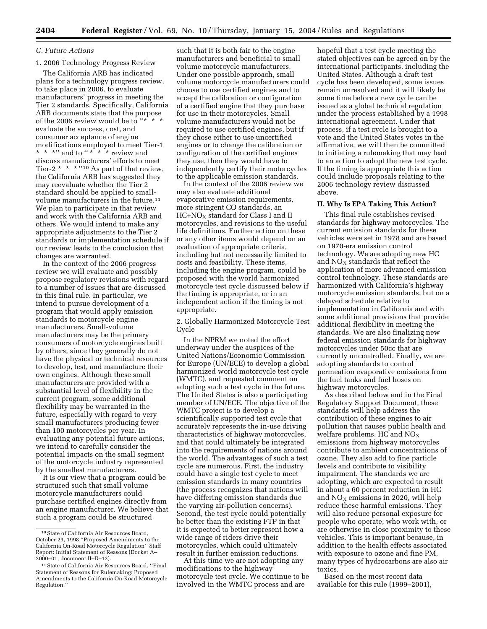# *G. Future Actions*

# 1. 2006 Technology Progress Review

The California ARB has indicated plans for a technology progress review, to take place in 2006, to evaluate manufacturers' progress in meeting the Tier 2 standards. Specifically, California ARB documents state that the purpose of the 2006 review would be to "\* \* \* evaluate the success, cost, and consumer acceptance of engine modifications employed to meet Tier-1 \* \* \*" and to " \* \* \* \* review and discuss manufacturers' efforts to meet Tier-2 \* \* \* ''10 As part of that review, the California ARB has suggested they may reevaluate whether the Tier 2 standard should be applied to smallvolume manufacturers in the future.11 We plan to participate in that review and work with the California ARB and others. We would intend to make any appropriate adjustments to the Tier 2 standards or implementation schedule if our review leads to the conclusion that changes are warranted.

In the context of the 2006 progress review we will evaluate and possibly propose regulatory revisions with regard to a number of issues that are discussed in this final rule. In particular, we intend to pursue development of a program that would apply emission standards to motorcycle engine manufacturers. Small-volume manufacturers may be the primary consumers of motorcycle engines built by others, since they generally do not have the physical or technical resources to develop, test, and manufacture their own engines. Although these small manufacturers are provided with a substantial level of flexibility in the current program, some additional flexibility may be warranted in the future, especially with regard to very small manufacturers producing fewer than 100 motorcycles per year. In evaluating any potential future actions, we intend to carefully consider the potential impacts on the small segment of the motorcycle industry represented by the smallest manufacturers.

It is our view that a program could be structured such that small volume motorcycle manufacturers could purchase certified engines directly from an engine manufacturer. We believe that such a program could be structured

such that it is both fair to the engine manufacturers and beneficial to small volume motorcycle manufacturers. Under one possible approach, small volume motorcycle manufacturers could choose to use certified engines and to accept the calibration or configuration of a certified engine that they purchase for use in their motorcycles. Small volume manufacturers would not be required to use certified engines, but if they chose either to use uncertified engines or to change the calibration or configuration of the certified engines they use, then they would have to independently certify their motorcycles to the applicable emission standards.

In the context of the 2006 review we may also evaluate additional evaporative emission requirements, more stringent CO standards, an  $HC+NO<sub>X</sub>$  standard for Class I and II motorcycles, and revisions to the useful life definitions. Further action on these or any other items would depend on an evaluation of appropriate criteria, including but not necessarily limited to costs and feasibility. These items, including the engine program, could be proposed with the world harmonized motorcycle test cycle discussed below if the timing is appropriate, or in an independent action if the timing is not appropriate.

2. Globally Harmonized Motorcycle Test Cycle

In the NPRM we noted the effort underway under the auspices of the United Nations/Economic Commission for Europe (UN/ECE) to develop a global harmonized world motorcycle test cycle (WMTC), and requested comment on adopting such a test cycle in the future. The United States is also a participating member of UN/ECE. The objective of the WMTC project is to develop a scientifically supported test cycle that accurately represents the in-use driving characteristics of highway motorcycles, and that could ultimately be integrated into the requirements of nations around the world. The advantages of such a test cycle are numerous. First, the industry could have a single test cycle to meet emission standards in many countries (the process recognizes that nations will have differing emission standards due the varying air-pollution concerns). Second, the test cycle could potentially be better than the existing FTP in that it is expected to better represent how a wide range of riders drive their motorcycles, which could ultimately result in further emission reductions.

At this time we are not adopting any modifications to the highway motorcycle test cycle. We continue to be involved in the WMTC process and are

hopeful that a test cycle meeting the stated objectives can be agreed on by the international participants, including the United States. Although a draft test cycle has been developed, some issues remain unresolved and it will likely be some time before a new cycle can be issued as a global technical regulation under the process established by a 1998 international agreement. Under that process, if a test cycle is brought to a vote and the United States votes in the affirmative, we will then be committed to initiating a rulemaking that may lead to an action to adopt the new test cycle. If the timing is appropriate this action could include proposals relating to the 2006 technology review discussed above.

#### **II. Why Is EPA Taking This Action?**

This final rule establishes revised standards for highway motorcycles. The current emission standards for these vehicles were set in 1978 and are based on 1970-era emission control technology. We are adopting new HC and  $NO<sub>X</sub>$  standards that reflect the application of more advanced emission control technology. These standards are harmonized with California's highway motorcycle emission standards, but on a delayed schedule relative to implementation in California and with some additional provisions that provide additional flexibility in meeting the standards. We are also finalizing new federal emission standards for highway motorcycles under 50cc that are currently uncontrolled. Finally, we are adopting standards to control permeation evaporative emissions from the fuel tanks and fuel hoses on highway motorcycles.

As described below and in the Final Regulatory Support Document, these standards will help address the contribution of these engines to air pollution that causes public health and welfare problems. HC and  $NO<sub>x</sub>$ emissions from highway motorcycles contribute to ambient concentrations of ozone. They also add to fine particle levels and contribute to visibility impairment. The standards we are adopting, which are expected to result in about a 60 percent reduction in HC and  $NO<sub>x</sub>$  emissions in 2020, will help reduce these harmful emissions. They will also reduce personal exposure for people who operate, who work with, or are otherwise in close proximity to these vehicles. This is important because, in addition to the health effects associated with exposure to ozone and fine PM, many types of hydrocarbons are also air toxics.

Based on the most recent data available for this rule (1999–2001),

<sup>10</sup>State of California Air Resources Board, October 23, 1998 ''Proposed Amendments to the California On-Road Motorcycle Regulation'' Staff Report: Initial Statement of Reasons (Docket A– 2000–01; document II–D–12).

<sup>11</sup>State of California Air Resources Board, ''Final Statement of Reasons for Rulemaking: Proposed Amendments to the California On-Road Motorcycle Regulation.''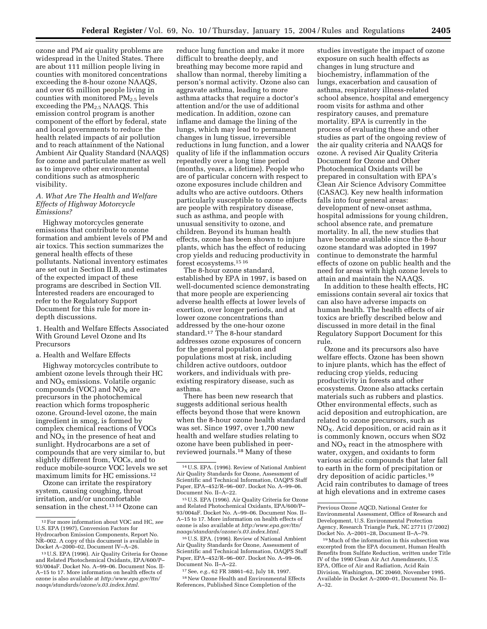ozone and PM air quality problems are widespread in the United States. There are about 111 million people living in counties with monitored concentrations exceeding the 8-hour ozone NAAQS, and over 65 million people living in counties with monitored  $PM_{2.5}$  levels exceeding the  $PM_{2.5}$  NAAQS. This emission control program is another component of the effort by federal, state and local governments to reduce the health related impacts of air pollution and to reach attainment of the National Ambient Air Quality Standard (NAAQS) for ozone and particulate matter as well as to improve other environmental conditions such as atmospheric visibility.

# *A. What Are The Health and Welfare Effects of Highway Motorcycle Emissions?*

Highway motorcycles generate emissions that contribute to ozone formation and ambient levels of PM and air toxics. This section summarizes the general health effects of these pollutants. National inventory estimates are set out in Section II.B, and estimates of the expected impact of these programs are described in Section VII. Interested readers are encouraged to refer to the Regulatory Support Document for this rule for more indepth discussions.

#### 1. Health and Welfare Effects Associated With Ground Level Ozone and Its Precursors

# a. Health and Welfare Effects

Highway motorcycles contribute to ambient ozone levels through their HC and  $NO<sub>x</sub>$  emissions. Volatile organic compounds (VOC) and  $NO<sub>X</sub>$  are precursors in the photochemical reaction which forms tropospheric ozone. Ground-level ozone, the main ingredient in smog, is formed by complex chemical reactions of VOCs and  $NO<sub>X</sub>$  in the presence of heat and sunlight. Hydrocarbons are a set of compounds that are very similar to, but slightly different from, VOCs, and to reduce mobile-source VOC levels we set maximum limits for HC emissions.12

Ozone can irritate the respiratory system, causing coughing, throat irritation, and/or uncomfortable sensation in the chest.13 14 Ozone can reduce lung function and make it more difficult to breathe deeply, and breathing may become more rapid and shallow than normal, thereby limiting a person's normal activity. Ozone also can aggravate asthma, leading to more asthma attacks that require a doctor's attention and/or the use of additional medication. In addition, ozone can inflame and damage the lining of the lungs, which may lead to permanent changes in lung tissue, irreversible reductions in lung function, and a lower quality of life if the inflammation occurs repeatedly over a long time period (months, years, a lifetime). People who are of particular concern with respect to ozone exposures include children and adults who are active outdoors. Others particularly susceptible to ozone effects are people with respiratory disease, such as asthma, and people with unusual sensitivity to ozone, and children. Beyond its human health effects, ozone has been shown to injure plants, which has the effect of reducing crop yields and reducing productivity in forest ecosystems.15 16

The 8-hour ozone standard, established by EPA in 1997, is based on well-documented science demonstrating that more people are experiencing adverse health effects at lower levels of exertion, over longer periods, and at lower ozone concentrations than addressed by the one-hour ozone standard.17 The 8-hour standard addresses ozone exposures of concern for the general population and populations most at risk, including children active outdoors, outdoor workers, and individuals with preexisting respiratory disease, such as asthma.

There has been new research that suggests additional serious health effects beyond those that were known when the 8-hour ozone health standard was set. Since 1997, over 1,700 new health and welfare studies relating to ozone have been published in peerreviewed journals.18 Many of these

16U.S. EPA. (1996). Review of National Ambient Air Quality Standards for Ozone, Assessment of Scientific and Technical Information, OAQPS Staff Paper, EPA–452/R–96–007. Docket No. A–99–06. Document No. II–A–22.

17See, *e.g.*, 62 FR 38861–62, July 18, 1997. 18New Ozone Health and Environmental Effects References, Published Since Completion of the

studies investigate the impact of ozone exposure on such health effects as changes in lung structure and biochemistry, inflammation of the lungs, exacerbation and causation of asthma, respiratory illness-related school absence, hospital and emergency room visits for asthma and other respiratory causes, and premature mortality. EPA is currently in the process of evaluating these and other studies as part of the ongoing review of the air quality criteria and NAAQS for ozone. A revised Air Quality Criteria Document for Ozone and Other Photochemical Oxidants will be prepared in consultation with EPA's Clean Air Science Advisory Committee (CASAC). Key new health information falls into four general areas: development of new-onset asthma, hospital admissions for young children, school absence rate, and premature mortality. In all, the new studies that have become available since the 8-hour ozone standard was adopted in 1997 continue to demonstrate the harmful effects of ozone on public health and the need for areas with high ozone levels to attain and maintain the NAAQS.

In addition to these health effects, HC emissions contain several air toxics that can also have adverse impacts on human health. The health effects of air toxics are briefly described below and discussed in more detail in the final Regulatory Support Document for this rule.

Ozone and its precursors also have welfare effects. Ozone has been shown to injure plants, which has the effect of reducing crop yields, reducing productivity in forests and other ecosystems. Ozone also attacks certain materials such as rubbers and plastics. Other environmental effects, such as acid deposition and eutrophication, are related to ozone precursors, such as NO<sub>X</sub>. Acid deposition, or acid rain as it is commonly known, occurs when SO2 and  $NO<sub>x</sub>$  react in the atmosphere with water, oxygen, and oxidants to form various acidic compounds that later fall to earth in the form of precipitation or dry deposition of acidic particles.19 Acid rain contributes to damage of trees at high elevations and in extreme cases

<sup>12</sup>For more information about VOC and HC, *see* U.S. EPA (1997), Conversion Factors for Hydrocarbon Emission Components, Report No. NR–002. A copy of this document is available in Docket A–2000–02, Document IV–A–26.

<sup>13</sup>U.S. EPA (1996). Air Quality Criteria for Ozone and Related Photochemical Oxidants, EPA/600/P– 93/004aF. Docket No. A–99–06. Document Nos. II-A–15 to 17. More information on health effects of ozone is also available at *http:/www.epa.gov/ttn/ naaqs/standards/ozone/s.03.index.html.*

<sup>14</sup>U.S. EPA. (1996). Review of National Ambient Air Quality Standards for Ozone, Assessment of Scientific and Technical Information, OAQPS Staff Paper, EPA–452/R–96–007. Docket No. A–99–06. Document No. II–A–22.

<sup>15</sup>U.S. EPA (1996). Air Quality Criteria for Ozone and Related Photochemical Oxidants, EPA/600/P– 93/004aF. Docket No. A–99–06. Document Nos. II– A–15 to 17. More information on health effects of ozone is also available at *http:/www.epa.gov/ttn/ naaqs/standards/ozone/s.03.index.html.*

Previous Ozone AQCD, National Center for Environmental Assessment, Office of Research and Development, U.S. Environmental Protection Agency, Research Triangle Park, NC 27711 (7/2002) Docket No. A–2001–28, Document II–A–79.

<sup>19</sup>Much of the information in this subsection was excerpted from the EPA document, Human Health Benefits from Sulfate Reduction, written under Title IV of the 1990 Clean Air Act Amendments, U.S. EPA, Office of Air and Radiation, Acid Rain Division, Washington, DC 20460, November 1995. Available in Docket A–2000–01, Document No. II– A–32.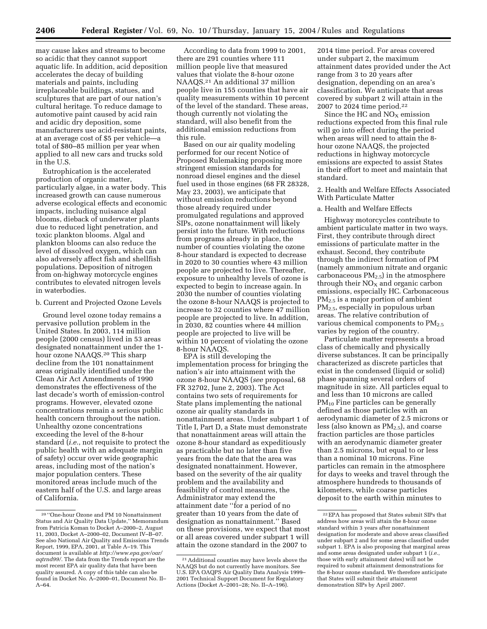may cause lakes and streams to become so acidic that they cannot support aquatic life. In addition, acid deposition accelerates the decay of building materials and paints, including irreplaceable buildings, statues, and sculptures that are part of our nation's cultural heritage. To reduce damage to automotive paint caused by acid rain and acidic dry deposition, some manufacturers use acid-resistant paints, at an average cost of \$5 per vehicle—a total of \$80–85 million per year when applied to all new cars and trucks sold in the U.S.

Eutrophication is the accelerated production of organic matter, particularly algae, in a water body. This increased growth can cause numerous adverse ecological effects and economic impacts, including nuisance algal blooms, dieback of underwater plants due to reduced light penetration, and toxic plankton blooms. Algal and plankton blooms can also reduce the level of dissolved oxygen, which can also adversely affect fish and shellfish populations. Deposition of nitrogen from on-highway motorcycle engines contributes to elevated nitrogen levels in waterbodies.

#### b. Current and Projected Ozone Levels

Ground level ozone today remains a pervasive pollution problem in the United States. In 2003, 114 million people (2000 census) lived in 53 areas designated nonattainment under the 1 hour ozone NAAQS.20 This sharp decline from the 101 nonattainment areas originally identified under the Clean Air Act Amendments of 1990 demonstrates the effectiveness of the last decade's worth of emission-control programs. However, elevated ozone concentrations remain a serious public health concern throughout the nation. Unhealthy ozone concentrations exceeding the level of the 8-hour standard (*i.e.*, not requisite to protect the public health with an adequate margin of safety) occur over wide geographic areas, including most of the nation's major population centers. These monitored areas include much of the eastern half of the U.S. and large areas of California.

According to data from 1999 to 2001, there are 291 counties where 111 million people live that measured values that violate the 8-hour ozone NAAQS.21 An additional 37 million people live in 155 counties that have air quality measurements within 10 percent of the level of the standard. These areas, though currently not violating the standard, will also benefit from the additional emission reductions from this rule.

Based on our air quality modeling performed for our recent Notice of Proposed Rulemaking proposing more stringent emission standards for nonroad diesel engines and the diesel fuel used in those engines (68 FR 28328, May 23, 2003), we anticipate that without emission reductions beyond those already required under promulgated regulations and approved SIPs, ozone nonattainment will likely persist into the future. With reductions from programs already in place, the number of counties violating the ozone 8-hour standard is expected to decrease in 2020 to 30 counties where 43 million people are projected to live. Thereafter, exposure to unhealthy levels of ozone is expected to begin to increase again. In 2030 the number of counties violating the ozone 8-hour NAAQS is projected to increase to 32 counties where 47 million people are projected to live. In addition, in 2030, 82 counties where 44 million people are projected to live will be within 10 percent of violating the ozone 8-hour NAAQS.

EPA is still developing the implementation process for bringing the nation's air into attainment with the ozone 8-hour NAAQS (*see* proposal, 68 FR 32702, June 2, 2003). The Act contains two sets of requirements for State plans implementing the national ozone air quality standards in nonattainment areas. Under subpart 1 of Title I, Part D, a State must demonstrate that nonattainment areas will attain the ozone 8-hour standard as expeditiously as practicable but no later than five years from the date that the area was designated nonattainment. However, based on the severity of the air quality problem and the availability and feasibility of control measures, the Administrator may extend the attainment date ''for a period of no greater than 10 years from the date of designation as nonattainment.'' Based on these provisions, we expect that most or all areas covered under subpart 1 will attain the ozone standard in the 2007 to

2014 time period. For areas covered under subpart 2, the maximum attainment dates provided under the Act range from 3 to 20 years after designation, depending on an area's classification. We anticipate that areas covered by subpart 2 will attain in the 2007 to 2024 time period.22

Since the HC and  $NO<sub>x</sub>$  emission reductions expected from this final rule will go into effect during the period when areas will need to attain the 8 hour ozone NAAQS, the projected reductions in highway motorcycle emissions are expected to assist States in their effort to meet and maintain that standard.

2. Health and Welfare Effects Associated With Particulate Matter

# a. Health and Welfare Effects

Highway motorcycles contribute to ambient particulate matter in two ways. First, they contribute through direct emissions of particulate matter in the exhaust. Second, they contribute through the indirect formation of PM (namely ammonium nitrate and organic carbonaceous  $PM<sub>2.5</sub>$ ) in the atmosphere through their  $NO<sub>X</sub>$  and organic carbon emissions, especially HC. Carbonaceous PM2.5 is a major portion of ambient PM2.5, especially in populous urban areas. The relative contribution of various chemical components to  $PM_{2.5}$ varies by region of the country.

Particulate matter represents a broad class of chemically and physically diverse substances. It can be principally characterized as discrete particles that exist in the condensed (liquid or solid) phase spanning several orders of magnitude in size. All particles equal to and less than 10 microns are called  $PM_{10}$  Fine particles can be generally defined as those particles with an aerodynamic diameter of 2.5 microns or less (also known as  $PM_{2.5}$ ), and coarse fraction particles are those particles with an aerodynamic diameter greater than 2.5 microns, but equal to or less than a nominal 10 microns. Fine particles can remain in the atmosphere for days to weeks and travel through the atmosphere hundreds to thousands of kilometers, while coarse particles deposit to the earth within minutes to

<sup>20</sup> ''One-hour Ozone and PM 10 Nonattainment Status and Air Quality Data Update,'' Memorandum from Patricia Koman to Docket A–2000–2, August 11, 2003, Docket A–2000–02, Document IV–B–07. See also National Air Quality and Emissions Trends Report, 1999, EPA, 2001, at Table A–19. This document is available at *http://www.epa.gov/oar/ aqtrnd99/.* The data from the Trends report are the most recent EPA air quality data that have been quality assured. A copy of this table can also be found in Docket No. A–2000–01, Document No. II– A–64.

<sup>21</sup>Additional counties may have levels above the NAAQS but do not currently have monitors. See U.S. EPA OAQPS Air Quality Data Analysis 1999– 2001 Technical Support Document for Regulatory Actions (Docket A–2001–28; No. II–A–196).

<sup>22</sup>EPA has proposed that States submit SIPs that address how areas will attain the 8-hour ozone standard within 3 years after nonattainment designation for moderate and above areas classified under subpart 2 and for some areas classified under subpart 1. EPA is also proposing that marginal areas and some areas designated under subpart 1 (*i.e.*, those with early attainment dates) will not be required to submit attainment demonstrations for the 8-hour ozone standard. We therefore anticipate that States will submit their attainment demonstration SIPs by April 2007.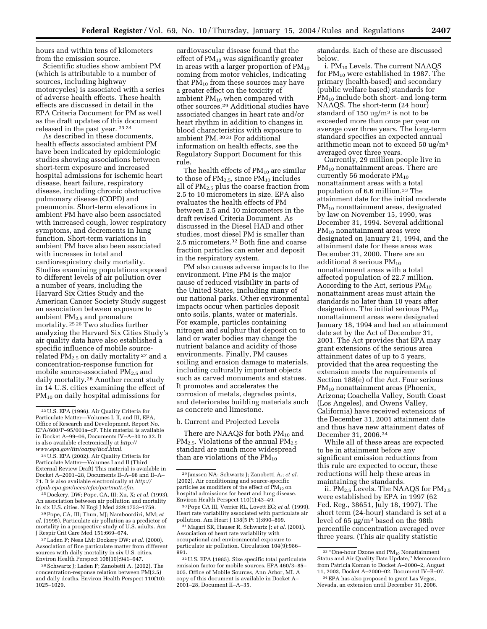hours and within tens of kilometers from the emission source.

Scientific studies show ambient PM (which is attributable to a number of sources, including highway motorcycles) is associated with a series of adverse health effects. These health effects are discussed in detail in the EPA Criteria Document for PM as well as the draft updates of this document released in the past year. 23 24

As described in these documents, health effects associated ambient PM have been indicated by epidemiologic studies showing associations between short-term exposure and increased hospital admissions for ischemic heart disease, heart failure, respiratory disease, including chronic obstructive pulmonary disease (COPD) and pneumonia. Short-term elevations in ambient PM have also been associated with increased cough, lower respiratory symptoms, and decrements in lung function. Short-term variations in ambient PM have also been associated with increases in total and cardiorespiratory daily mortality. Studies examining populations exposed to different levels of air pollution over a number of years, including the Harvard Six Cities Study and the American Cancer Society Study suggest an association between exposure to ambient PM2.5 and premature mortality. 25 26 Two studies further analyzing the Harvard Six Cities Study's air quality data have also established a specific influence of mobile sourcerelated PM2.5 on daily mortality <sup>27</sup> and a concentration-response function for mobile source-associated  $PM_{2.5}$  and daily mortality.28 Another recent study in 14 U.S. cities examining the effect of PM10 on daily hospital admissions for

24U.S. EPA (2002). Air Quality Criteria for Particulate Matter—Volumes I and II (Third External Review Draft) This material is available in Docket A–2001–28, Documents II–A–98 and II–A– 71. It is also available electronically at *http:// cfpub.epa.gov/ncea/cfm/partmatt.cfm.*

25 Dockery, DW; Pope, CA, III; Xu, X; *et al.* (1993). An association between air pollution and mortality in six U.S. cities. N Engl J Med 329:1753–1759.

26Pope, CA, III; Thun, MJ; Namboordiri, MM; *et al.* (1995). Particulate air pollution as a predictor of mortality in a prospective study of U.S. adults. Am J Respir Crit Care Med 151:669–674.

27Laden F; Neas LM; Dockery DW; *et al.* (2000). Association of fine particulate matter from different sources with daily mortality in six U.S. cities. Environ Health Perspect 108(10):941–947.

28Schwartz J; Laden F; Zanobetti A. (2002). The concentration-response relation between PM(2.5) and daily deaths. Environ Health Perspect 110(10): 1025–1029.

cardiovascular disease found that the effect of  $PM_{10}$  was significantly greater in areas with a larger proportion of  $PM_{10}$ coming from motor vehicles, indicating that  $PM_{10}$  from these sources may have a greater effect on the toxicity of ambient PM10 when compared with other sources.29 Additional studies have associated changes in heart rate and/or heart rhythm in addition to changes in blood characteristics with exposure to ambient PM. 30 31 For additional information on health effects, see the Regulatory Support Document for this rule.

The health effects of  $PM_{10}$  are similar to those of  $PM_{2.5}$ , since  $PM_{10}$  includes all of PM2.5 plus the coarse fraction from 2.5 to 10 micrometers in size. EPA also evaluates the health effects of PM between 2.5 and 10 micrometers in the draft revised Criteria Document. As discussed in the Diesel HAD and other studies, most diesel PM is smaller than 2.5 micrometers.32 Both fine and coarse fraction particles can enter and deposit in the respiratory system.

PM also causes adverse impacts to the environment. Fine PM is the major cause of reduced visibility in parts of the United States, including many of our national parks. Other environmental impacts occur when particles deposit onto soils, plants, water or materials. For example, particles containing nitrogen and sulphur that deposit on to land or water bodies may change the nutrient balance and acidity of those environments. Finally, PM causes soiling and erosion damage to materials, including culturally important objects such as carved monuments and statues. It promotes and accelerates the corrosion of metals, degrades paints, and deteriorates building materials such as concrete and limestone.

b. Current and Projected Levels

There are NAAQS for both  $PM_{10}$  and  $PM_{2.5}$ . Violations of the annual  $PM_{2.5}$ standard are much more widespread than are violations of the  $PM_{10}$ 

30Pope CA III, Verrier RL, Lovett EG; *et al.* (1999). Heart rate variability associated with particulate air pollution. Am Heart J 138(5 Pt 1):890–899.

31Magari SR, Hauser R, Schwartz J; *et al.* (2001). Association of heart rate variability with occupational and environmental exposure to particulate air pollution. Circulation 104(9):986– 991.

32U.S. EPA (1985). Size specific total particulate emission factor for mobile sources. EPA 460/3–85– 005. Office of Mobile Sources, Ann Arbor, MI. A copy of this document is available in Docket A– 2001–28, Document II–A–35.

standards. Each of these are discussed below.

i. PM10 Levels. The current NAAQS for  $PM_{10}$  were established in 1987. The primary (health-based) and secondary (public welfare based) standards for PM<sub>10</sub> include both short- and long-term NAAQS. The short-term (24 hour) standard of 150 ug/ $m<sup>3</sup>$  is not to be exceeded more than once per year on average over three years. The long-term standard specifies an expected annual arithmetic mean not to exceed 50 ug/ $m<sup>3</sup>$ averaged over three years.

Currently, 29 million people live in PM<sub>10</sub> nonattainment areas. There are currently 56 moderate  $PM_{10}$ nonattainment areas with a total population of 6.6 million.33 The attainment date for the initial moderate PM10 nonattainment areas, designated by law on November 15, 1990, was December 31, 1994. Several additional PM<sub>10</sub> nonattainment areas were designated on January 21, 1994, and the attainment date for these areas was December 31, 2000. There are an additional 8 serious  $PM_{10}$ nonattainment areas with a total affected population of 22.7 million. According to the Act, serious  $PM_{10}$ nonattainment areas must attain the standards no later than 10 years after designation. The initial serious  $PM_{10}$ nonattainment areas were designated January 18, 1994 and had an attainment date set by the Act of December 31, 2001. The Act provides that EPA may grant extensions of the serious area attainment dates of up to 5 years, provided that the area requesting the extension meets the requirements of Section 188(e) of the Act. Four serious PM10 nonattainment areas (Phoenix, Arizona; Coachella Valley, South Coast (Los Angeles), and Owens Valley, California) have received extensions of the December 31, 2001 attainment date and thus have new attainment dates of December 31, 2006.34

While all of these areas are expected to be in attainment before any significant emission reductions from this rule are expected to occur, these reductions will help these areas in maintaining the standards.

ii. PM<sub>2.5</sub> Levels. The NAAQS for PM<sub>2.5</sub> were established by EPA in 1997 (62 Fed. Reg., 38651, July 18, 1997). The short term (24-hour) standard is set at a level of 65 µg/m3 based on the 98th percentile concentration averaged over three years. (This air quality statistic

<sup>23</sup>U.S. EPA (1996). Air Quality Criteria for Particulate Matter—Volumes I, II, and III, EPA, Office of Research and Development. Report No. EPA/600/P–95/001a–cF. This material is available in Docket A–99–06, Documents IV–A–30 to 32. It is also available electronically at *http:// www.epa.gov/ttn/oarpg/ticd.html.*

<sup>29</sup> Janssen NA; Schwartz J; Zanobetti A.; *et al.* (2002). Air conditioning and source-specific particles as modifiers of the effect of  $PM_{10}$  on hospital admissions for heart and lung disease. Environ Health Perspect 110(1):43–49.

 $^{33\,\prime\prime}\textnormal{One-hour Ozone}$  and  $\textnormal{PM}_{10}$  Nonattainment Status and Air Quality Data Update,'' Memorandum from Patricia Koman to Docket A–2000–2, August 11, 2003, Docket A–2000–02, Document IV–B–07.

<sup>34</sup>EPA has also proposed to grant Las Vegas, Nevada, an extension until December 31, 2006.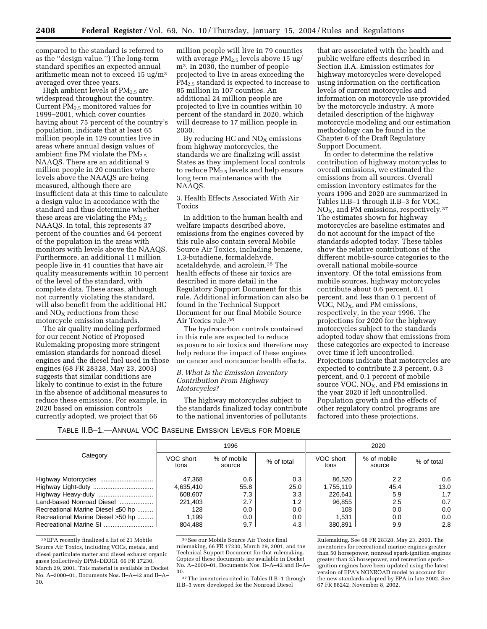compared to the standard is referred to as the ''design value.'') The long-term standard specifies an expected annual arithmetic mean not to exceed 15 ug/m3 averaged over three years.

High ambient levels of  $PM_{2.5}$  are widespread throughout the country. Current  $PM_{2.5}$  monitored values for 1999–2001, which cover counties having about 75 percent of the country's population, indicate that at least 65 million people in 129 counties live in areas where annual design values of ambient fine PM violate the  $PM_{2.5}$ NAAQS. There are an additional 9 million people in 20 counties where levels above the NAAQS are being measured, although there are insufficient data at this time to calculate a design value in accordance with the standard and thus determine whether these areas are violating the  $PM_{2.5}$ NAAQS. In total, this represents 37 percent of the counties and 64 percent of the population in the areas with monitors with levels above the NAAQS. Furthermore, an additional 11 million people live in 41 counties that have air quality measurements within 10 percent of the level of the standard, with complete data. These areas, although not currently violating the standard, will also benefit from the additional HC and  $NO<sub>X</sub>$  reductions from these motorcycle emission standards.

The air quality modeling performed for our recent Notice of Proposed Rulemaking proposing more stringent emission standards for nonroad diesel engines and the diesel fuel used in those engines (68 FR 28328, May 23, 2003) suggests that similar conditions are likely to continue to exist in the future in the absence of additional measures to reduce these emissions. For example, in 2020 based on emission controls currently adopted, we project that 66

million people will live in 79 counties with average  $PM_{2.5}$  levels above 15 ug/ m3. In 2030, the number of people projected to live in areas exceeding the PM<sub>2.5</sub> standard is expected to increase to 85 million in 107 counties. An additional 24 million people are projected to live in counties within 10 percent of the standard in 2020, which will decrease to 17 million people in 2030.

By reducing HC and  $NO<sub>X</sub>$  emissions from highway motorcycles, the standards we are finalizing will assist States as they implement local controls to reduce  $PM_{2.5}$  levels and help ensure long term maintenance with the NAAQS.

3. Health Effects Associated With Air Toxics

In addition to the human health and welfare impacts described above, emissions from the engines covered by this rule also contain several Mobile Source Air Toxics, including benzene, 1,3-butadiene, formaldehyde, acetaldehyde, and acrolein.35 The health effects of these air toxics are described in more detail in the Regulatory Support Document for this rule. Additional information can also be found in the Technical Support Document for our final Mobile Source Air Toxics rule.36

The hydrocarbon controls contained in this rule are expected to reduce exposure to air toxics and therefore may help reduce the impact of these engines on cancer and noncancer health effects.

# *B. What Is the Emission Inventory Contribution From Highway Motorcycles?*

The highway motorcycles subject to the standards finalized today contribute to the national inventories of pollutants

that are associated with the health and public welfare effects described in Section II.A. Emission estimates for highway motorcycles were developed using information on the certification levels of current motorcycles and information on motorcycle use provided by the motorcycle industry. A more detailed description of the highway motorcycle modeling and our estimation methodology can be found in the Chapter 6 of the Draft Regulatory Support Document.

In order to determine the relative contribution of highway motorcycles to overall emissions, we estimated the emissions from all sources. Overall emission inventory estimates for the years 1996 and 2020 are summarized in Tables II.B–1 through II.B–3 for VOC, NO<sub>X</sub>, and PM emissions, respectively.<sup>37</sup> The estimates shown for highway motorcycles are baseline estimates and do not account for the impact of the standards adopted today. These tables show the relative contributions of the different mobile-source categories to the overall national mobile-source inventory. Of the total emissions from mobile sources, highway motorcycles contribute about 0.6 percent, 0.1 percent, and less than 0.1 percent of VOC,  $NO<sub>X</sub>$ , and PM emissions, respectively, in the year 1996. The projections for 2020 for the highway motorcycles subject to the standards adopted today show that emissions from these categories are expected to increase over time if left uncontrolled. Projections indicate that motorcycles are expected to contribute 2.3 percent, 0.3 percent, and 0.1 percent of mobile source VOC, NO<sub>X</sub>, and PM emissions in the year 2020 if left uncontrolled. Population growth and the effects of other regulatory control programs are factored into these projections.

TABLE II.B–1.—ANNUAL VOC BASELINE EMISSION LEVELS FOR MOBILE

|                                   | 1996              |                       |            | 2020              |                       |            |
|-----------------------------------|-------------------|-----------------------|------------|-------------------|-----------------------|------------|
| Category                          | VOC short<br>tons | % of mobile<br>source | % of total | VOC short<br>tons | % of mobile<br>source | % of total |
|                                   | 47.368            | 0.6                   | 0.3        | 86.520            | 2.2                   | 0.6        |
| Highway Light-duty                | 4,635,410         | 55.8                  | 25.0       | 1,755,119         | 45.4                  | 13.0       |
|                                   | 608.607           | 7.3                   | 3.3        | 226.641           | 5.9                   | 1.7        |
| Land-based Nonroad Diesel         | 221,403           | 2.7                   | 1.2        | 96.855            | $2.5\,$               | 0.7        |
| Recreational Marine Diesel ≤50 hp | 128               | 0.0                   | 0.0        | 108               | 0.0                   | 0.0        |
| Recreational Marine Diesel >50 hp | 1.199             | 0.0                   | 0.0        | 1.531             | 0.0                   | 0.0        |
|                                   | 804.488           | 9.7                   | 4.3        | 380.891           | 9.9                   | 2.8        |

<sup>35</sup>EPA recently finalized a list of 21 Mobile Source Air Toxics, including VOCs, metals, and diesel particulate matter and diesel exhaust organic gases (collectively DPM+DEOG). 66 FR 17230, March 29, 2001. This material is available in Docket No. A–2000–01, Documents Nos. II–A–42 and II–A– 30.

 $^{36}\rm{See}$ our Mobile Source Air Toxics final rulemaking, 66 FR 17230, March 29, 2001, and the Technical Support Document for that rulemaking. Copies of these documents are available in Docket No. A–2000–01, Documents Nos. II–A–42 and II–A– 30.

37The inventories cited in Tables II.B–1 through II.B–3 were developed for the Nonroad Diesel

Rulemaking. See 68 FR 28328, May 23, 2003. The inventories for recreational marine engines greater than 50 horsepower, nonroad spark-ignition engines greater than 25 horsepower, and recreation sparkignition engines have been updated using the latest version of EPA's NONROAD model to account for the new standards adopted by EPA in late 2002. See 67 FR 68242, November 8, 2002.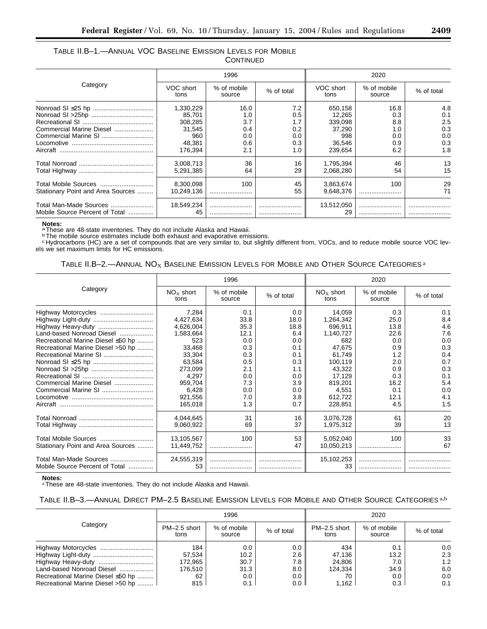# TABLE II.B–1.—ANNUAL VOC BASELINE EMISSION LEVELS FOR MOBILE **CONTINUED**

|                                                           |                                                                      | 1996                                           |                                               | 2020                                                               |                                                |                                               |
|-----------------------------------------------------------|----------------------------------------------------------------------|------------------------------------------------|-----------------------------------------------|--------------------------------------------------------------------|------------------------------------------------|-----------------------------------------------|
| Category                                                  | VOC short<br>tons                                                    | % of mobile<br>source                          | % of total                                    | VOC short<br>tons                                                  | % of mobile<br>source                          | % of total                                    |
| Commercial Marine Diesel                                  | 1,330,229<br>85.701<br>308,285<br>31,545<br>960<br>48.381<br>176.394 | 16.0<br>1.0<br>3.7<br>0.4<br>0.0<br>0.6<br>2.1 | 7.2<br>0.5<br>1.7<br>0.2<br>0.0<br>0.3<br>1.0 | 650,158<br>12.265<br>339,098<br>37,290<br>998<br>36.546<br>239.654 | 16.8<br>0.3<br>8.8<br>1.0<br>0.0<br>0.9<br>6.2 | 4.8<br>0.1<br>2.5<br>0.3<br>0.0<br>0.3<br>1.8 |
|                                                           | 3,008,713<br>5.291.385                                               | 36<br>64                                       | 16<br>29                                      | 1,795,394<br>2.068.280                                             | 46<br>54                                       | 13<br>15                                      |
| Total Mobile Sources<br>Stationary Point and Area Sources | 8,300,098<br>10.249.136                                              | 100                                            | 45<br>55                                      | 3,863,674<br>9.648.376                                             | 100                                            | 29<br>71                                      |
| Total Man-Made Sources<br>Mobile Source Percent of Total  | 18,549,234<br>45                                                     |                                                |                                               | 13,512,050<br>29                                                   |                                                |                                               |

#### **Notes:**

aThese are 48-state inventories. They do not include Alaska and Hawaii.

b The mobile source estimates include both exhaust and evaporative emissions.

c Hydrocarbons (HC) are a set of compounds that are very similar to, but slightly different from, VOCs, and to reduce mobile source VOC levels we set maximum limits for HC emissions.

# TABLE II.B-2.—ANNUAL NO<sub>X</sub> BASELINE EMISSION LEVELS FOR MOBILE AND OTHER SOURCE CATEGORIES<sup>a</sup>

|                                   |                     | 1996                  |            | 2020                |                       |            |
|-----------------------------------|---------------------|-----------------------|------------|---------------------|-----------------------|------------|
| Category                          | $NOx$ short<br>tons | % of mobile<br>source | % of total | $NOx$ short<br>tons | % of mobile<br>source | % of total |
| Highway Motorcycles               | 7,284               | 0.1                   | 0.0        | 14,059              | 0.3                   | 0.1        |
| Highway Light-duty                | 4,427,634           | 33.8                  | 18.0       | 1,264,342           | 25.0                  | 8.4        |
| Highway Heavy-duty                | 4,626,004           | 35.3                  | 18.8       | 696,911             | 13.8                  | 4.6        |
| Land-based Nonroad Diesel         | 1,583,664           | 12.1                  | 6.4        | 1,140,727           | 22.6                  | 7.6        |
| Recreational Marine Diesel ≤50 hp | 523                 | 0.0                   | 0.0        | 682                 | 0.0                   | 0.0        |
| Recreational Marine Diesel >50 hp | 33,468              | 0.3                   | 0.1        | 47,675              | 0.9                   | 0.3        |
|                                   | 33,304              | 0.3                   | 0.1        | 61,749              | 1.2                   | 0.4        |
|                                   | 63,584              | 0.5                   | 0.3        | 100,119             | 2.0                   | 0.7        |
|                                   | 273,099             | 2.1                   | 1.1        | 43,322              | 0.9                   | 0.3        |
|                                   | 4,297               | 0.0                   | 0.0        | 17,129              | 0.3                   | 0.1        |
| Commercial Marine Diesel          | 959.704             | 7.3                   | 3.9        | 819,201             | 16.2                  | 5.4        |
|                                   | 6,428               | 0.0                   | 0.0        | 4,551               | 0.1                   | 0.0        |
|                                   | 921,556             | 7.0                   | 3.8        | 612,722             | 12.1                  | 4.1        |
|                                   | 165,018             | 1.3                   | 0.7        | 228,851             | 4.5                   | 1.5        |
|                                   | 4,044,645           | 31                    | 16         | 3,076,728           | 61                    | 20         |
|                                   | 9,060,922           | 69                    | 37         | 1,975,312           | 39                    | 13         |
|                                   | 13,105,567          | 100                   | 53         | 5,052,040           | 100                   | 33         |
| Stationary Point and Area Sources | 11,449,752          |                       | 47         | 10,050,213          |                       | 67         |
| Total Man-Made Sources            | 24,555,319          |                       |            | 15,102,253          |                       |            |
| Mobile Source Percent of Total    | 53                  |                       |            | 33                  |                       |            |

**Notes:** aThese are 48-state inventories. They do not include Alaska and Hawaii.

# TABLE II.B–3.—ANNUAL DIRECT PM–2.5 BASELINE EMISSION LEVELS FOR MOBILE AND OTHER SOURCE CATEGORIES a,b

|                                   | 1996                 |                       |            | 2020                 |                       |            |
|-----------------------------------|----------------------|-----------------------|------------|----------------------|-----------------------|------------|
| Category                          | PM-2.5 short<br>tons | % of mobile<br>source | % of total | PM-2.5 short<br>tons | % of mobile<br>source | % of total |
| Highway Motorcycles               | 184                  | 0.0                   | 0.0        | 434                  | 0.1                   | 0.0        |
|                                   | 57.534               | 10.2                  | 2.6        | 47.136               | 13.2                  | 2.3        |
|                                   | 172,965              | 30.7                  | 7.8        | 24.806               | 7.0                   | 1.2        |
| Land-based Nonroad Diesel         | 176.510              | 31.3                  | 8.0        | 124,334              | 34.9                  | 6.0        |
| Recreational Marine Diesel ≤50 hp | 62                   | $0.0\,$               | 0.0        | 70                   | $0.0\,$               | 0.0        |
| Recreational Marine Diesel >50 hp | 815                  | 0.1                   | $0.0^{-}$  | $^{\prime}$ .162     | 0.3                   | 0.1        |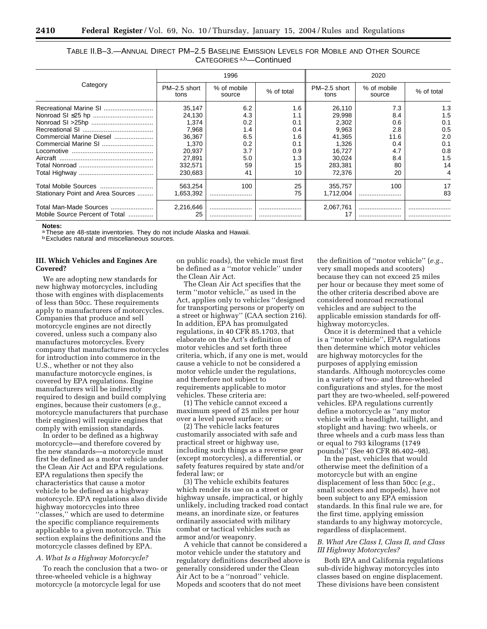| TABLE II.B-3.—ANNUAL DIRECT PM-2.5 BASELINE EMISSION LEVELS FOR MOBILE AND OTHER SOURCE |  |
|-----------------------------------------------------------------------------------------|--|
| CATEGORIES <sup>a,b</sup> —Continued                                                    |  |

|                      | 1996                  |            | 2020                 |                       |            |
|----------------------|-----------------------|------------|----------------------|-----------------------|------------|
| PM-2.5 short<br>tons | % of mobile<br>source | % of total | PM-2.5 short<br>tons | % of mobile<br>source | % of total |
| 35,147               | 6.2                   | 1.6        | 26,110               | 7.3                   | 1.3        |
| 24,130               | 4.3                   | 1.1        | 29,998               | 8.4                   | 1.5        |
| 1,374                | 0.2                   | 0.1        | 2,302                | 0.6                   | 0.1        |
| 7,968                | 1.4                   | 0.4        | 9,963                | 2.8                   | 0.5        |
| 36.367               | 6.5                   | 1.6        | 41,365               | 11.6                  | 2.0        |
| 1,370                | 0.2                   | 0.1        | 1.326                | 0.4                   | 0.1        |
| 20,937               | 3.7                   | 0.9        | 16.727               | 4.7                   | 0.8        |
| 27.891               | 5.0                   | 1.3        | 30.024               | 8.4                   | 1.5        |
| 332.571              | 59                    | 15         | 283.381              | 80                    | 14         |
| 230.683              | 41                    | 10         | 72.376               | 20                    | 4          |
| 563,254              | 100                   | 25         | 355.757              | 100                   | 17         |
| 1.653.392            |                       | 75         | 1.712.004            |                       | 83         |
| 2,216,646<br>25      |                       |            | 2,067,761<br>17      |                       |            |
|                      |                       |            |                      |                       |            |

#### **Notes:**

a These are 48-state inventories. They do not include Alaska and Hawaii.

**b** Excludes natural and miscellaneous sources.

# **III. Which Vehicles and Engines Are Covered?**

We are adopting new standards for new highway motorcycles, including those with engines with displacements of less than 50cc. These requirements apply to manufacturers of motorcycles. Companies that produce and sell motorcycle engines are not directly covered, unless such a company also manufactures motorcycles. Every company that manufactures motorcycles for introduction into commerce in the U.S., whether or not they also manufacture motorcycle engines, is covered by EPA regulations. Engine manufacturers will be indirectly required to design and build complying engines, because their customers (*e.g.*, motorcycle manufacturers that purchase their engines) will require engines that comply with emission standards.

In order to be defined as a highway motorcycle—and therefore covered by the new standards—a motorcycle must first be defined as a motor vehicle under the Clean Air Act and EPA regulations. EPA regulations then specify the characteristics that cause a motor vehicle to be defined as a highway motorcycle. EPA regulations also divide highway motorcycles into three ''classes,'' which are used to determine the specific compliance requirements applicable to a given motorcycle. This section explains the definitions and the motorcycle classes defined by EPA.

#### *A. What Is a Highway Motorcycle?*

To reach the conclusion that a two- or three-wheeled vehicle is a highway motorcycle (a motorcycle legal for use

on public roads), the vehicle must first be defined as a ''motor vehicle'' under the Clean Air Act.

The Clean Air Act specifies that the term ''motor vehicle,'' as used in the Act, applies only to vehicles ''designed for transporting persons or property on a street or highway'' (CAA section 216). In addition, EPA has promulgated regulations, in 40 CFR 85.1703, that elaborate on the Act's definition of motor vehicles and set forth three criteria, which, if any one is met, would cause a vehicle to not be considered a motor vehicle under the regulations, and therefore not subject to requirements applicable to motor vehicles. These criteria are:

(1) The vehicle cannot exceed a maximum speed of 25 miles per hour over a level paved surface; or

(2) The vehicle lacks features customarily associated with safe and practical street or highway use, including such things as a reverse gear (except motorcycles), a differential, or safety features required by state and/or federal law; or

(3) The vehicle exhibits features which render its use on a street or highway unsafe, impractical, or highly unlikely, including tracked road contact means, an inordinate size, or features ordinarily associated with military combat or tactical vehicles such as armor and/or weaponry.

A vehicle that cannot be considered a motor vehicle under the statutory and regulatory definitions described above is generally considered under the Clean Air Act to be a ''nonroad'' vehicle. Mopeds and scooters that do not meet

the definition of ''motor vehicle'' (*e.g.*, very small mopeds and scooters) because they can not exceed 25 miles per hour or because they meet some of the other criteria described above are considered nonroad recreational vehicles and are subject to the applicable emission standards for offhighway motorcycles.

Once it is determined that a vehicle is a ''motor vehicle'', EPA regulations then determine which motor vehicles are highway motorcycles for the purposes of applying emission standards. Although motorcycles come in a variety of two- and three-wheeled configurations and styles, for the most part they are two-wheeled, self-powered vehicles. EPA regulations currently define a motorcycle as ''any motor vehicle with a headlight, taillight, and stoplight and having: two wheels, or three wheels and a curb mass less than or equal to 793 kilograms (1749 pounds)'' (See 40 CFR 86.402–98).

In the past, vehicles that would otherwise meet the definition of a motorcycle but with an engine displacement of less than 50cc (*e.g.*, small scooters and mopeds), have not been subject to any EPA emission standards. In this final rule we are, for the first time, applying emission standards to any highway motorcycle, regardless of displacement.

# *B. What Are Class I, Class II, and Class III Highway Motorcycles?*

Both EPA and California regulations sub-divide highway motorcycles into classes based on engine displacement. These divisions have been consistent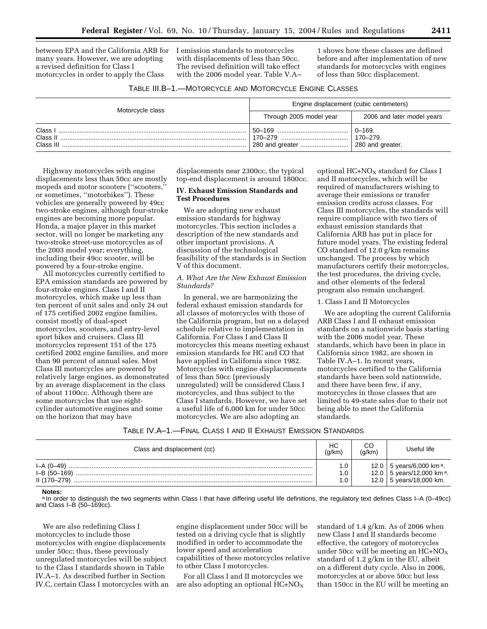between EPA and the California ARB for I emission standards to motorcycles many years. However, we are adopting a revised definition for Class I motorcycles in order to apply the Class

with displacements of less than 50cc. The revised definition will take effect with the 2006 model year. Table V.A–

1 shows how these classes are defined before and after implementation of new standards for motorcycles with engines of less than 50cc displacement.

| Motorcycle class                 | Engine displacement (cubic centimeters) |                                            |  |
|----------------------------------|-----------------------------------------|--------------------------------------------|--|
|                                  | Through 2005 model year                 | 2006 and later model years                 |  |
| Class I<br>Class II<br>Class III |                                         | $0 - 169.$<br>170-279.<br>280 and greater. |  |

Highway motorcycles with engine displacements less than 50cc are mostly mopeds and motor scooters (''scooters,'' or sometimes, ''motorbikes''). These vehicles are generally powered by 49cc two-stroke engines, although four-stroke engines are becoming more popular. Honda, a major player in this market sector, will no longer be marketing any two-stroke street-use motorcycles as of the 2003 model year; everything, including their 49cc scooter, will be powered by a four-stroke engine.

All motorcycles currently certified to EPA emission standards are powered by four-stroke engines. Class I and II motorcycles, which make up less than ten percent of unit sales and only 24 out of 175 certified 2002 engine families, consist mostly of dual-sport motorcycles, scooters, and entry-level sport bikes and cruisers. Class III motorcycles represent 151 of the 175 certified 2002 engine families, and more than 90 percent of annual sales. Most Class III motorcycles are powered by relatively large engines, as demonstrated by an average displacement in the class of about 1100cc. Although there are some motorcycles that use eightcylinder automotive engines and some on the horizon that may have

displacements near 2300cc, the typical top-end displacement is around 1800cc.

# **IV. Exhaust Emission Standards and Test Procedures**

We are adopting new exhaust emission standards for highway motorcycles. This section includes a description of the new standards and other important provisions. A discussion of the technological feasibility of the standards is in Section V of this document.

# *A. What Are the New Exhaust Emission Standards?*

In general, we are harmonizing the federal exhaust emission standards for all classes of motorcycles with those of the California program, but on a delayed schedule relative to implementation in California. For Class I and Class II motorcycles this means meeting exhaust emission standards for HC and CO that have applied in California since 1982. Motorcycles with engine displacements of less than 50cc (previously unregulated) will be considered Class I motorcycles, and thus subject to the Class I standards. However, we have set a useful life of 6,000 km for under 50cc motorcycles. We are also adopting an

optional  $HC+NO<sub>X</sub>$  standard for Class I and II motorcycles, which will be required of manufacturers wishing to average their emissions or transfer emission credits across classes. For Class III motorcycles, the standards will require compliance with two tiers of exhaust emission standards that California ARB has put in place for future model years. The existing federal CO standard of 12.0 g/km remains unchanged. The process by which manufacturers certify their motorcycles, the test procedures, the driving cycle, and other elements of the federal program also remain unchanged.

#### 1. Class I and II Motorcycles

We are adopting the current California ARB Class I and II exhaust emission standards on a nationwide basis starting with the 2006 model year. These standards, which have been in place in California since 1982, are shown in Table IV.A–1. In recent years, motorcycles certified to the California standards have been sold nationwide, and there have been few, if any, motorcycles in those classes that are limited to 49-state sales due to their not being able to meet the California standards.

| Table IV.A—1.—Final Class I and II Exhaust Emission Standards |  |  |  |  |  |
|---------------------------------------------------------------|--|--|--|--|--|
|---------------------------------------------------------------|--|--|--|--|--|

| Class and displacement (cc) | НC<br>(q/km) | CС<br>(g/km) | Useful life                             |
|-----------------------------|--------------|--------------|-----------------------------------------|
|                             |              |              | 12.0   5 years/6,000 km <sup>a</sup> .  |
| $I-B(50-169)$               | 0.1          |              | 12.0   5 years/12,000 km <sup>a</sup> . |
| II (170-279)                | .0           |              | 12.0   5 years/18,000 km.               |

#### **Notes:**

a In order to distinguish the two segments within Class I that have differing useful life definitions, the regulatory text defines Class I-A (0-49cc) and Class I–B (50–169cc).

We are also redefining Class I motorcycles to include those motorcycles with engine displacements under 50cc; thus, these previously unregulated motorcycles will be subject to the Class I standards shown in Table IV.A–1. As described further in Section IV.C, certain Class I motorcycles with an

engine displacement under 50cc will be tested on a driving cycle that is slightly modified in order to accommodate the lower speed and acceleration capabilities of these motorcycles relative to other Class I motorcycles.

For all Class I and II motorcycles we are also adopting an optional  $HC+NO<sub>X</sub>$  standard of 1.4 g/km. As of 2006 when new Class I and II standards become effective, the category of motorcycles under 50cc will be meeting an  $HC+NO_X$ standard of 1.2 g/km in the EU, albeit on a different duty cycle. Also in 2006, motorcycles at or above 50cc but less than 150cc in the EU will be meeting an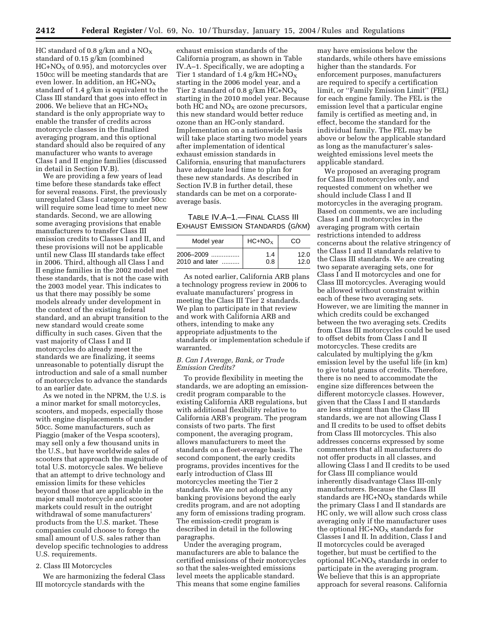HC standard of 0.8 g/km and a  $NO<sub>x</sub>$ standard of 0.15 g/km (combined  $HC+NO<sub>X</sub>$  of 0.95), and motorcycles over 150cc will be meeting standards that are even lower. In addition, an  $HC+NO_X$ standard of 1.4 g/km is equivalent to the Class III standard that goes into effect in 2006. We believe that an  $HC+NO_X$ standard is the only appropriate way to enable the transfer of credits across motorcycle classes in the finalized averaging program, and this optional standard should also be required of any manufacturer who wants to average Class I and II engine families (discussed in detail in Section IV.B).

We are providing a few years of lead time before these standards take effect for several reasons. First, the previously unregulated Class I category under 50cc will require some lead time to meet new standards. Second, we are allowing some averaging provisions that enable manufacturers to transfer Class III emission credits to Classes I and II, and these provisions will not be applicable until new Class III standards take effect in 2006. Third, although all Class I and II engine families in the 2002 model met these standards, that is not the case with the 2003 model year. This indicates to us that there may possibly be some models already under development in the context of the existing federal standard, and an abrupt transition to the new standard would create some difficulty in such cases. Given that the vast majority of Class I and II motorcycles do already meet the standards we are finalizing, it seems unreasonable to potentially disrupt the introduction and sale of a small number of motorcycles to advance the standards to an earlier date.

As we noted in the NPRM, the U.S. is a minor market for small motorcycles, scooters, and mopeds, especially those with engine displacements of under 50cc. Some manufacturers, such as Piaggio (maker of the Vespa scooters), may sell only a few thousand units in the U.S., but have worldwide sales of scooters that approach the magnitude of total U.S. motorcycle sales. We believe that an attempt to drive technology and emission limits for these vehicles beyond those that are applicable in the major small motorcycle and scooter markets could result in the outright withdrawal of some manufacturers' products from the U.S. market. These companies could choose to forego the small amount of U.S. sales rather than develop specific technologies to address U.S. requirements.

#### 2. Class III Motorcycles

We are harmonizing the federal Class III motorcycle standards with the

exhaust emission standards of the California program, as shown in Table IV.A–1. Specifically, we are adopting a Tier 1 standard of 1.4 g/km  $HC + NO_X$ starting in the 2006 model year, and a Tier 2 standard of 0.8 g/km HC+NO<sub>X</sub> starting in the 2010 model year. Because both HC and  $NO<sub>x</sub>$  are ozone precursors, this new standard would better reduce ozone than an HC-only standard. Implementation on a nationwide basis will take place starting two model years after implementation of identical exhaust emission standards in California, ensuring that manufacturers have adequate lead time to plan for these new standards. As described in Section IV.B in further detail, these standards can be met on a corporateaverage basis.

TABLE IV.A–1.—FINAL CLASS III EXHAUST EMISSION STANDARDS (G/KM)

| Model year     | $HC+NOx$ | CO   |
|----------------|----------|------|
| 2006–2009      | 1.4      | 12.0 |
| 2010 and later | 0.8      | 12.0 |

As noted earlier, California ARB plans a technology progress review in 2006 to evaluate manufacturers' progress in meeting the Class III Tier 2 standards. We plan to participate in that review and work with California ARB and others, intending to make any appropriate adjustments to the standards or implementation schedule if warranted.

#### *B. Can I Average, Bank, or Trade Emission Credits?*

To provide flexibility in meeting the standards, we are adopting an emissioncredit program comparable to the existing California ARB regulations, but with additional flexibility relative to California ARB's program. The program consists of two parts. The first component, the averaging program, allows manufacturers to meet the standards on a fleet-average basis. The second component, the early credits programs, provides incentives for the early introduction of Class III motorcycles meeting the Tier 2 standards. We are not adopting any banking provisions beyond the early credits program, and are not adopting any form of emissions trading program. The emission-credit program is described in detail in the following paragraphs.

Under the averaging program, manufacturers are able to balance the certified emissions of their motorcycles so that the sales-weighted emissions level meets the applicable standard. This means that some engine families

may have emissions below the standards, while others have emissions higher than the standards. For enforcement purposes, manufacturers are required to specify a certification limit, or ''Family Emission Limit'' (FEL) for each engine family. The FEL is the emission level that a particular engine family is certified as meeting and, in effect, become the standard for the individual family. The FEL may be above or below the applicable standard as long as the manufacturer's salesweighted emissions level meets the applicable standard.

We proposed an averaging program for Class III motorcycles only, and requested comment on whether we should include Class I and II motorcycles in the averaging program. Based on comments, we are including Class I and II motorcycles in the averaging program with certain restrictions intended to address concerns about the relative stringency of the Class I and II standards relative to the Class III standards. We are creating two separate averaging sets, one for Class I and II motorcycles and one for Class III motorcycles. Averaging would be allowed without constraint within each of these two averaging sets. However, we are limiting the manner in which credits could be exchanged between the two averaging sets. Credits from Class III motorcycles could be used to offset debits from Class I and II motorcycles. These credits are calculated by multiplying the g/km emission level by the useful life (in km) to give total grams of credits. Therefore, there is no need to accommodate the engine size differences between the different motorcycle classes. However, given that the Class I and II standards are less stringent than the Class III standards, we are not allowing Class I and II credits to be used to offset debits from Class III motorcycles. This also addresses concerns expressed by some commenters that all manufacturers do not offer products in all classes, and allowing Class I and II credits to be used for Class III compliance would inherently disadvantage Class III-only manufacturers. Because the Class III standards are  $HC+NO<sub>X</sub>$  standards while the primary Class I and II standards are HC only, we will allow such cross class averaging only if the manufacturer uses the optional  $HC+NO<sub>X</sub>$  standards for Classes I and II. In addition, Class I and II motorcycles could be averaged together, but must be certified to the optional  $HC+NO<sub>X</sub>$  standards in order to participate in the averaging program. We believe that this is an appropriate approach for several reasons. California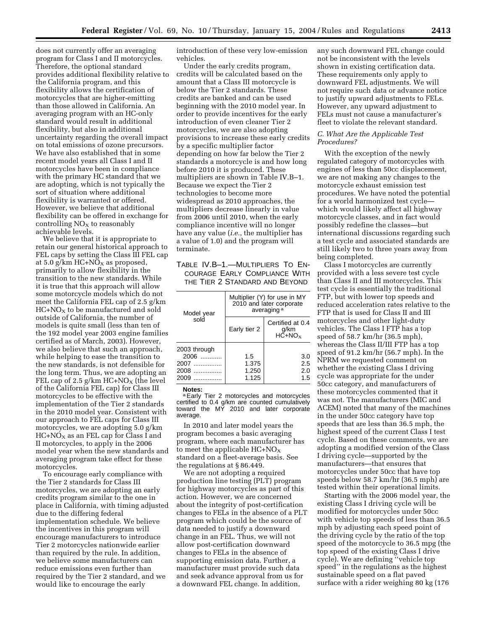does not currently offer an averaging program for Class I and II motorcycles. Therefore, the optional standard provides additional flexibility relative to the California program, and this flexibility allows the certification of motorcycles that are higher-emitting than those allowed in California. An averaging program with an HC-only standard would result in additional flexibility, but also in additional uncertainty regarding the overall impact on total emissions of ozone precursors. We have also established that in some recent model years all Class I and II motorcycles have been in compliance with the primary HC standard that we are adopting, which is not typically the sort of situation where additional flexibility is warranted or offered. However, we believe that additional flexibility can be offered in exchange for controlling  $NO<sub>x</sub>$  to reasonably achievable levels.

We believe that it is appropriate to retain our general historical approach to FEL caps by setting the Class III FEL cap at 5.0 g/km  $HC+NO<sub>X</sub>$  as proposed, primarily to allow flexibility in the transition to the new standards. While it is true that this approach will allow some motorcycle models which do not meet the California FEL cap of 2.5 g/km  $HC+NO<sub>X</sub>$  to be manufactured and sold outside of California, the number of models is quite small (less than ten of the 192 model year 2003 engine families certified as of March, 2003). However, we also believe that such an approach, while helping to ease the transition to the new standards, is not defensible for the long term. Thus, we are adopting an FEL cap of 2.5 g/km  $HC+NO<sub>X</sub>$  (the level of the California FEL cap) for Class III motorcycles to be effective with the implementation of the Tier 2 standards in the 2010 model year. Consistent with our approach to FEL caps for Class III motorcycles, we are adopting 5.0 g/km  $HC+NO<sub>X</sub>$  as an FEL cap for Class I and II motorcycles, to apply in the 2006 model year when the new standards and averaging program take effect for these motorcycles.

To encourage early compliance with the Tier 2 standards for Class III motorcycles, we are adopting an early credits program similar to the one in place in California, with timing adjusted due to the differing federal implementation schedule. We believe the incentives in this program will encourage manufacturers to introduce Tier 2 motorcycles nationwide earlier than required by the rule. In addition, we believe some manufacturers can reduce emissions even further than required by the Tier 2 standard, and we would like to encourage the early

introduction of these very low-emission vehicles.

Under the early credits program, credits will be calculated based on the amount that a Class III motorcycle is below the Tier 2 standards. These credits are banked and can be used beginning with the 2010 model year. In order to provide incentives for the early introduction of even cleaner Tier 2 motorcycles, we are also adopting provisions to increase these early credits by a specific multiplier factor depending on how far below the Tier 2 standards a motorcycle is and how long before 2010 it is produced. These multipliers are shown in Table IV.B–1. Because we expect the Tier 2 technologies to become more widespread as 2010 approaches, the multipliers decrease linearly in value from 2006 until 2010, when the early compliance incentive will no longer have any value (*i.e.*, the multiplier has a value of 1.0) and the program will terminate.

TABLE IV.B–1.—MULTIPLIERS TO EN-COURAGE EARLY COMPLIANCE WITH THE TIER 2 STANDARD AND BEYOND

| Model year                                               | Multiplier (Y) for use in MY<br>2010 and later corporate<br>averaging <sup>a</sup> |                                                |  |  |
|----------------------------------------------------------|------------------------------------------------------------------------------------|------------------------------------------------|--|--|
| sold                                                     | Early tier 2                                                                       | Certified at 0.4<br>g/km<br>HC+NO <sub>x</sub> |  |  |
| 2003 through<br>$2006$<br>2007<br>.<br>2008<br>2009<br>. | 1.5<br>1.375<br>1.250<br>1.125                                                     | 3.0<br>2.5<br>2.0<br>1.5                       |  |  |

**Notes:**

a Early Tier 2 motorcycles and motorcycles certified to 0.4 g/km are counted cumulatively toward the MY 2010 and later corporate average.

In 2010 and later model years the program becomes a basic averaging program, where each manufacturer has to meet the applicable  $HC+NO<sub>X</sub>$ standard on a fleet-average basis. See the regulations at § 86.449.

We are not adopting a required production line testing (PLT) program for highway motorcycles as part of this action. However, we are concerned about the integrity of post-certification changes to FELs in the absence of a PLT program which could be the source of data needed to justify a downward change in an FEL. Thus, we will not allow post-certification downward changes to FELs in the absence of supporting emission data. Further, a manufacturer must provide such data and seek advance approval from us for a downward FEL change. In addition,

any such downward FEL change could not be inconsistent with the levels shown in existing certification data. These requirements only apply to downward FEL adjustments. We will not require such data or advance notice to justify upward adjustments to FELs. However, any upward adjustment to FELs must not cause a manufacturer's fleet to violate the relevant standard.

# *C. What Are the Applicable Test Procedures?*

With the exception of the newly regulated category of motorcycles with engines of less than 50cc displacement, we are not making any changes to the motorcycle exhaust emission test procedures. We have noted the potential for a world harmonized test cycle which would likely affect all highway motorcycle classes, and in fact would possibly redefine the classes—but international discussions regarding such a test cycle and associated standards are still likely two to three years away from being completed.

Class I motorcycles are currently provided with a less severe test cycle than Class II and III motorcycles. This test cycle is essentially the traditional FTP, but with lower top speeds and reduced acceleration rates relative to the FTP that is used for Class II and III motorcycles and other light-duty vehicles. The Class I FTP has a top speed of 58.7 km/hr (36.5 mph), whereas the Class II/III FTP has a top speed of 91.2 km/hr (56.7 mph). In the NPRM we requested comment on whether the existing Class I driving cycle was appropriate for the under 50cc category, and manufacturers of these motorcycles commented that it was not. The manufacturers (MIC and ACEM) noted that many of the machines in the under 50cc category have top speeds that are less than 36.5 mph, the highest speed of the current Class I test cycle. Based on these comments, we are adopting a modified version of the Class I driving cycle—supported by the manufacturers—that ensures that motorcycles under 50cc that have top speeds below 58.7 km/hr (36.5 mph) are tested within their operational limits.

Starting with the 2006 model year, the existing Class I driving cycle will be modified for motorcycles under 50cc with vehicle top speeds of less than 36.5 mph by adjusting each speed point of the driving cycle by the ratio of the top speed of the motorcycle to 36.5 mpg (the top speed of the existing Class I drive cycle). We are defining ''vehicle top speed'' in the regulations as the highest sustainable speed on a flat paved surface with a rider weighing 80 kg (176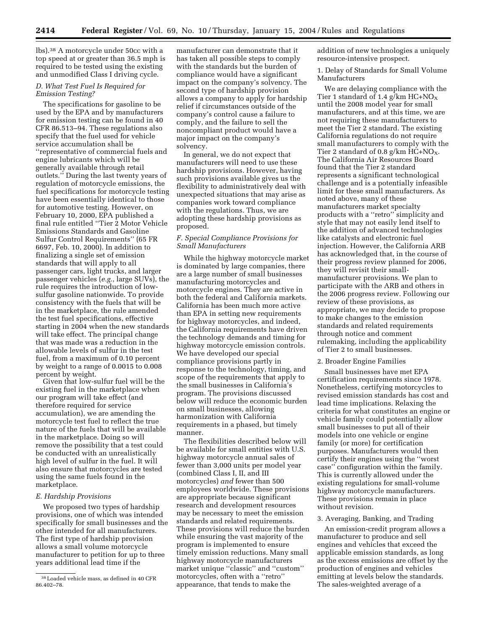lbs).38 A motorcycle under 50cc with a top speed at or greater than 36.5 mph is required to be tested using the existing and unmodified Class I driving cycle.

# *D. What Test Fuel Is Required for Emission Testing?*

The specifications for gasoline to be used by the EPA and by manufacturers for emission testing can be found in 40 CFR 86.513–94. These regulations also specify that the fuel used for vehicle service accumulation shall be ''representative of commercial fuels and engine lubricants which will be generally available through retail outlets.'' During the last twenty years of regulation of motorcycle emissions, the fuel specifications for motorcycle testing have been essentially identical to those for automotive testing. However, on February 10, 2000, EPA published a final rule entitled ''Tier 2 Motor Vehicle Emissions Standards and Gasoline Sulfur Control Requirements'' (65 FR 6697, Feb. 10, 2000). In addition to finalizing a single set of emission standards that will apply to all passenger cars, light trucks, and larger passenger vehicles (*e.g.*, large SUVs), the rule requires the introduction of lowsulfur gasoline nationwide. To provide consistency with the fuels that will be in the marketplace, the rule amended the test fuel specifications, effective starting in 2004 when the new standards will take effect. The principal change that was made was a reduction in the allowable levels of sulfur in the test fuel, from a maximum of 0.10 percent by weight to a range of 0.0015 to 0.008 percent by weight.

Given that low-sulfur fuel will be the existing fuel in the marketplace when our program will take effect (and therefore required for service accumulation), we are amending the motorcycle test fuel to reflect the true nature of the fuels that will be available in the marketplace. Doing so will remove the possibility that a test could be conducted with an unrealistically high level of sulfur in the fuel. It will also ensure that motorcycles are tested using the same fuels found in the marketplace.

#### *E. Hardship Provisions*

We proposed two types of hardship provisions, one of which was intended specifically for small businesses and the other intended for all manufacturers. The first type of hardship provision allows a small volume motorcycle manufacturer to petition for up to three years additional lead time if the

manufacturer can demonstrate that it has taken all possible steps to comply with the standards but the burden of compliance would have a significant impact on the company's solvency. The second type of hardship provision allows a company to apply for hardship relief if circumstances outside of the company's control cause a failure to comply, and the failure to sell the noncompliant product would have a major impact on the company's solvency.

In general, we do not expect that manufacturers will need to use these hardship provisions. However, having such provisions available gives us the flexibility to administratively deal with unexpected situations that may arise as companies work toward compliance with the regulations. Thus, we are adopting these hardship provisions as proposed.

# *F. Special Compliance Provisions for Small Manufacturers*

While the highway motorcycle market is dominated by large companies, there are a large number of small businesses manufacturing motorcycles and motorcycle engines. They are active in both the federal and California markets. California has been much more active than EPA in setting new requirements for highway motorcycles, and indeed, the California requirements have driven the technology demands and timing for highway motorcycle emission controls. We have developed our special compliance provisions partly in response to the technology, timing, and scope of the requirements that apply to the small businesses in California's program. The provisions discussed below will reduce the economic burden on small businesses, allowing harmonization with California requirements in a phased, but timely manner.

The flexibilities described below will be available for small entities with U.S. highway motorcycle annual sales of fewer than 3,000 units per model year (combined Class I, II, and III motorcycles) *and* fewer than 500 employees worldwide. These provisions are appropriate because significant research and development resources may be necessary to meet the emission standards and related requirements. These provisions will reduce the burden while ensuring the vast majority of the program is implemented to ensure timely emission reductions. Many small highway motorcycle manufacturers market unique ''classic'' and ''custom'' motorcycles, often with a ''retro'' appearance, that tends to make the

addition of new technologies a uniquely resource-intensive prospect.

1. Delay of Standards for Small Volume Manufacturers

We are delaying compliance with the Tier 1 standard of 1.4  $g$ /km HC+NO<sub>X</sub> until the 2008 model year for small manufacturers, and at this time, we are not requiring these manufacturers to meet the Tier 2 standard. The existing California regulations do not require small manufacturers to comply with the Tier 2 standard of 0.8 g/km  $HC+NO<sub>X</sub>$ . The California Air Resources Board found that the Tier 2 standard represents a significant technological challenge and is a potentially infeasible limit for these small manufacturers. As noted above, many of these manufacturers market specialty products with a ''retro'' simplicity and style that may not easily lend itself to the addition of advanced technologies like catalysts and electronic fuel injection. However, the California ARB has acknowledged that, in the course of their progress review planned for 2006, they will revisit their smallmanufacturer provisions. We plan to participate with the ARB and others in the 2006 progress review. Following our review of these provisions, as appropriate, we may decide to propose to make changes to the emission standards and related requirements through notice and comment rulemaking, including the applicability of Tier 2 to small businesses.

#### 2. Broader Engine Families

Small businesses have met EPA certification requirements since 1978. Nonetheless, certifying motorcycles to revised emission standards has cost and lead time implications. Relaxing the criteria for what constitutes an engine or vehicle family could potentially allow small businesses to put all of their models into one vehicle or engine family (or more) for certification purposes. Manufacturers would then certify their engines using the ''worst case'' configuration within the family. This is currently allowed under the existing regulations for small-volume highway motorcycle manufacturers. These provisions remain in place without revision.

#### 3. Averaging, Banking, and Trading

An emission-credit program allows a manufacturer to produce and sell engines and vehicles that exceed the applicable emission standards, as long as the excess emissions are offset by the production of engines and vehicles emitting at levels below the standards. The sales-weighted average of a

<sup>38</sup>Loaded vehicle mass, as defined in 40 CFR 86.402–78.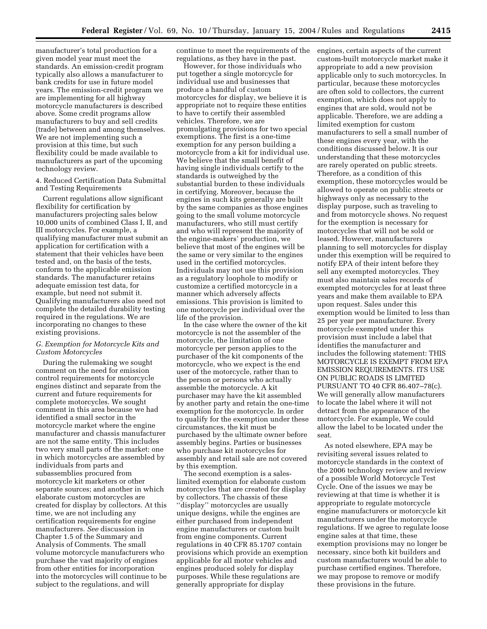manufacturer's total production for a given model year must meet the standards. An emission-credit program typically also allows a manufacturer to bank credits for use in future model years. The emission-credit program we are implementing for all highway motorcycle manufacturers is described above. Some credit programs allow manufacturers to buy and sell credits (trade) between and among themselves. We are not implementing such a provision at this time, but such flexibility could be made available to manufacturers as part of the upcoming technology review.

4. Reduced Certification Data Submittal and Testing Requirements

Current regulations allow significant flexibility for certification by manufacturers projecting sales below 10,000 units of combined Class I, II, and III motorcycles. For example, a qualifying manufacturer must submit an application for certification with a statement that their vehicles have been tested and, on the basis of the tests, conform to the applicable emission standards. The manufacturer retains adequate emission test data, for example, but need not submit it. Qualifying manufacturers also need not complete the detailed durability testing required in the regulations. We are incorporating no changes to these existing provisions.

#### *G. Exemption for Motorcycle Kits and Custom Motorcycles*

During the rulemaking we sought comment on the need for emission control requirements for motorcycle engines distinct and separate from the current and future requirements for complete motorcycles. We sought comment in this area because we had identified a small sector in the motorcycle market where the engine manufacturer and chassis manufacturer are not the same entity. This includes two very small parts of the market: one in which motorcycles are assembled by individuals from parts and subassemblies procured from motorcycle kit marketers or other separate sources; and another in which elaborate custom motorcycles are created for display by collectors. At this time, we are not including any certification requirements for engine manufacturers. *See* discussion in Chapter 1.5 of the Summary and Analysis of Comments. The small volume motorcycle manufacturers who purchase the vast majority of engines from other entities for incorporation into the motorcycles will continue to be subject to the regulations, and will

continue to meet the requirements of the regulations, as they have in the past.

However, for those individuals who put together a single motorcycle for individual use and businesses that produce a handful of custom motorcycles for display, we believe it is appropriate not to require these entities to have to certify their assembled vehicles. Therefore, we are promulgating provisions for two special exemptions. The first is a one-time exemption for any person building a motorcycle from a kit for individual use. We believe that the small benefit of having single individuals certify to the standards is outweighed by the substantial burden to these individuals in certifying. Moreover, because the engines in such kits generally are built by the same companies as those engines going to the small volume motorcycle manufacturers, who still must certify and who will represent the majority of the engine-makers' production, we believe that most of the engines will be the same or very similar to the engines used in the certified motorcycles. Individuals may not use this provision as a regulatory loophole to modify or customize a certified motorcycle in a manner which adversely affects emissions. This provision is limited to one motorcycle per individual over the life of the provision.

In the case where the owner of the kit motorcycle is not the assembler of the motorcycle, the limitation of one motorcycle per person applies to the purchaser of the kit components of the motorcycle, who we expect is the end user of the motorcycle, rather than to the person or persons who actually assemble the motorcycle. A kit purchaser may have the kit assembled by another party and retain the one-time exemption for the motorcycle. In order to qualify for the exemption under these circumstances, the kit must be purchased by the ultimate owner before assembly begins. Parties or businesses who purchase kit motorcycles for assembly and retail sale are not covered by this exemption.

The second exemption is a saleslimited exemption for elaborate custom motorcycles that are created for display by collectors. The chassis of these ''display'' motorcycles are usually unique designs, while the engines are either purchased from independent engine manufacturers or custom built from engine components. Current regulations in 40 CFR 85.1707 contain provisions which provide an exemption applicable for all motor vehicles and engines produced solely for display purposes. While these regulations are generally appropriate for display

engines, certain aspects of the current custom-built motorcycle market make it appropriate to add a new provision applicable only to such motorcycles. In particular, because these motorcycles are often sold to collectors, the current exemption, which does not apply to engines that are sold, would not be applicable. Therefore, we are adding a limited exemption for custom manufacturers to sell a small number of these engines every year, with the conditions discussed below. It is our understanding that these motorcycles are rarely operated on public streets. Therefore, as a condition of this exemption, these motorcycles would be allowed to operate on public streets or highways only as necessary to the display purpose, such as traveling to and from motorcycle shows. No request for the exemption is necessary for motorcycles that will not be sold or leased. However, manufacturers planning to sell motorcycles for display under this exemption will be required to notify EPA of their intent before they sell any exempted motorcycles. They must also maintain sales records of exempted motorcycles for at least three years and make them available to EPA upon request. Sales under this exemption would be limited to less than 25 per year per manufacturer. Every motorcycle exempted under this provision must include a label that identifies the manufacturer and includes the following statement: THIS MOTORCYCLE IS EXEMPT FROM EPA EMISSION REQUIREMENTS. ITS USE ON PUBLIC ROADS IS LIMITED PURSUANT TO 40 CFR 86.407–78(c). We will generally allow manufacturers to locate the label where it will not detract from the appearance of the motorcycle. For example, We could allow the label to be located under the seat.

As noted elsewhere, EPA may be revisiting several issues related to motorcycle standards in the context of the 2006 technology review and review of a possible World Motorcycle Test Cycle. One of the issues we may be reviewing at that time is whether it is appropriate to regulate motorcycle engine manufacturers or motorcycle kit manufacturers under the motorcycle regulations. If we agree to regulate loose engine sales at that time, these exemption provisions may no longer be necessary, since both kit builders and custom manufacturers would be able to purchase certified engines. Therefore, we may propose to remove or modify these provisions in the future.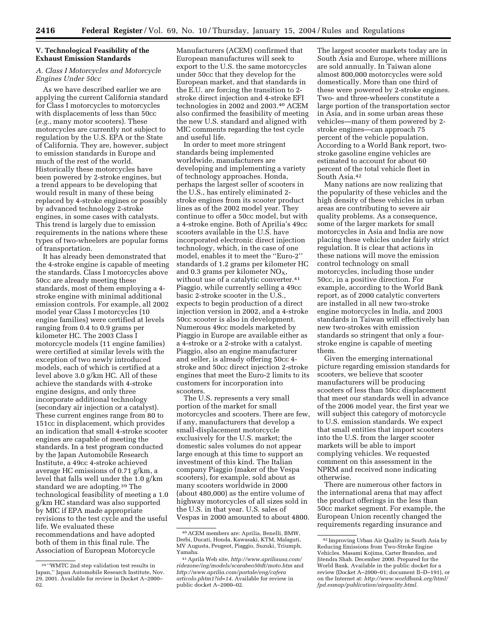# **V. Technological Feasibility of the Exhaust Emission Standards**

# *A. Class I Motorcycles and Motorcycle Engines Under 50cc*

As we have described earlier we are applying the current California standard for Class I motorcycles to motorcycles with displacements of less than 50cc (*e.g.*, many motor scooters). These motorcycles are currently not subject to regulation by the U.S. EPA or the State of California. They are, however, subject to emission standards in Europe and much of the rest of the world. Historically these motorcycles have been powered by 2-stroke engines, but a trend appears to be developing that would result in many of these being replaced by 4-stroke engines or possibly by advanced technology 2-stroke engines, in some cases with catalysts. This trend is largely due to emission requirements in the nations where these types of two-wheelers are popular forms of transportation.

It has already been demonstrated that the 4-stroke engine is capable of meeting the standards. Class I motorcycles above 50cc are already meeting these standards, most of them employing a 4 stroke engine with minimal additional emission controls. For example, all 2002 model year Class I motorcycles (10 engine families) were certified at levels ranging from 0.4 to 0.9 grams per kilometer HC. The 2003 Class I motorcycle models (11 engine families) were certified at similar levels with the exception of two newly introduced models, each of which is certified at a level above 3.0 g/km HC. All of these achieve the standards with 4-stroke engine designs, and only three incorporate additional technology (secondary air injection or a catalyst). These current engines range from 80 to 151cc in displacement, which provides an indication that small 4-stroke scooter engines are capable of meeting the standards. In a test program conducted by the Japan Automobile Research Institute, a 49cc 4-stroke achieved average HC emissions of 0.71 g/km, a level that falls well under the 1.0 g/km standard we are adopting.39 The technological feasibility of meeting a 1.0 g/km HC standard was also supported by MIC if EPA made appropriate revisions to the test cycle and the useful life. We evaluated these recommendations and have adopted both of them in this final rule. The Association of European Motorcycle

Manufacturers (ACEM) confirmed that European manufactures will seek to export to the U.S. the same motorcycles under 50cc that they develop for the European market, and that standards in the E.U. are forcing the transition to 2 stroke direct injection and 4-stroke EFI technologies in 2002 and 2003.40 ACEM also confirmed the feasibility of meeting the new U.S. standard and aligned with MIC comments regarding the test cycle and useful life.

In order to meet more stringent standards being implemented worldwide, manufacturers are developing and implementing a variety of technology approaches. Honda, perhaps the largest seller of scooters in the U.S., has entirely eliminated 2 stroke engines from its scooter product lines as of the 2002 model year. They continue to offer a 50cc model, but with a 4-stroke engine. Both of Aprilia's 49cc scooters available in the U.S. have incorporated electronic direct injection technology, which, in the case of one model, enables it to meet the ''Euro-2'' standards of 1.2 grams per kilometer HC and 0.3 grams per kilometer  $NO<sub>X</sub>$ , without use of a catalytic converter.<sup>41</sup> Piaggio, while currently selling a 49cc basic 2-stroke scooter in the U.S., expects to begin production of a direct injection version in 2002, and a 4-stroke 50cc scooter is also in development. Numerous 49cc models marketed by Piaggio in Europe are available either as a 4-stroke or a 2-stroke with a catalyst. Piaggio, also an engine manufacturer and seller, is already offering 50cc 4 stroke and 50cc direct injection 2-stroke engines that meet the Euro-2 limits to its customers for incorporation into scooters.

The U.S. represents a very small portion of the market for small motorcycles and scooters. There are few, if any, manufacturers that develop a small-displacement motorcycle exclusively for the U.S. market; the domestic sales volumes do not appear large enough at this time to support an investment of this kind. The Italian company Piaggio (maker of the Vespa scooters), for example, sold about as many scooters worldwide in 2000 (about 480,000) as the entire volume of highway motorcycles of all sizes sold in the U.S. in that year. U.S. sales of Vespas in 2000 amounted to about 4800.

The largest scooter markets today are in South Asia and Europe, where millions are sold annually. In Taiwan alone almost 800,000 motorcycles were sold domestically. More than one third of these were powered by 2-stroke engines. Two- and three-wheelers constitute a large portion of the transportation sector in Asia, and in some urban areas these vehicles—many of them powered by 2 stroke engines—can approach 75 percent of the vehicle population. According to a World Bank report, twostroke gasoline engine vehicles are estimated to account for about 60 percent of the total vehicle fleet in South Asia.42

Many nations are now realizing that the popularity of these vehicles and the high density of these vehicles in urban areas are contributing to severe air quality problems. As a consequence, some of the larger markets for small motorcycles in Asia and India are now placing these vehicles under fairly strict regulation. It is clear that actions in these nations will move the emission control technology on small motorcycles, including those under 50cc, in a positive direction. For example, according to the World Bank report, as of 2000 catalytic converters are installed in all new two-stroke engine motorcycles in India, and 2003 standards in Taiwan will effectively ban new two-strokes with emission standards so stringent that only a fourstroke engine is capable of meeting them.

Given the emerging international picture regarding emission standards for scooters, we believe that scooter manufacturers will be producing scooters of less than 50cc displacement that meet our standards well in advance of the 2006 model year, the first year we will subject this category of motorcycle to U.S. emission standards. We expect that small entities that import scooters into the U.S. from the larger scooter markets will be able to import complying vehicles. We requested comment on this assessment in the NPRM and received none indicating otherwise.

There are numerous other factors in the international arena that may affect the product offerings in the less than 50cc market segment. For example, the European Union recently changed the requirements regarding insurance and

<sup>39</sup> ''WMTC 2nd step validation test results in Japan,'' Japan Automobile Research Institute, Nov. 29, 2001. Available for review in Docket A–2000– 02.

<sup>40</sup>ACEM members are: Aprilia, Benelli, BMW, Derbi, Ducati, Honda, Kawasaki, KTM, Malaguti, MV Augusta, Peugeot, Piaggio, Suzuki, Triumph, Yamaha.

<sup>41</sup>Aprila Web site, *http://www.apriliausa.com/ ridezone/ing/models/scarabeo50dt/moto.htm* and *http://www.aprilia.com/portale/eng/cafera articolo.phtm1?id=14*. Available for review in public docket A–2000–02.

<sup>42</sup> Improving Urban Air Quality in South Asia by Reducing Emissions from Two-Stroke Engine Vehicles. Masami Kojima, Carter Brandon, and Jitendra Shah. December 2000. Prepared for the World Bank. Available in the public docket for a review (Docket A–2000–01; document II–D–191), or on the Internet at: *http://www.worldbank.org/html/ fpd.esmap/publication/airquality.html.*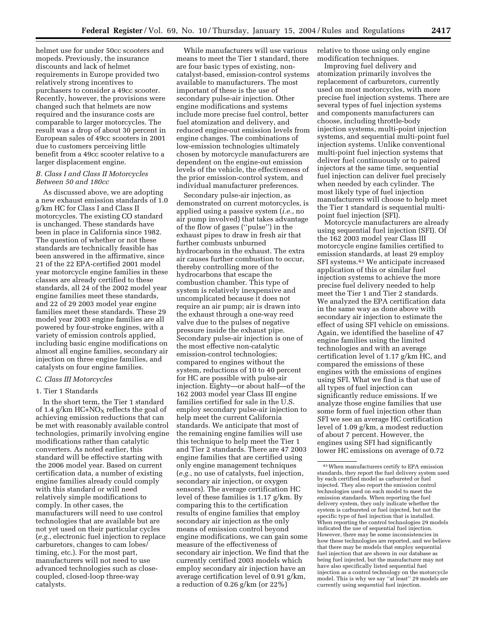helmet use for under 50cc scooters and mopeds. Previously, the insurance discounts and lack of helmet requirements in Europe provided two relatively strong incentives to purchasers to consider a 49cc scooter. Recently, however, the provisions were changed such that helmets are now required and the insurance costs are comparable to larger motorcycles. The result was a drop of about 30 percent in European sales of 49cc scooters in 2001 due to customers perceiving little benefit from a 49cc scooter relative to a larger displacement engine.

# *B. Class I and Class II Motorcycles Between 50 and 180cc*

As discussed above, we are adopting a new exhaust emission standards of 1.0 g/km HC for Class I and Class II motorcycles. The existing CO standard is unchanged. These standards have been in place in California since 1982. The question of whether or not these standards are technically feasible has been answered in the affirmative, since 21 of the 22 EPA-certified 2001 model year motorcycle engine families in these classes are already certified to these standards, all 24 of the 2002 model year engine families meet these standards, and 22 of 29 2003 model year engine families meet these standards. These 29 model year 2003 engine families are all powered by four-stroke engines, with a variety of emission controls applied, including basic engine modifications on almost all engine families, secondary air injection on three engine families, and catalysts on four engine families.

#### *C. Class III Motorcycles*

#### 1. Tier 1 Standards

In the short term, the Tier 1 standard of 1.4 g/km  $HC+NO<sub>X</sub>$  reflects the goal of achieving emission reductions that can be met with reasonably available control technologies, primarily involving engine modifications rather than catalytic converters. As noted earlier, this standard will be effective starting with the 2006 model year. Based on current certification data, a number of existing engine families already could comply with this standard or will need relatively simple modifications to comply. In other cases, the manufacturers will need to use control technologies that are available but are not yet used on their particular cycles (*e.g.*, electronic fuel injection to replace carburetors, changes to cam lobes/ timing, etc.). For the most part, manufacturers will not need to use advanced technologies such as closecoupled, closed-loop three-way catalysts.

While manufacturers will use various means to meet the Tier 1 standard, there are four basic types of existing, noncatalyst-based, emission-control systems available to manufacturers. The most important of these is the use of secondary pulse-air injection. Other engine modifications and systems include more precise fuel control, better fuel atomization and delivery, and reduced engine-out emission levels from engine changes. The combinations of low-emission technologies ultimately chosen by motorcycle manufacturers are dependent on the engine-out emission levels of the vehicle, the effectiveness of the prior emission-control system, and individual manufacturer preferences.

Secondary pulse-air injection, as demonstrated on current motorcycles, is applied using a passive system (*i.e.*, no air pump involved) that takes advantage of the flow of gases (''pulse'') in the exhaust pipes to draw in fresh air that further combusts unburned hydrocarbons in the exhaust. The extra air causes further combustion to occur, thereby controlling more of the hydrocarbons that escape the combustion chamber. This type of system is relatively inexpensive and uncomplicated because it does not require an air pump; air is drawn into the exhaust through a one-way reed valve due to the pulses of negative pressure inside the exhaust pipe. Secondary pulse-air injection is one of the most effective non-catalytic emission-control technologies; compared to engines without the system, reductions of 10 to 40 percent for HC are possible with pulse-air injection. Eighty—or about half—of the 162 2003 model year Class III engine families certified for sale in the U.S. employ secondary pulse-air injection to help meet the current California standards. We anticipate that most of the remaining engine families will use this technique to help meet the Tier 1 and Tier 2 standards. There are 47 2003 engine families that are certified using only engine management techniques (*e.g.*, no use of catalysts, fuel injection, secondary air injection, or oxygen sensors). The average certification HC level of these families is 1.17 g/km. By comparing this to the certification results of engine families that employ secondary air injection as the only means of emission control beyond engine modifications, we can gain some measure of the effectiveness of secondary air injection. We find that the currently certified 2003 models which employ secondary air injection have an average certification level of 0.91 g/km, a reduction of 0.26 g/km (or 22%)

relative to those using only engine modification techniques.

Improving fuel delivery and atomization primarily involves the replacement of carburetors, currently used on most motorcycles, with more precise fuel injection systems. There are several types of fuel injection systems and components manufacturers can choose, including throttle-body injection systems, multi-point injection systems, and sequential multi-point fuel injection systems. Unlike conventional multi-point fuel injection systems that deliver fuel continuously or to paired injectors at the same time, sequential fuel injection can deliver fuel precisely when needed by each cylinder. The most likely type of fuel injection manufacturers will choose to help meet the Tier 1 standard is sequential multipoint fuel injection (SFI).

Motorcycle manufacturers are already using sequential fuel injection (SFI). Of the 162 2003 model year Class III motorcycle engine families certified to emission standards, at least 29 employ SFI systems.43 We anticipate increased application of this or similar fuel injection systems to achieve the more precise fuel delivery needed to help meet the Tier 1 and Tier 2 standards. We analyzed the EPA certification data in the same way as done above with secondary air injection to estimate the effect of using SFI vehicle on emissions. Again, we identified the baseline of 47 engine families using the limited technologies and with an average certification level of 1.17 g/km HC, and compared the emissions of these engines with the emissions of engines using SFI. What we find is that use of all types of fuel injection can significantly reduce emissions. If we analyze those engine families that use some form of fuel injection other than SFI we see an average HC certification level of 1.09 g/km, a modest reduction of about 7 percent. However, the engines using SFI had significantly lower HC emissions on average of 0.72

<sup>43</sup>When manufacturers certify to EPA emission standards, they report the fuel delivery system used by each certified model as carbureted or fuel injected. They also report the emission control technologies used on each model to meet the emission standards. When reporting the fuel delivery system, they only indicate whether the system is carbureted or fuel injected, but not the specific type of fuel injection that is installed. When reporting the control technologies 29 models indicated the use of sequential fuel injection. However, there may be some inconsistencies in how these technologies are reported, and we believe that there may be models that employ sequential fuel injection that are shown in our database as being fuel injected, but the manufacturer may not have also specifically listed sequential fuel injection as a control technology on the motorcycle model. This is why we say ''at least'' 29 models are currently using sequential fuel injection.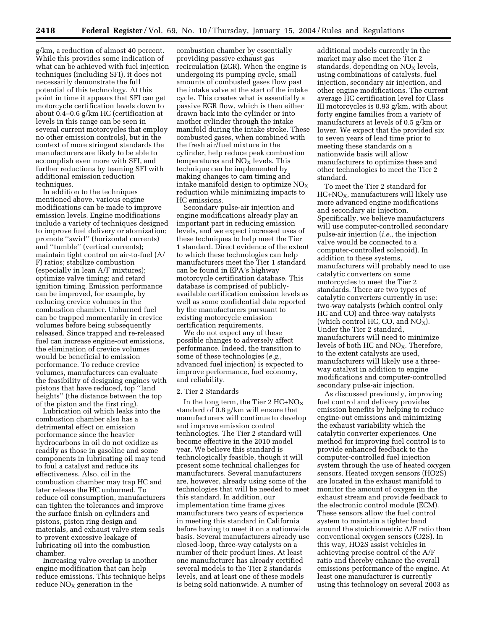g/km, a reduction of almost 40 percent. While this provides some indication of what can be achieved with fuel injection techniques (including SFI), it does not necessarily demonstrate the full potential of this technology. At this point in time it appears that SFI can get motorcycle certification levels down to about 0.4–0.6 g/km HC (certification at levels in this range can be seen in several current motorcycles that employ no other emission controls), but in the context of more stringent standards the manufacturers are likely to be able to accomplish even more with SFI, and further reductions by teaming SFI with additional emission reduction techniques.

In addition to the techniques mentioned above, various engine modifications can be made to improve emission levels. Engine modifications include a variety of techniques designed to improve fuel delivery or atomization; promote ''swirl'' (horizontal currents) and ''tumble'' (vertical currents); maintain tight control on air-to-fuel (A/ F) ratios; stabilize combustion (especially in lean A/F mixtures); optimize valve timing; and retard ignition timing. Emission performance can be improved, for example, by reducing crevice volumes in the combustion chamber. Unburned fuel can be trapped momentarily in crevice volumes before being subsequently released. Since trapped and re-released fuel can increase engine-out emissions, the elimination of crevice volumes would be beneficial to emission performance. To reduce crevice volumes, manufacturers can evaluate the feasibility of designing engines with pistons that have reduced, top ''land heights'' (the distance between the top of the piston and the first ring).

Lubrication oil which leaks into the combustion chamber also has a detrimental effect on emission performance since the heavier hydrocarbons in oil do not oxidize as readily as those in gasoline and some components in lubricating oil may tend to foul a catalyst and reduce its effectiveness. Also, oil in the combustion chamber may trap HC and later release the HC unburned. To reduce oil consumption, manufacturers can tighten the tolerances and improve the surface finish on cylinders and pistons, piston ring design and materials, and exhaust valve stem seals to prevent excessive leakage of lubricating oil into the combustion chamber.

Increasing valve overlap is another engine modification that can help reduce emissions. This technique helps reduce  $NO<sub>x</sub>$  generation in the

combustion chamber by essentially providing passive exhaust gas recirculation (EGR). When the engine is undergoing its pumping cycle, small amounts of combusted gases flow past the intake valve at the start of the intake cycle. This creates what is essentially a passive EGR flow, which is then either drawn back into the cylinder or into another cylinder through the intake manifold during the intake stroke. These combusted gases, when combined with the fresh air/fuel mixture in the cylinder, help reduce peak combustion temperatures and  $NO<sub>x</sub>$  levels. This technique can be implemented by making changes to cam timing and intake manifold design to optimize  $NO<sub>X</sub>$ reduction while minimizing impacts to HC emissions.

Secondary pulse-air injection and engine modifications already play an important part in reducing emission levels, and we expect increased uses of these techniques to help meet the Tier 1 standard. Direct evidence of the extent to which these technologies can help manufacturers meet the Tier 1 standard can be found in EPA's highway motorcycle certification database. This database is comprised of publiclyavailable certification emission levels as well as some confidential data reported by the manufacturers pursuant to existing motorcycle emission certification requirements.

We do not expect any of these possible changes to adversely affect performance. Indeed, the transition to some of these technologies (*e.g.*, advanced fuel injection) is expected to improve performance, fuel economy, and reliability.

# 2. Tier 2 Standards

In the long term, the Tier 2  $HC+NO<sub>X</sub>$ standard of 0.8 g/km will ensure that manufacturers will continue to develop and improve emission control technologies. The Tier 2 standard will become effective in the 2010 model year. We believe this standard is technologically feasible, though it will present some technical challenges for manufacturers. Several manufacturers are, however, already using some of the technologies that will be needed to meet this standard. In addition, our implementation time frame gives manufacturers two years of experience in meeting this standard in California before having to meet it on a nationwide basis. Several manufacturers already use closed-loop, three-way catalysts on a number of their product lines. At least one manufacturer has already certified several models to the Tier 2 standards levels, and at least one of these models is being sold nationwide. A number of

additional models currently in the market may also meet the Tier 2 standards, depending on  $NO<sub>x</sub>$  levels, using combinations of catalysts, fuel injection, secondary air injection, and other engine modifications. The current average HC certification level for Class III motorcycles is 0.93 g/km, with about forty engine families from a variety of manufacturers at levels of 0.5 g/km or lower. We expect that the provided six to seven years of lead time prior to meeting these standards on a nationwide basis will allow manufacturers to optimize these and other technologies to meet the Tier 2 standard.

To meet the Tier 2 standard for  $HC+NO<sub>X</sub>$ , manufacturers will likely use more advanced engine modifications and secondary air injection. Specifically, we believe manufacturers will use computer-controlled secondary pulse-air injection (*i.e.*, the injection valve would be connected to a computer-controlled solenoid). In addition to these systems, manufacturers will probably need to use catalytic converters on some motorcycles to meet the Tier 2 standards. There are two types of catalytic converters currently in use: two-way catalysts (which control only HC and CO) and three-way catalysts (which control HC, CO, and  $NO<sub>X</sub>$ ). Under the Tier 2 standard, manufacturers will need to minimize levels of both HC and  $NO<sub>x</sub>$ . Therefore, to the extent catalysts are used, manufacturers will likely use a threeway catalyst in addition to engine modifications and computer-controlled secondary pulse-air injection.

As discussed previously, improving fuel control and delivery provides emission benefits by helping to reduce engine-out emissions and minimizing the exhaust variability which the catalytic converter experiences. One method for improving fuel control is to provide enhanced feedback to the computer-controlled fuel injection system through the use of heated oxygen sensors. Heated oxygen sensors (HO2S) are located in the exhaust manifold to monitor the amount of oxygen in the exhaust stream and provide feedback to the electronic control module (ECM). These sensors allow the fuel control system to maintain a tighter band around the stoichiometric A/F ratio than conventional oxygen sensors (O2S). In this way, HO2S assist vehicles in achieving precise control of the A/F ratio and thereby enhance the overall emissions performance of the engine. At least one manufacturer is currently using this technology on several 2003 as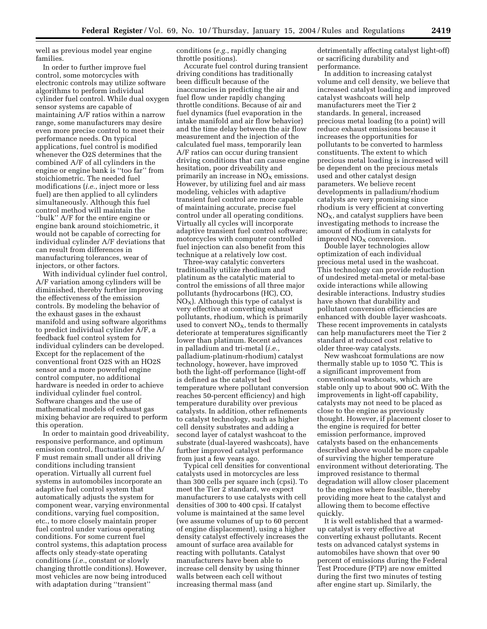well as previous model year engine families.

In order to further improve fuel control, some motorcycles with electronic controls may utilize software algorithms to perform individual cylinder fuel control. While dual oxygen sensor systems are capable of maintaining A/F ratios within a narrow range, some manufacturers may desire even more precise control to meet their performance needs. On typical applications, fuel control is modified whenever the O2S determines that the combined A/F of all cylinders in the engine or engine bank is ''too far'' from stoichiometric. The needed fuel modifications (*i.e.*, inject more or less fuel) are then applied to all cylinders simultaneously. Although this fuel control method will maintain the ''bulk'' A/F for the entire engine or engine bank around stoichiometric, it would not be capable of correcting for individual cylinder A/F deviations that can result from differences in manufacturing tolerances, wear of injectors, or other factors.

With individual cylinder fuel control, A/F variation among cylinders will be diminished, thereby further improving the effectiveness of the emission controls. By modeling the behavior of the exhaust gases in the exhaust manifold and using software algorithms to predict individual cylinder A/F, a feedback fuel control system for individual cylinders can be developed. Except for the replacement of the conventional front O2S with an HO2S sensor and a more powerful engine control computer, no additional hardware is needed in order to achieve individual cylinder fuel control. Software changes and the use of mathematical models of exhaust gas mixing behavior are required to perform this operation.

In order to maintain good driveability, responsive performance, and optimum emission control, fluctuations of the A/ F must remain small under all driving conditions including transient operation. Virtually all current fuel systems in automobiles incorporate an adaptive fuel control system that automatically adjusts the system for component wear, varying environmental conditions, varying fuel composition, etc., to more closely maintain proper fuel control under various operating conditions. For some current fuel control systems, this adaptation process affects only steady-state operating conditions (*i.e.*, constant or slowly changing throttle conditions). However, most vehicles are now being introduced with adaptation during ''transient''

conditions (*e.g.*, rapidly changing throttle positions).

Accurate fuel control during transient driving conditions has traditionally been difficult because of the inaccuracies in predicting the air and fuel flow under rapidly changing throttle conditions. Because of air and fuel dynamics (fuel evaporation in the intake manifold and air flow behavior) and the time delay between the air flow measurement and the injection of the calculated fuel mass, temporarily lean A/F ratios can occur during transient driving conditions that can cause engine hesitation, poor driveability and primarily an increase in  $NO<sub>X</sub>$  emissions. However, by utilizing fuel and air mass modeling, vehicles with adaptive transient fuel control are more capable of maintaining accurate, precise fuel control under all operating conditions. Virtually all cycles will incorporate adaptive transient fuel control software; motorcycles with computer controlled fuel injection can also benefit from this technique at a relatively low cost.

Three-way catalytic converters traditionally utilize rhodium and platinum as the catalytic material to control the emissions of all three major pollutants (hydrocarbons (HC), CO,  $NO<sub>X</sub>$ ). Although this type of catalyst is very effective at converting exhaust pollutants, rhodium, which is primarily used to convert  $NO<sub>x</sub>$ , tends to thermally deteriorate at temperatures significantly lower than platinum. Recent advances in palladium and tri-metal (*i.e.*, palladium-platinum-rhodium) catalyst technology, however, have improved both the light-off performance (light-off is defined as the catalyst bed temperature where pollutant conversion reaches 50-percent efficiency) and high temperature durability over previous catalysts. In addition, other refinements to catalyst technology, such as higher cell density substrates and adding a second layer of catalyst washcoat to the substrate (dual-layered washcoats), have further improved catalyst performance from just a few years ago.

Typical cell densities for conventional catalysts used in motorcycles are less than 300 cells per square inch (cpsi). To meet the Tier 2 standard, we expect manufacturers to use catalysts with cell densities of 300 to 400 cpsi. If catalyst volume is maintained at the same level (we assume volumes of up to 60 percent of engine displacement), using a higher density catalyst effectively increases the amount of surface area available for reacting with pollutants. Catalyst manufacturers have been able to increase cell density by using thinner walls between each cell without increasing thermal mass (and

detrimentally affecting catalyst light-off) or sacrificing durability and performance.

In addition to increasing catalyst volume and cell density, we believe that increased catalyst loading and improved catalyst washcoats will help manufacturers meet the Tier 2 standards. In general, increased precious metal loading (to a point) will reduce exhaust emissions because it increases the opportunities for pollutants to be converted to harmless constituents. The extent to which precious metal loading is increased will be dependent on the precious metals used and other catalyst design parameters. We believe recent developments in palladium/rhodium catalysts are very promising since rhodium is very efficient at converting  $NO<sub>X</sub>$ , and catalyst suppliers have been investigating methods to increase the amount of rhodium in catalysts for improved  $NO<sub>X</sub>$  conversion.

Double layer technologies allow optimization of each individual precious metal used in the washcoat. This technology can provide reduction of undesired metal-metal or metal-base oxide interactions while allowing desirable interactions. Industry studies have shown that durability and pollutant conversion efficiencies are enhanced with double layer washcoats. These recent improvements in catalysts can help manufacturers meet the Tier 2 standard at reduced cost relative to older three-way catalysts.

New washcoat formulations are now thermally stable up to 1050 °C. This is a significant improvement from conventional washcoats, which are stable only up to about 900 oC. With the improvements in light-off capability, catalysts may not need to be placed as close to the engine as previously thought. However, if placement closer to the engine is required for better emission performance, improved catalysts based on the enhancements described above would be more capable of surviving the higher temperature environment without deteriorating. The improved resistance to thermal degradation will allow closer placement to the engines where feasible, thereby providing more heat to the catalyst and allowing them to become effective quickly.

It is well established that a warmedup catalyst is very effective at converting exhaust pollutants. Recent tests on advanced catalyst systems in automobiles have shown that over 90 percent of emissions during the Federal Test Procedure (FTP) are now emitted during the first two minutes of testing after engine start up. Similarly, the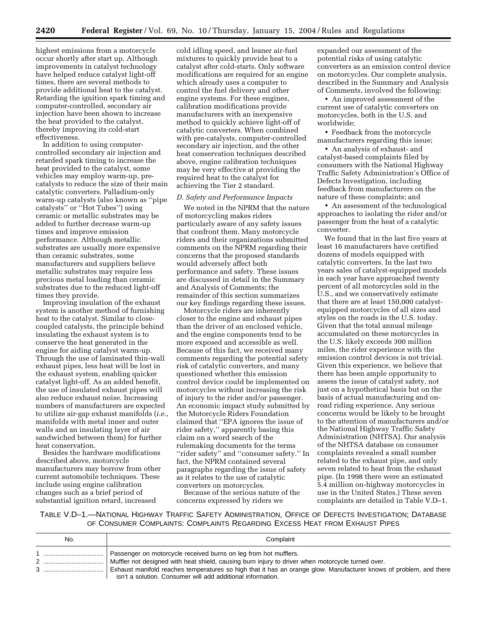highest emissions from a motorcycle occur shortly after start up. Although improvements in catalyst technology have helped reduce catalyst light-off times, there are several methods to provide additional heat to the catalyst. Retarding the ignition spark timing and computer-controlled, secondary air injection have been shown to increase the heat provided to the catalyst, thereby improving its cold-start effectiveness.

In addition to using computercontrolled secondary air injection and retarded spark timing to increase the heat provided to the catalyst, some vehicles may employ warm-up, precatalysts to reduce the size of their main catalytic converters. Palladium-only warm-up catalysts (also known as ''pipe catalysts'' or ''Hot Tubes'') using ceramic or metallic substrates may be added to further decrease warm-up times and improve emission performance. Although metallic substrates are usually more expensive than ceramic substrates, some manufacturers and suppliers believe metallic substrates may require less precious metal loading than ceramic substrates due to the reduced light-off times they provide.

Improving insulation of the exhaust system is another method of furnishing heat to the catalyst. Similar to closecoupled catalysts, the principle behind insulating the exhaust system is to conserve the heat generated in the engine for aiding catalyst warm-up. Through the use of laminated thin-wall exhaust pipes, less heat will be lost in the exhaust system, enabling quicker catalyst light-off. As an added benefit, the use of insulated exhaust pipes will also reduce exhaust noise. Increasing numbers of manufacturers are expected to utilize air-gap exhaust manifolds (*i.e.*, manifolds with metal inner and outer walls and an insulating layer of air sandwiched between them) for further heat conservation.

Besides the hardware modifications described above, motorcycle manufacturers may borrow from other current automobile techniques. These include using engine calibration changes such as a brief period of substantial ignition retard, increased

cold idling speed, and leaner air-fuel mixtures to quickly provide heat to a catalyst after cold-starts. Only software modifications are required for an engine which already uses a computer to control the fuel delivery and other engine systems. For these engines, calibration modifications provide manufacturers with an inexpensive method to quickly achieve light-off of catalytic converters. When combined with pre-catalysts, computer-controlled secondary air injection, and the other heat conservation techniques described above, engine calibration techniques may be very effective at providing the required heat to the catalyst for achieving the Tier 2 standard.

# *D. Safety and Performance Impacts*

We noted in the NPRM that the nature of motorcycling makes riders particularly aware of any safety issues that confront them. Many motorcycle riders and their organizations submitted comments on the NPRM regarding their concerns that the proposed standards would adversely affect both performance and safety. These issues are discussed in detail in the Summary and Analysis of Comments; the remainder of this section summarizes our key findings regarding these issues.

Motorcycle riders are inherently closer to the engine and exhaust pipes than the driver of an enclosed vehicle, and the engine components tend to be more exposed and accessible as well. Because of this fact, we received many comments regarding the potential safety risk of catalytic converters, and many questioned whether this emission control device could be implemented on motorcycles without increasing the risk of injury to the rider and/or passenger. An economic impact study submitted by the Motorcycle Riders Foundation claimed that ''EPA ignores the issue of rider safety,'' apparently basing this claim on a word search of the rulemaking documents for the terms ''rider safety'' and ''consumer safety.'' In fact, the NPRM contained several paragraphs regarding the issue of safety as it relates to the use of catalytic converters on motorcycles.

Because of the serious nature of the concerns expressed by riders we

expanded our assessment of the potential risks of using catalytic converters as an emission control device on motorcycles. Our complete analysis, described in the Summary and Analysis of Comments, involved the following:

• An improved assessment of the current use of catalytic converters on motorcycles, both in the U.S. and worldwide;

• Feedback from the motorcycle manufacturers regarding this issue;

• An analysis of exhaust- and catalyst-based complaints filed by consumers with the National Highway Traffic Safety Administration's Office of Defects Investigation, including feedback from manufacturers on the nature of these complaints; and

• An assessment of the technological approaches to isolating the rider and/or passenger from the heat of a catalytic converter.

We found that in the last five years at least 16 manufacturers have certified dozens of models equipped with catalytic converters. In the last two years sales of catalyst-equipped models in each year have approached twenty percent of all motorcycles sold in the U.S., and we conservatively estimate that there are at least 150,000 catalystequipped motorcycles of all sizes and styles on the roads in the U.S. today. Given that the total annual mileage accumulated on these motorcycles in the U.S. likely exceeds 300 million miles, the rider experience with the emission control devices is not trivial. Given this experience, we believe that there has been ample opportunity to assess the issue of catalyst safety, not just on a hypothetical basis but on the basis of actual manufacturing and onroad riding experience. Any serious concerns would be likely to be brought to the attention of manufacturers and/or the National Highway Traffic Safety Administration (NHTSA). Our analysis of the NHTSA database on consumer complaints revealed a small number related to the exhaust pipe, and only seven related to heat from the exhaust pipe. (In 1998 there were an estimated 5.4 million on-highway motorcycles in use in the United States.) These seven complaints are detailed in Table V.D–1.

TABLE V.D–1.—NATIONAL HIGHWAY TRAFFIC SAFETY ADMINISTRATION, OFFICE OF DEFECTS INVESTIGATION; DATABASE OF CONSUMER COMPLAINTS: COMPLAINTS REGARDING EXCESS HEAT FROM EXHAUST PIPES

| No. | Complaint                                                                                                                                                                                                                                                                                   |
|-----|---------------------------------------------------------------------------------------------------------------------------------------------------------------------------------------------------------------------------------------------------------------------------------------------|
|     | Passenger on motorcycle received burns on leg from hot mufflers.<br>Muffler not designed with heat shield, causing burn injury to driver when motorcycle turned over.<br>Exhaust manifold reaches temperatures so high that it has an orange glow. Manufacturer knows of problem, and there |
|     | isn't a solution. Consumer will add additional information.                                                                                                                                                                                                                                 |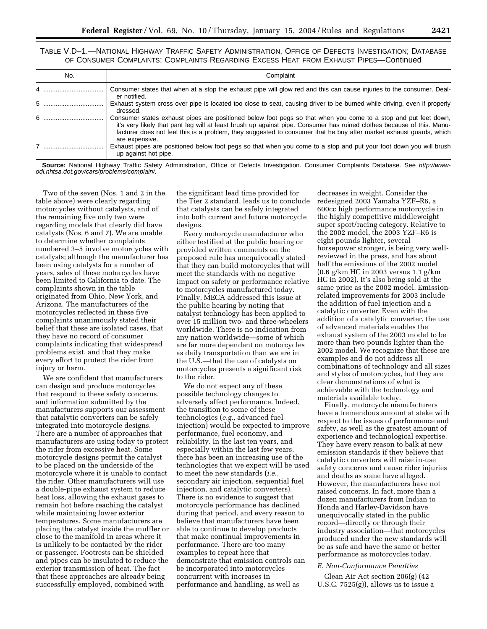TABLE V.D–1.—NATIONAL HIGHWAY TRAFFIC SAFETY ADMINISTRATION, OFFICE OF DEFECTS INVESTIGATION; DATABASE OF CONSUMER COMPLAINTS: COMPLAINTS REGARDING EXCESS HEAT FROM EXHAUST PIPES—Continued

| No. | Complaint                                                                                                                                                                                                                                                                                                                                                                          |
|-----|------------------------------------------------------------------------------------------------------------------------------------------------------------------------------------------------------------------------------------------------------------------------------------------------------------------------------------------------------------------------------------|
|     | Consumer states that when at a stop the exhaust pipe will glow red and this can cause injuries to the consumer. Deal-<br>er notified.                                                                                                                                                                                                                                              |
|     | Exhaust system cross over pipe is located too close to seat, causing driver to be burned while driving, even if properly<br>dressed.                                                                                                                                                                                                                                               |
|     | Consumer states exhaust pipes are positioned below foot pegs so that when you come to a stop and put feet down,<br>it's very likely that pant leg will at least brush up against pipe. Consumer has ruined clothes because of this. Manu-<br>facturer does not feel this is a problem, they suggested to consumer that he buy after market exhaust guards, which<br>are expensive. |
|     | Exhaust pipes are positioned below foot pegs so that when you come to a stop and put your foot down you will brush<br>up against hot pipe.                                                                                                                                                                                                                                         |

**Source:** National Highway Traffic Safety Administration, Office of Defects Investigation. Consumer Complaints Database. See http://wwwodi.nhtsa.dot.gov/cars/problems/complain/.

Two of the seven (Nos. 1 and 2 in the table above) were clearly regarding motorcycles without catalysts, and of the remaining five only two were regarding models that clearly did have catalysts (Nos. 6 and 7). We are unable to determine whether complaints numbered 3–5 involve motorcycles with catalysts; although the manufacturer has been using catalysts for a number of years, sales of these motorcycles have been limited to California to date. The complaints shown in the table originated from Ohio, New York, and Arizona. The manufacturers of the motorcycles reflected in these five complaints unanimously stated their belief that these are isolated cases, that they have no record of consumer complaints indicating that widespread problems exist, and that they make every effort to protect the rider from injury or harm.

We are confident that manufacturers can design and produce motorcycles that respond to these safety concerns, and information submitted by the manufacturers supports our assessment that catalytic converters can be safely integrated into motorcycle designs. There are a number of approaches that manufacturers are using today to protect the rider from excessive heat. Some motorcycle designs permit the catalyst to be placed on the underside of the motorcycle where it is unable to contact the rider. Other manufacturers will use a double-pipe exhaust system to reduce heat loss, allowing the exhaust gases to remain hot before reaching the catalyst while maintaining lower exterior temperatures. Some manufacturers are placing the catalyst inside the muffler or close to the manifold in areas where it is unlikely to be contacted by the rider or passenger. Footrests can be shielded and pipes can be insulated to reduce the exterior transmission of heat. The fact that these approaches are already being successfully employed, combined with

the significant lead time provided for the Tier 2 standard, leads us to conclude that catalysts can be safely integrated into both current and future motorcycle designs.

Every motorcycle manufacturer who either testified at the public hearing or provided written comments on the proposed rule has unequivocally stated that they can build motorcycles that will meet the standards with no negative impact on safety or performance relative to motorcycles manufactured today. Finally, MECA addressed this issue at the public hearing by noting that catalyst technology has been applied to over 15 million two- and three-wheelers worldwide. There is no indication from any nation worldwide—some of which are far more dependent on motorcycles as daily transportation than we are in the U.S.—that the use of catalysts on motorcycles presents a significant risk to the rider.

We do not expect any of these possible technology changes to adversely affect performance. Indeed, the transition to some of these technologies (*e.g.*, advanced fuel injection) would be expected to improve performance, fuel economy, and reliability. In the last ten years, and especially within the last few years, there has been an increasing use of the technologies that we expect will be used to meet the new standards (*i.e.*, secondary air injection, sequential fuel injection, and catalytic converters). There is no evidence to suggest that motorcycle performance has declined during that period, and every reason to believe that manufacturers have been able to continue to develop products that make continual improvements in performance. There are too many examples to repeat here that demonstrate that emission controls can be incorporated into motorcycles concurrent with increases in performance and handling, as well as

decreases in weight. Consider the redesigned 2003 Yamaha YZF–R6, a 600cc high performance motorcycle in the highly competitive middleweight super sport/racing category. Relative to the 2002 model, the 2003 YZF–R6 is eight pounds lighter, several horsepower stronger, is being very wellreviewed in the press, and has about half the emissions of the 2002 model (0.6 g/km HC in 2003 versus 1.1 g/km HC in 2002). It's also being sold at the same price as the 2002 model. Emissionrelated improvements for 2003 include the addition of fuel injection and a catalytic converter. Even with the addition of a catalytic converter, the use of advanced materials enables the exhaust system of the 2003 model to be more than two pounds lighter than the 2002 model. We recognize that these are examples and do not address all combinations of technology and all sizes and styles of motorcycles, but they are clear demonstrations of what is achievable with the technology and materials available today.

Finally, motorcycle manufacturers have a tremendous amount at stake with respect to the issues of performance and safety, as well as the greatest amount of experience and technological expertise. They have every reason to balk at new emission standards if they believe that catalytic converters will raise in-use safety concerns and cause rider injuries and deaths as some have alleged. However, the manufacturers have not raised concerns. In fact, more than a dozen manufacturers from Indian to Honda and Harley-Davidson have unequivocally stated in the public record—directly or through their industry association—that motorcycles produced under the new standards will be as safe and have the same or better performance as motorcycles today.

#### *E. Non-Conformance Penalties*

Clean Air Act section 206(g) (42 U.S.C. 7525(g)), allows us to issue a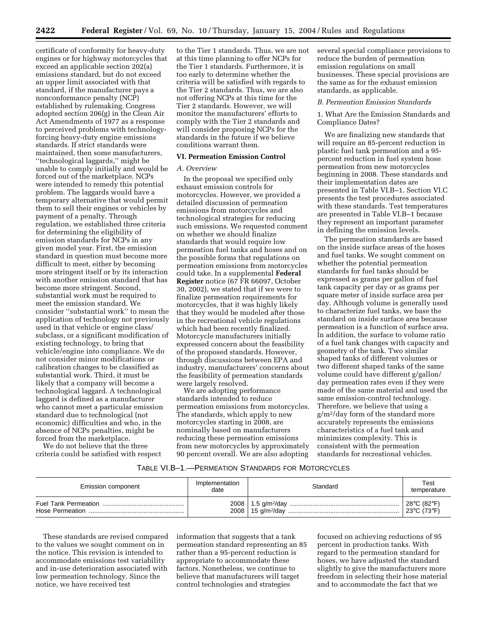certificate of conformity for heavy-duty engines or for highway motorcycles that exceed an applicable section 202(a) emissions standard, but do not exceed an upper limit associated with that standard, if the manufacturer pays a nonconformance penalty (NCP) established by rulemaking. Congress adopted section 206(g) in the Clean Air Act Amendments of 1977 as a response to perceived problems with technologyforcing heavy-duty engine emissions standards. If strict standards were maintained, then some manufacturers, ''technological laggards,'' might be unable to comply initially and would be forced out of the marketplace. NCPs were intended to remedy this potential problem. The laggards would have a temporary alternative that would permit them to sell their engines or vehicles by payment of a penalty. Through regulation, we established three criteria for determining the eligibility of emission standards for NCPs in any given model year. First, the emission standard in question must become more difficult to meet, either by becoming more stringent itself or by its interaction with another emission standard that has become more stringent. Second, substantial work must be required to meet the emission standard. We consider ''substantial work'' to mean the application of technology not previously used in that vehicle or engine class/ subclass, or a significant modification of existing technology, to bring that vehicle/engine into compliance. We do not consider minor modifications or calibration changes to be classified as substantial work. Third, it must be likely that a company will become a technological laggard. A technological laggard is defined as a manufacturer who cannot meet a particular emission standard due to technological (not economic) difficulties and who, in the absence of NCPs penalties, might be forced from the marketplace.

We do not believe that the three criteria could be satisfied with respect

to the Tier 1 standards. Thus, we are not at this time planning to offer NCPs for the Tier 1 standards. Furthermore, it is too early to determine whether the criteria will be satisfied with regards to the Tier 2 standards. Thus, we are also not offering NCPs at this time for the Tier 2 standards. However, we will monitor the manufacturers' efforts to comply with the Tier 2 standards and will consider proposing NCPs for the standards in the future if we believe conditions warrant them.

# **VI. Permeation Emission Control**

# *A. Overview*

In the proposal we specified only exhaust emission controls for motorcycles. However, we provided a detailed discussion of permeation emissions from motorcycles and technological strategies for reducing such emissions. We requested comment on whether we should finalize standards that would require low permeation fuel tanks and hoses and on the possible forms that regulations on permeation emissions from motorcycles could take. In a supplemental **Federal Register** notice (67 FR 66097, October 30, 2002), we stated that if we were to finalize permeation requirements for motorcycles, that it was highly likely that they would be modeled after those in the recreational vehicle regulations which had been recently finalized. Motorcycle manufacturers initially expressed concern about the feasibility of the proposed standards. However, through discussions between EPA and industry, manufacturers' concerns about the feasibility of permeation standards were largely resolved.

We are adopting performance standards intended to reduce permeation emissions from motorcycles. The standards, which apply to new motorcycles starting in 2008, are nominally based on manufacturers reducing these permeation emissions from new motorcycles by approximately 90 percent overall. We are also adopting

several special compliance provisions to reduce the burden of permeation emission regulations on small businesses. These special provisions are the same as for the exhaust emission standards, as applicable.

#### *B. Permeation Emission Standards*

1. What Are the Emission Standards and Compliance Dates?

We are finalizing new standards that will require an 85-percent reduction in plastic fuel tank permeation and a 95 percent reduction in fuel system hose permeation from new motorcycles beginning in 2008. These standards and their implementation dates are presented in Table VI.B–1. Section VI.C presents the test procedures associated with these standards. Test temperatures are presented in Table VI.B–1 because they represent an important parameter in defining the emission levels.

The permeation standards are based on the inside surface areas of the hoses and fuel tanks. We sought comment on whether the potential permeation standards for fuel tanks should be expressed as grams per gallon of fuel tank capacity per day or as grams per square meter of inside surface area per day. Although volume is generally used to characterize fuel tanks, we base the standard on inside surface area because permeation is a function of surface area. In addition, the surface to volume ratio of a fuel tank changes with capacity and geometry of the tank. Two similar shaped tanks of different volumes or two different shaped tanks of the same volume could have different g/gallon/ day permeation rates even if they were made of the same material and used the same emission-control technology. Therefore, we believe that using a g/m2/day form of the standard more accurately represents the emissions characteristics of a fuel tank and minimizes complexity. This is consistent with the permeation standards for recreational vehicles.

# TABLE VI.B–1.—PERMEATION STANDARDS FOR MOTORCYCLES

| Emission component | Implementation<br>date | Standard | Test<br>temperature |
|--------------------|------------------------|----------|---------------------|
|                    |                        |          | 28°C (82°F)         |
|                    |                        |          | 23°C (73°F)         |

These standards are revised compared to the values we sought comment on in the notice. This revision is intended to accommodate emissions test variability and in-use deterioration associated with low permeation technology. Since the notice, we have received test

information that suggests that a tank permeation standard representing an 85 rather than a 95-percent reduction is appropriate to accommodate these factors. Nonetheless, we continue to believe that manufacturers will target control technologies and strategies

focused on achieving reductions of 95 percent in production tanks. With regard to the permeation standard for hoses, we have adjusted the standard slightly to give the manufacturers more freedom in selecting their hose material and to accommodate the fact that we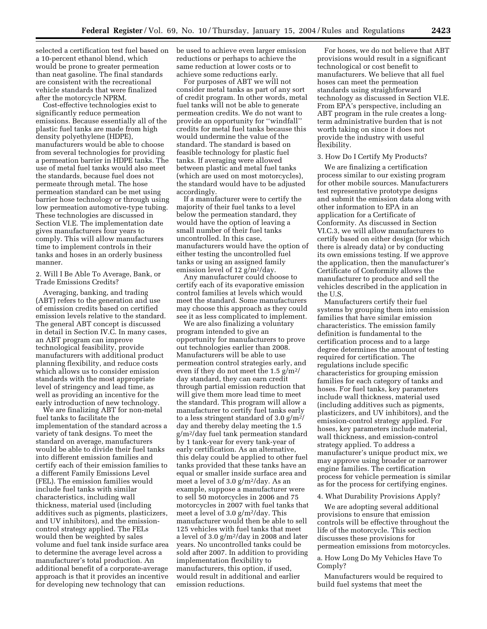selected a certification test fuel based on a 10-percent ethanol blend, which would be prone to greater permeation than neat gasoline. The final standards are consistent with the recreational vehicle standards that were finalized after the motorcycle NPRM.

Cost-effective technologies exist to significantly reduce permeation emissions. Because essentially all of the plastic fuel tanks are made from high density polyethylene (HDPE), manufacturers would be able to choose from several technologies for providing a permeation barrier in HDPE tanks. The use of metal fuel tanks would also meet the standards, because fuel does not permeate through metal. The hose permeation standard can be met using barrier hose technology or through using low permeation automotive-type tubing. These technologies are discussed in Section VI.E. The implementation date gives manufacturers four years to comply. This will allow manufacturers time to implement controls in their tanks and hoses in an orderly business manner.

2. Will I Be Able To Average, Bank, or Trade Emissions Credits?

Averaging, banking, and trading (ABT) refers to the generation and use of emission credits based on certified emission levels relative to the standard. The general ABT concept is discussed in detail in Section IV.C. In many cases, an ABT program can improve technological feasibility, provide manufacturers with additional product planning flexibility, and reduce costs which allows us to consider emission standards with the most appropriate level of stringency and lead time, as well as providing an incentive for the early introduction of new technology.

We are finalizing ABT for non-metal fuel tanks to facilitate the implementation of the standard across a variety of tank designs. To meet the standard on average, manufacturers would be able to divide their fuel tanks into different emission families and certify each of their emission families to a different Family Emissions Level (FEL). The emission families would include fuel tanks with similar characteristics, including wall thickness, material used (including additives such as pigments, plasticizers, and UV inhibitors), and the emissioncontrol strategy applied. The FELs would then be weighted by sales volume and fuel tank inside surface area to determine the average level across a manufacturer's total production. An additional benefit of a corporate-average approach is that it provides an incentive for developing new technology that can

be used to achieve even larger emission reductions or perhaps to achieve the same reduction at lower costs or to achieve some reductions early.

For purposes of ABT we will not consider metal tanks as part of any sort of credit program. In other words, metal fuel tanks will not be able to generate permeation credits. We do not want to provide an opportunity for ''windfall'' credits for metal fuel tanks because this would undermine the value of the standard. The standard is based on feasible technology for plastic fuel tanks. If averaging were allowed between plastic and metal fuel tanks (which are used on most motorcycles), the standard would have to be adjusted accordingly.

If a manufacturer were to certify the majority of their fuel tanks to a level below the permeation standard, they would have the option of leaving a small number of their fuel tanks uncontrolled. In this case, manufacturers would have the option of either testing the uncontrolled fuel tanks or using an assigned family emission level of 12 g/m<sup>2</sup>/day.

Any manufacturer could choose to certify each of its evaporative emission control families at levels which would meet the standard. Some manufacturers may choose this approach as they could see it as less complicated to implement.

We are also finalizing a voluntary program intended to give an opportunity for manufacturers to prove out technologies earlier than 2008. Manufacturers will be able to use permeation control strategies early, and even if they do not meet the 1.5  $g/m^2$ / day standard, they can earn credit through partial emission reduction that will give them more lead time to meet the standard. This program will allow a manufacturer to certify fuel tanks early to a less stringent standard of  $3.0 \text{ g/m}^2$ / day and thereby delay meeting the 1.5 g/m2/day fuel tank permeation standard by 1 tank-year for every tank-year of early certification. As an alternative, this delay could be applied to other fuel tanks provided that these tanks have an equal or smaller inside surface area and meet a level of 3.0 g/m2/day. As an example, suppose a manufacturer were to sell 50 motorcycles in 2006 and 75 motorcycles in 2007 with fuel tanks that meet a level of 3.0 g/m2/day. This manufacturer would then be able to sell 125 vehicles with fuel tanks that meet a level of  $3.0 g/m^2/day$  in 2008 and later years. No uncontrolled tanks could be sold after 2007. In addition to providing implementation flexibility to manufacturers, this option, if used, would result in additional and earlier emission reductions.

For hoses, we do not believe that ABT provisions would result in a significant technological or cost benefit to manufacturers. We believe that all fuel hoses can meet the permeation standards using straightforward technology as discussed in Section VI.E. From EPA's perspective, including an ABT program in the rule creates a longterm administrative burden that is not worth taking on since it does not provide the industry with useful flexibility.

# 3. How Do I Certify My Products?

We are finalizing a certification process similar to our existing program for other mobile sources. Manufacturers test representative prototype designs and submit the emission data along with other information to EPA in an application for a Certificate of Conformity. As discussed in Section VI.C.3, we will allow manufacturers to certify based on either design (for which there is already data) or by conducting its own emissions testing. If we approve the application, then the manufacturer's Certificate of Conformity allows the manufacturer to produce and sell the vehicles described in the application in the U.S.

Manufacturers certify their fuel systems by grouping them into emission families that have similar emission characteristics. The emission family definition is fundamental to the certification process and to a large degree determines the amount of testing required for certification. The regulations include specific characteristics for grouping emission families for each category of tanks and hoses. For fuel tanks, key parameters include wall thickness, material used (including additives such as pigments, plasticizers, and UV inhibitors), and the emission-control strategy applied. For hoses, key parameters include material, wall thickness, and emission-control strategy applied. To address a manufacturer's unique product mix, we may approve using broader or narrower engine families. The certification process for vehicle permeation is similar as for the process for certifying engines.

# 4. What Durability Provisions Apply?

We are adopting several additional provisions to ensure that emission controls will be effective throughout the life of the motorcycle. This section discusses these provisions for permeation emissions from motorcycles.

# a. How Long Do My Vehicles Have To Comply?

Manufacturers would be required to build fuel systems that meet the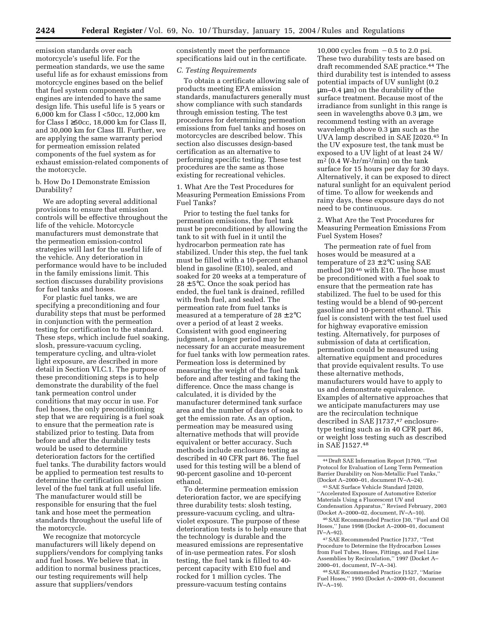emission standards over each motorcycle's useful life. For the permeation standards, we use the same useful life as for exhaust emissions from motorcycle engines based on the belief that fuel system components and engines are intended to have the same design life. This useful life is 5 years or 6,000 km for Class I <50cc, 12,000 km for Class I ≥50cc, 18,000 km for Class II, and 30,000 km for Class III. Further, we are applying the same warranty period for permeation emission related components of the fuel system as for exhaust emission-related components of the motorcycle.

b. How Do I Demonstrate Emission Durability?

We are adopting several additional provisions to ensure that emission controls will be effective throughout the life of the vehicle. Motorcycle manufacturers must demonstrate that the permeation emission-control strategies will last for the useful life of the vehicle. Any deterioration in performance would have to be included in the family emissions limit. This section discusses durability provisions for fuel tanks and hoses.

For plastic fuel tanks, we are specifying a preconditioning and four durability steps that must be performed in conjunction with the permeation testing for certification to the standard. These steps, which include fuel soaking, slosh, pressure-vacuum cycling, temperature cycling, and ultra-violet light exposure, are described in more detail in Section VI.C.1. The purpose of these preconditioning steps is to help demonstrate the durability of the fuel tank permeation control under conditions that may occur in use. For fuel hoses, the only preconditioning step that we are requiring is a fuel soak to ensure that the permeation rate is stabilized prior to testing. Data from before and after the durability tests would be used to determine deterioration factors for the certified fuel tanks. The durability factors would be applied to permeation test results to determine the certification emission level of the fuel tank at full useful life. The manufacturer would still be responsible for ensuring that the fuel tank and hose meet the permeation standards throughout the useful life of the motorcycle.

We recognize that motorcycle manufacturers will likely depend on suppliers/vendors for complying tanks and fuel hoses. We believe that, in addition to normal business practices, our testing requirements will help assure that suppliers/vendors

consistently meet the performance specifications laid out in the certificate.

#### *C. Testing Requirements*

To obtain a certificate allowing sale of products meeting EPA emission standards, manufacturers generally must show compliance with such standards through emission testing. The test procedures for determining permeation emissions from fuel tanks and hoses on motorcycles are described below. This section also discusses design-based certification as an alternative to performing specific testing. These test procedures are the same as those existing for recreational vehicles.

1. What Are the Test Procedures for Measuring Permeation Emissions From Fuel Tanks?

Prior to testing the fuel tanks for permeation emissions, the fuel tank must be preconditioned by allowing the tank to sit with fuel in it until the hydrocarbon permeation rate has stabilized. Under this step, the fuel tank must be filled with a 10-percent ethanol blend in gasoline (E10), sealed, and soaked for 20 weeks at a temperature of  $28 \pm 5^{\circ}$ C. Once the soak period has ended, the fuel tank is drained, refilled with fresh fuel, and sealed. The permeation rate from fuel tanks is measured at a temperature of  $28 \pm 2^{\circ}$ C over a period of at least 2 weeks. Consistent with good engineering judgment, a longer period may be necessary for an accurate measurement for fuel tanks with low permeation rates. Permeation loss is determined by measuring the weight of the fuel tank before and after testing and taking the difference. Once the mass change is calculated, it is divided by the manufacturer determined tank surface area and the number of days of soak to get the emission rate. As an option, permeation may be measured using alternative methods that will provide equivalent or better accuracy. Such methods include enclosure testing as described in 40 CFR part 86. The fuel used for this testing will be a blend of 90-percent gasoline and 10-percent ethanol.

To determine permeation emission deterioration factor, we are specifying three durability tests: slosh testing, pressure-vacuum cycling, and ultraviolet exposure. The purpose of these deterioration tests is to help ensure that the technology is durable and the measured emissions are representative of in-use permeation rates. For slosh testing, the fuel tank is filled to 40 percent capacity with E10 fuel and rocked for 1 million cycles. The pressure-vacuum testing contains

10,000 cycles from  $-0.5$  to 2.0 psi. These two durability tests are based on draft recommended SAE practice.44 The third durability test is intended to assess potential impacts of UV sunlight (0.2 µm–0.4 µm) on the durability of the surface treatment. Because most of the irradiance from sunlight in this range is seen in wavelengths above 0.3 µm, we recommend testing with an average wavelength above 0.3 µm such as the UVA lamp described in SAE J2020.45 In the UV exposure test, the tank must be exposed to a UV light of at least 24 W/  $m<sup>2</sup>$  (0.4 W-hr/m<sup>2</sup>/min) on the tank surface for 15 hours per day for 30 days. Alternatively, it can be exposed to direct natural sunlight for an equivalent period of time. To allow for weekends and rainy days, these exposure days do not need to be continuous.

2. What Are the Test Procedures for Measuring Permeation Emissions From Fuel System Hoses?

The permeation rate of fuel from hoses would be measured at a temperature of  $23 \pm 2$ °C using SAE method J30 46 with E10. The hose must be preconditioned with a fuel soak to ensure that the permeation rate has stabilized. The fuel to be used for this testing would be a blend of 90-percent gasoline and 10-percent ethanol. This fuel is consistent with the test fuel used for highway evaporative emission testing. Alternatively, for purposes of submission of data at certification, permeation could be measured using alternative equipment and procedures that provide equivalent results. To use these alternative methods, manufacturers would have to apply to us and demonstrate equivalence. Examples of alternative approaches that we anticipate manufacturers may use are the recirculation technique described in SAE J1737,47 enclosuretype testing such as in 40 CFR part 86, or weight loss testing such as described in SAE J1527.48

<sup>44</sup> Draft SAE Information Report J1769, ''Test Protocol for Evaluation of Long Term Permeation Barrier Durability on Non-Metallic Fuel Tanks,'' (Docket A–2000–01, document IV–A–24).

<sup>45</sup>SAE Surface Vehicle Standard J2020, ''Accelerated Exposure of Automotive Exterior Materials Using a Fluorescent UV and Condensation Apparatus,'' Revised February, 2003 (Docket A–2000–02, document, IV–A–10).

<sup>46</sup>SAE Recommended Practice J30, ''Fuel and Oil Hoses,'' June 1998 (Docket A–2000–01, document IV–A–92).

<sup>47</sup>SAE Recommended Practice J1737, ''Test Procedure to Determine the Hydrocarbon Losses from Fuel Tubes, Hoses, Fittings, and Fuel Line Assemblies by Recirculation,'' 1997 (Docket A– 2000–01, document, IV–A–34).

<sup>48</sup>SAE Recommended Practice J1527, ''Marine Fuel Hoses,'' 1993 (Docket A–2000–01, document IV–A–19).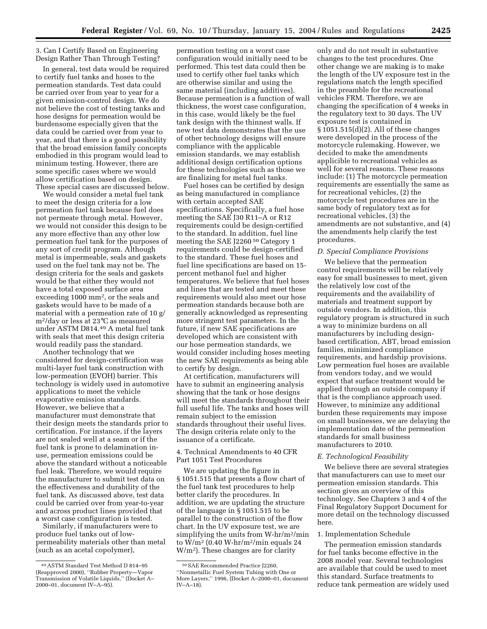3. Can I Certify Based on Engineering Design Rather Than Through Testing?

In general, test data would be required to certify fuel tanks and hoses to the permeation standards. Test data could be carried over from year to year for a given emission-control design. We do not believe the cost of testing tanks and hose designs for permeation would be burdensome especially given that the data could be carried over from year to year, and that there is a good possibility that the broad emission family concepts embodied in this program would lead to minimum testing. However, there are some specific cases where we would allow certification based on design. These special cases are discussed below.

We would consider a metal fuel tank to meet the design criteria for a low permeation fuel tank because fuel does not permeate through metal. However, we would not consider this design to be any more effective than any other low permeation fuel tank for the purposes of any sort of credit program. Although metal is impermeable, seals and gaskets used on the fuel tank may not be. The design criteria for the seals and gaskets would be that either they would not have a total exposed surface area exceeding 1000 mm2, or the seals and gaskets would have to be made of a material with a permeation rate of 10 g/ m2/day or less at 23°C as measured under ASTM D814.49 A metal fuel tank with seals that meet this design criteria would readily pass the standard.

Another technology that we considered for design-certification was multi-layer fuel tank construction with low-permeation (EVOH) barrier. This technology is widely used in automotive applications to meet the vehicle evaporative emission standards. However, we believe that a manufacturer must demonstrate that their design meets the standards prior to certification. For instance, if the layers are not sealed well at a seam or if the fuel tank is prone to delamination inuse, permeation emissions could be above the standard without a noticeable fuel leak. Therefore, we would require the manufacturer to submit test data on the effectiveness and durability of the fuel tank. As discussed above, test data could be carried over from year-to-year and across product lines provided that a worst case configuration is tested.

Similarly, if manufacturers were to produce fuel tanks out of lowpermeability materials other than metal (such as an acetal copolymer),

permeation testing on a worst case configuration would initially need to be performed. This test data could then be used to certify other fuel tanks which are otherwise similar and using the same material (including additives). Because permeation is a function of wall thickness, the worst case configuration, in this case, would likely be the fuel tank design with the thinnest walls. If new test data demonstrates that the use of other technology designs will ensure compliance with the applicable emission standards, we may establish additional design certification options for these technologies such as those we are finalizing for metal fuel tanks.

Fuel hoses can be certified by design as being manufactured in compliance with certain accepted SAE specifications. Specifically, a fuel hose meeting the SAE J30 R11–A or R12 requirements could be design-certified to the standard. In addition, fuel line meeting the SAE J2260 50 Category 1 requirements could be design-certified to the standard. These fuel hoses and fuel line specifications are based on 15 percent methanol fuel and higher temperatures. We believe that fuel hoses and lines that are tested and meet these requirements would also meet our hose permeation standards because both are generally acknowledged as representing more stringent test parameters. In the future, if new SAE specifications are developed which are consistent with our hose permeation standards, we would consider including hoses meeting the new SAE requirements as being able to certify by design.

At certification, manufacturers will have to submit an engineering analysis showing that the tank or hose designs will meet the standards throughout their full useful life. The tanks and hoses will remain subject to the emission standards throughout their useful lives. The design criteria relate only to the issuance of a certificate.

4. Technical Amendments to 40 CFR Part 1051 Test Procedures

We are updating the figure in § 1051.515 that presents a flow chart of the fuel tank test procedures to help better clarify the procedures. In addition, we are updating the structure of the language in § 1051.515 to be parallel to the construction of the flow chart. In the UV exposure test, we are simplifying the units from W-hr/m2/min to  $W/m^2$  (0.40 W-hr/m<sup>2</sup>/min equals 24 W/m2). These changes are for clarity

only and do not result in substantive changes to the test procedures. One other change we are making is to make the length of the UV exposure test in the regulations match the length specified in the preamble for the recreational vehicles FRM. Therefore, we are changing the specification of 4 weeks in the regulatory text to 30 days. The UV exposure test is contained in § 1051.515(d)(2). All of these changes were developed in the process of the motorcycle rulemaking. However, we decided to make the amendments applicible to recreational vehicles as well for several reasons. These reasons include: (1) The motorcycle permeation requirements are essentially the same as for recreational vehicles, (2) the motorcycle test procedures are in the same body of regulatory text as for recreational vehicles, (3) the amendments are not substantive, and (4) the amendments help clarify the test procedures.

#### *D. Special Compliance Provisions*

We believe that the permeation control requirements will be relatively easy for small businesses to meet, given the relatively low cost of the requirements and the availability of materials and treatment support by outside vendors. In addition, this regulatory program is structured in such a way to minimize burdens on all manufacturers by including designbased certification, ABT, broad emission families, minimized compliance requirements, and hardship provisions. Low permeation fuel hoses are available from vendors today, and we would expect that surface treatment would be applied through an outside company if that is the compliance approach used. However, to minimize any additional burden these requirements may impose on small businesses, we are delaying the implementation date of the permeation standards for small business manufacturers to 2010.

#### *E. Technological Feasibility*

We believe there are several strategies that manufacturers can use to meet our permeation emission standards. This section gives an overview of this technology. See Chapters 3 and 4 of the Final Regulatory Support Document for more detail on the technology discussed here.

# 1. Implementation Schedule

The permeation emission standards for fuel tanks become effective in the 2008 model year. Several technologies are available that could be used to meet this standard. Surface treatments to reduce tank permeation are widely used

<sup>49</sup>ASTM Standard Test Method D 814–95 (Reapproved 2000), ''Rubber Property—Vapor Transmission of Volatile Liquids,'' (Docket A– 2000–01, document IV–A–95).

<sup>50</sup>SAE Recommended Practice J2260, ''Nonmetallic Fuel System Tubing with One or More Layers,'' 1996, (Docket A–2000–01, document IV–A–18).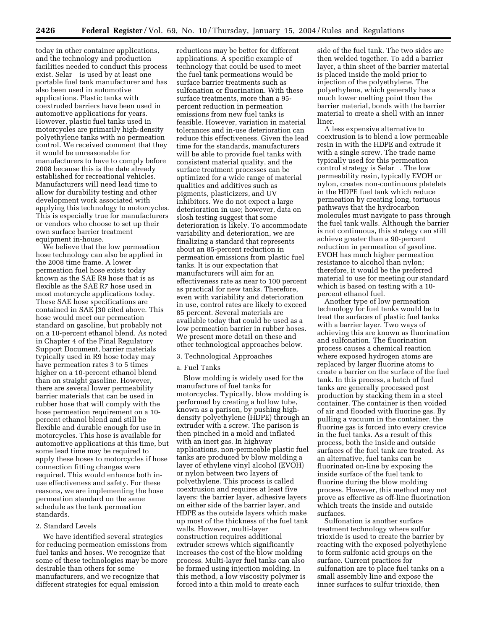today in other container applications, and the technology and production facilities needed to conduct this process exist. Selar<sup>®</sup> is used by at least one portable fuel tank manufacturer and has also been used in automotive applications. Plastic tanks with coextruded barriers have been used in automotive applications for years. However, plastic fuel tanks used in motorcycles are primarily high-density polyethylene tanks with no permeation control. We received comment that they it would be unreasonable for manufacturers to have to comply before 2008 because this is the date already established for recreational vehicles. Manufacturers will need lead time to allow for durability testing and other development work associated with applying this technology to motorcycles. This is especially true for manufacturers or vendors who choose to set up their own surface barrier treatment equipment in-house.

We believe that the low permeation hose technology can also be applied in the 2008 time frame. A lower permeation fuel hose exists today known as the SAE R9 hose that is as flexible as the SAE R7 hose used in most motorcycle applications today. These SAE hose specifications are contained in SAE J30 cited above. This hose would meet our permeation standard on gasoline, but probably not on a 10-percent ethanol blend. As noted in Chapter 4 of the Final Regulatory Support Document, barrier materials typically used in R9 hose today may have permeation rates 3 to 5 times higher on a 10-percent ethanol blend than on straight gasoline. However, there are several lower permeability barrier materials that can be used in rubber hose that will comply with the hose permeation requirement on a 10 percent ethanol blend and still be flexible and durable enough for use in motorcycles. This hose is available for automotive applications at this time, but some lead time may be required to apply these hoses to motorcycles if hose connection fitting changes were required. This would enhance both inuse effectiveness and safety. For these reasons, we are implementing the hose permeation standard on the same schedule as the tank permeation standards.

#### 2. Standard Levels

We have identified several strategies for reducing permeation emissions from fuel tanks and hoses. We recognize that some of these technologies may be more desirable than others for some manufacturers, and we recognize that different strategies for equal emission

reductions may be better for different applications. A specific example of technology that could be used to meet the fuel tank permeations would be surface barrier treatments such as sulfonation or fluorination. With these surface treatments, more than a 95 percent reduction in permeation emissions from new fuel tanks is feasible. However, variation in material tolerances and in-use deterioration can reduce this effectiveness. Given the lead time for the standards, manufacturers will be able to provide fuel tanks with consistent material quality, and the surface treatment processes can be optimized for a wide range of material qualities and additives such as pigments, plasticizers, and UV inhibitors. We do not expect a large deterioration in use; however, data on slosh testing suggest that some deterioration is likely. To accommodate variability and deterioration, we are finalizing a standard that represents about an 85-percent reduction in permeation emissions from plastic fuel tanks. It is our expectation that manufacturers will aim for an effectiveness rate as near to 100 percent as practical for new tanks. Therefore, even with variability and deterioration in use, control rates are likely to exceed 85 percent. Several materials are available today that could be used as a low permeation barrier in rubber hoses. We present more detail on these and other technological approaches below.

#### 3. Technological Approaches

# a. Fuel Tanks

Blow molding is widely used for the manufacture of fuel tanks for motorcycles. Typically, blow molding is performed by creating a hollow tube, known as a parison, by pushing highdensity polyethylene (HDPE) through an extruder with a screw. The parison is then pinched in a mold and inflated with an inert gas. In highway applications, non-permeable plastic fuel tanks are produced by blow molding a layer of ethylene vinyl alcohol (EVOH) or nylon between two layers of polyethylene. This process is called coextrusion and requires at least five layers: the barrier layer, adhesive layers on either side of the barrier layer, and HDPE as the outside layers which make up most of the thickness of the fuel tank walls. However, multi-layer construction requires additional extruder screws which significantly increases the cost of the blow molding process. Multi-layer fuel tanks can also be formed using injection molding. In this method, a low viscosity polymer is forced into a thin mold to create each

side of the fuel tank. The two sides are then welded together. To add a barrier layer, a thin sheet of the barrier material is placed inside the mold prior to injection of the polyethylene. The polyethylene, which generally has a much lower melting point than the barrier material, bonds with the barrier material to create a shell with an inner liner.

A less expensive alternative to coextrusion is to blend a low permeable resin in with the HDPE and extrude it with a single screw. The trade name typically used for this permeation control strategy is Selar®. The low permeability resin, typically EVOH or nylon, creates non-continuous platelets in the HDPE fuel tank which reduce permeation by creating long, tortuous pathways that the hydrocarbon molecules must navigate to pass through the fuel tank walls. Although the barrier is not continuous, this strategy can still achieve greater than a 90-percent reduction in permeation of gasoline. EVOH has much higher permeation resistance to alcohol than nylon; therefore, it would be the preferred material to use for meeting our standard which is based on testing with a 10 percent ethanol fuel.

Another type of low permeation technology for fuel tanks would be to treat the surfaces of plastic fuel tanks with a barrier layer. Two ways of achieving this are known as fluorination and sulfonation. The fluorination process causes a chemical reaction where exposed hydrogen atoms are replaced by larger fluorine atoms to create a barrier on the surface of the fuel tank. In this process, a batch of fuel tanks are generally processed post production by stacking them in a steel container. The container is then voided of air and flooded with fluorine gas. By pulling a vacuum in the container, the fluorine gas is forced into every crevice in the fuel tanks. As a result of this process, both the inside and outside surfaces of the fuel tank are treated. As an alternative, fuel tanks can be fluorinated on-line by exposing the inside surface of the fuel tank to fluorine during the blow molding process. However, this method may not prove as effective as off-line fluorination which treats the inside and outside surfaces.

Sulfonation is another surface treatment technology where sulfur trioxide is used to create the barrier by reacting with the exposed polyethylene to form sulfonic acid groups on the surface. Current practices for sulfonation are to place fuel tanks on a small assembly line and expose the inner surfaces to sulfur trioxide, then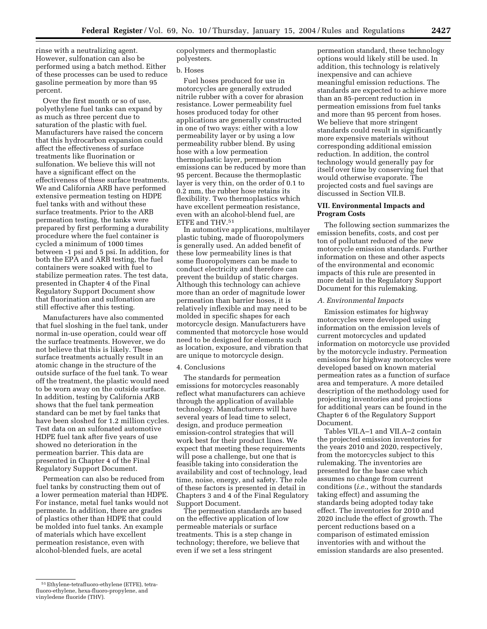rinse with a neutralizing agent. However, sulfonation can also be performed using a batch method. Either of these processes can be used to reduce gasoline permeation by more than 95 percent.

Over the first month or so of use, polyethylene fuel tanks can expand by as much as three percent due to saturation of the plastic with fuel. Manufacturers have raised the concern that this hydrocarbon expansion could affect the effectiveness of surface treatments like fluorination or sulfonation. We believe this will not have a significant effect on the effectiveness of these surface treatments. We and California ARB have performed extensive permeation testing on HDPE fuel tanks with and without these surface treatments. Prior to the ARB permeation testing, the tanks were prepared by first performing a durability procedure where the fuel container is cycled a minimum of 1000 times between -1 psi and 5 psi. In addition, for both the EPA and ARB testing, the fuel containers were soaked with fuel to stabilize permeation rates. The test data, presented in Chapter 4 of the Final Regulatory Support Document show that fluorination and sulfonation are still effective after this testing.

Manufacturers have also commented that fuel sloshing in the fuel tank, under normal in-use operation, could wear off the surface treatments. However, we do not believe that this is likely. These surface treatments actually result in an atomic change in the structure of the outside surface of the fuel tank. To wear off the treatment, the plastic would need to be worn away on the outside surface. In addition, testing by California ARB shows that the fuel tank permeation standard can be met by fuel tanks that have been sloshed for 1.2 million cycles. Test data on an sulfonated automotive HDPE fuel tank after five years of use showed no deterioration in the permeation barrier. This data are presented in Chapter 4 of the Final Regulatory Support Document.

Permeation can also be reduced from fuel tanks by constructing them out of a lower permeation material than HDPE. For instance, metal fuel tanks would not permeate. In addition, there are grades of plastics other than HDPE that could be molded into fuel tanks. An example of materials which have excellent permeation resistance, even with alcohol-blended fuels, are acetal

copolymers and thermoplastic polyesters.

#### b. Hoses

Fuel hoses produced for use in motorcycles are generally extruded nitrile rubber with a cover for abrasion resistance. Lower permeability fuel hoses produced today for other applications are generally constructed in one of two ways: either with a low permeability layer or by using a low permeability rubber blend. By using hose with a low permeation thermoplastic layer, permeation emissions can be reduced by more than 95 percent. Because the thermoplastic layer is very thin, on the order of 0.1 to 0.2 mm, the rubber hose retains its flexibility. Two thermoplastics which have excellent permeation resistance, even with an alcohol-blend fuel, are ETFE and THV.51

In automotive applications, multilayer plastic tubing, made of fluoropolymers is generally used. An added benefit of these low permeability lines is that some fluoropolymers can be made to conduct electricity and therefore can prevent the buildup of static charges. Although this technology can achieve more than an order of magnitude lower permeation than barrier hoses, it is relatively inflexible and may need to be molded in specific shapes for each motorcycle design. Manufacturers have commented that motorcycle hose would need to be designed for elements such as location, exposure, and vibration that are unique to motorcycle design.

#### 4. Conclusions

The standards for permeation emissions for motorcycles reasonably reflect what manufacturers can achieve through the application of available technology. Manufacturers will have several years of lead time to select, design, and produce permeation emission-control strategies that will work best for their product lines. We expect that meeting these requirements will pose a challenge, but one that is feasible taking into consideration the availability and cost of technology, lead time, noise, energy, and safety. The role of these factors is presented in detail in Chapters 3 and 4 of the Final Regulatory Support Document.

The permeation standards are based on the effective application of low permeable materials or surface treatments. This is a step change in technology; therefore, we believe that even if we set a less stringent

permeation standard, these technology options would likely still be used. In addition, this technology is relatively inexpensive and can achieve meaningful emission reductions. The standards are expected to achieve more than an 85-percent reduction in permeation emissions from fuel tanks and more than 95 percent from hoses. We believe that more stringent standards could result in significantly more expensive materials without corresponding additional emission reduction. In addition, the control technology would generally pay for itself over time by conserving fuel that would otherwise evaporate. The projected costs and fuel savings are discussed in Section VII.B.

# **VII. Environmental Impacts and Program Costs**

The following section summarizes the emission benefits, costs, and cost per ton of pollutant reduced of the new motorcycle emission standards. Further information on these and other aspects of the environmental and economic impacts of this rule are presented in more detail in the Regulatory Support Document for this rulemaking.

# *A. Environmental Impacts*

Emission estimates for highway motorcycles were developed using information on the emission levels of current motorcycles and updated information on motorcycle use provided by the motorcycle industry. Permeation emissions for highway motorcycles were developed based on known material permeation rates as a function of surface area and temperature. A more detailed description of the methodology used for projecting inventories and projections for additional years can be found in the Chapter 6 of the Regulatory Support Document.

Tables VII.A–1 and VII.A–2 contain the projected emission inventories for the years 2010 and 2020, respectively, from the motorcycles subject to this rulemaking. The inventories are presented for the base case which assumes no change from current conditions (*i.e.*, without the standards taking effect) and assuming the standards being adopted today take effect. The inventories for 2010 and 2020 include the effect of growth. The percent reductions based on a comparison of estimated emission inventories with and without the emission standards are also presented.

<sup>51</sup>Ethylene-tetrafluoro-ethylene (ETFE), tetrafluoro-ethylene, hexa-fluoro-propylene, and vinyledene fluoride (THV).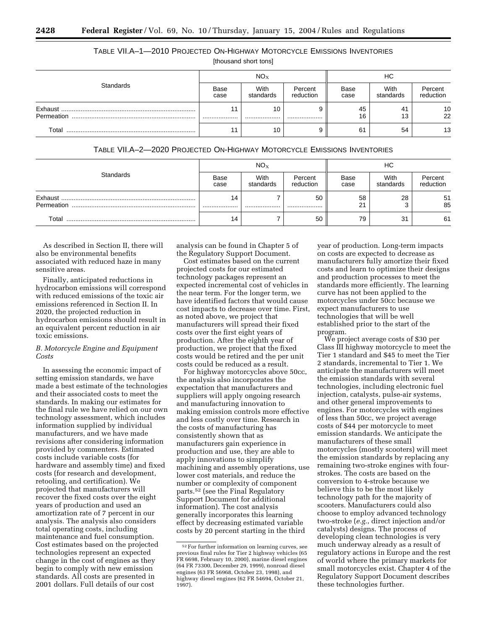# TABLE VII.A–1—2010 PROJECTED ON-HIGHWAY MOTORCYCLE EMISSIONS INVENTORIES

[thousand short tons]

|            | $NO_{X}$     |                   |                      | НC           |                   |                      |
|------------|--------------|-------------------|----------------------|--------------|-------------------|----------------------|
| Standards  | Base<br>case | With<br>standards | Percent<br>reduction | Base<br>case | With<br>standards | Percent<br>reduction |
| Permeation |              | 10<br>            |                      | 45<br>16     | 41<br>13          | $\frac{10}{22}$      |
| Total      |              | 10                |                      | 61           | 54                | 13                   |

TABLE VII.A–2—2020 PROJECTED ON-HIGHWAY MOTORCYCLE EMISSIONS INVENTORIES

|            | $NO_{X}$     |                   |                      | НC               |                   |                      |
|------------|--------------|-------------------|----------------------|------------------|-------------------|----------------------|
| Standards  | Base<br>case | With<br>standards | Percent<br>reduction | Base<br>case     | With<br>standards | Percent<br>reduction |
| Permeation | 14<br>       |                   | 50<br>               | 58<br>$^{\circ}$ | 28                | $\frac{51}{85}$      |
| Total      | 14           |                   | 50                   | 79               | 31                | 61                   |

As described in Section II, there will also be environmental benefits associated with reduced haze in many sensitive areas.

Finally, anticipated reductions in hydrocarbon emissions will correspond with reduced emissions of the toxic air emissions referenced in Section II. In 2020, the projected reduction in hydrocarbon emissions should result in an equivalent percent reduction in air toxic emissions.

# *B. Motorcycle Engine and Equipment Costs*

In assessing the economic impact of setting emission standards, we have made a best estimate of the technologies and their associated costs to meet the standards. In making our estimates for the final rule we have relied on our own technology assessment, which includes information supplied by individual manufacturers, and we have made revisions after considering information provided by commenters. Estimated costs include variable costs (for hardware and assembly time) and fixed costs (for research and development, retooling, and certification). We projected that manufacturers will recover the fixed costs over the eight years of production and used an amortization rate of 7 percent in our analysis. The analysis also considers total operating costs, including maintenance and fuel consumption. Cost estimates based on the projected technologies represent an expected change in the cost of engines as they begin to comply with new emission standards. All costs are presented in 2001 dollars. Full details of our cost

analysis can be found in Chapter 5 of the Regulatory Support Document.

Cost estimates based on the current projected costs for our estimated technology packages represent an expected incremental cost of vehicles in the near term. For the longer term, we have identified factors that would cause cost impacts to decrease over time. First, as noted above, we project that manufacturers will spread their fixed costs over the first eight years of production. After the eighth year of production, we project that the fixed costs would be retired and the per unit costs could be reduced as a result.

For highway motorcycles above 50cc, the analysis also incorporates the expectation that manufacturers and suppliers will apply ongoing research and manufacturing innovation to making emission controls more effective and less costly over time. Research in the costs of manufacturing has consistently shown that as manufacturers gain experience in production and use, they are able to apply innovations to simplify machining and assembly operations, use lower cost materials, and reduce the number or complexity of component parts.52 (see the Final Regulatory Support Document for additional information). The cost analysis generally incorporates this learning effect by decreasing estimated variable costs by 20 percent starting in the third

year of production. Long-term impacts on costs are expected to decrease as manufacturers fully amortize their fixed costs and learn to optimize their designs and production processes to meet the standards more efficiently. The learning curve has not been applied to the motorcycles under 50cc because we expect manufacturers to use technologies that will be well established prior to the start of the program.

We project average costs of \$30 per Class III highway motorcycle to meet the Tier 1 standard and \$45 to meet the Tier 2 standards, incremental to Tier 1. We anticipate the manufacturers will meet the emission standards with several technologies, including electronic fuel injection, catalysts, pulse-air systems, and other general improvements to engines. For motorcycles with engines of less than 50cc, we project average costs of \$44 per motorcycle to meet emission standards. We anticipate the manufacturers of these small motorcycles (mostly scooters) will meet the emission standards by replacing any remaining two-stroke engines with fourstrokes. The costs are based on the conversion to 4-stroke because we believe this to be the most likely technology path for the majority of scooters. Manufacturers could also choose to employ advanced technology two-stroke (*e.g.*, direct injection and/or catalysts) designs. The process of developing clean technologies is very much underway already as a result of regulatory actions in Europe and the rest of world where the primary markets for small motorcycles exist. Chapter 4 of the Regulatory Support Document describes these technologies further.

<sup>52</sup>For further information on learning curves, see previous final rules for Tier 2 highway vehicles (65 FR 6698, February 10, 2000), marine diesel engines (64 FR 73300, December 29, 1999), nonroad diesel engines (63 FR 56968, October 23, 1998), and highway diesel engines (62 FR 54694, October 21, 1997).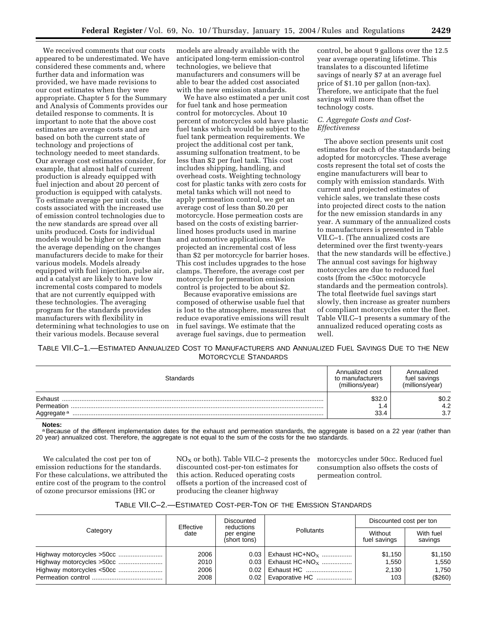We received comments that our costs appeared to be underestimated. We have considered these comments and, where further data and information was provided, we have made revisions to our cost estimates when they were appropriate. Chapter 5 for the Summary and Analysis of Comments provides our detailed response to comments. It is important to note that the above cost estimates are average costs and are based on both the current state of technology and projections of technology needed to meet standards. Our average cost estimates consider, for example, that almost half of current production is already equipped with fuel injection and about 20 percent of production is equipped with catalysts. To estimate average per unit costs, the costs associated with the increased use of emission control technologies due to the new standards are spread over all units produced. Costs for individual models would be higher or lower than the average depending on the changes manufacturers decide to make for their various models. Models already equipped with fuel injection, pulse air, and a catalyst are likely to have low incremental costs compared to models that are not currently equipped with these technologies. The averaging program for the standards provides manufacturers with flexibility in determining what technologies to use on their various models. Because several

models are already available with the anticipated long-term emission-control technologies, we believe that manufacturers and consumers will be able to bear the added cost associated with the new emission standards.

We have also estimated a per unit cost for fuel tank and hose permeation control for motorcycles. About 10 percent of motorcycles sold have plastic fuel tanks which would be subject to the fuel tank permeation requirements. We project the additional cost per tank, assuming sulfonation treatment, to be less than \$2 per fuel tank. This cost includes shipping, handling, and overhead costs. Weighting technology cost for plastic tanks with zero costs for metal tanks which will not need to apply permeation control, we get an average cost of less than \$0.20 per motorcycle. Hose permeation costs are based on the costs of existing barrierlined hoses products used in marine and automotive applications. We projected an incremental cost of less than \$2 per motorcycle for barrier hoses. This cost includes upgrades to the hose clamps. Therefore, the average cost per motorcycle for permeation emission control is projected to be about \$2.

Because evaporative emissions are composed of otherwise usable fuel that is lost to the atmosphere, measures that reduce evaporative emissions will result in fuel savings. We estimate that the average fuel savings, due to permeation

control, be about 9 gallons over the 12.5 year average operating lifetime. This translates to a discounted lifetime savings of nearly \$7 at an average fuel price of \$1.10 per gallon (non-tax). Therefore, we anticipate that the fuel savings will more than offset the technology costs.

# *C. Aggregate Costs and Cost-Effectiveness*

The above section presents unit cost estimates for each of the standards being adopted for motorcycles. These average costs represent the total set of costs the engine manufacturers will bear to comply with emission standards. With current and projected estimates of vehicle sales, we translate these costs into projected direct costs to the nation for the new emission standards in any year. A summary of the annualized costs to manufacturers is presented in Table VII.C–1. (The annualized costs are determined over the first twenty-years that the new standards will be effective.) The annual cost savings for highway motorcycles are due to reduced fuel costs (from the <50cc motorcycle standards and the permeation controls). The total fleetwide fuel savings start slowly, then increase as greater numbers of compliant motorcycles enter the fleet. Table VII.C–1 presents a summary of the annualized reduced operating costs as well.

TABLE VII.C–1.—ESTIMATED ANNUALIZED COST TO MANUFACTURERS AND ANNUALIZED FUEL SAVINGS DUE TO THE NEW MOTORCYCLE STANDARDS

| Standards                                       | Annualized cost<br>to manufacturers<br>(millions/year) | Annualized<br>fuel savings<br>(millions/year) |
|-------------------------------------------------|--------------------------------------------------------|-----------------------------------------------|
| Exhaust<br>Permeation<br>Aggregate <sup>a</sup> | \$32.0<br>1.4<br>33.4                                  | \$0.2<br>4.2<br>3.7                           |

#### **Notes:**

a Because of the different implementation dates for the exhaust and permeation standards, the aggregate is based on a 22 year (rather than 20 year) annualized cost. Therefore, the aggregate is not equal to the sum of the costs for the two standards.

We calculated the cost per ton of emission reductions for the standards. For these calculations, we attributed the entire cost of the program to the control of ozone precursor emissions (HC or

 $NO<sub>X</sub>$  or both). Table VII.C–2 presents the discounted cost-per-ton estimates for this action. Reduced operating costs offsets a portion of the increased cost of producing the cleaner highway

motorcycles under 50cc. Reduced fuel consumption also offsets the costs of permeation control.

| TABLE VII.C-2.-ESTIMATED COST-PER-TON OF THE EMISSION STANDARDS |  |  |  |  |  |  |
|-----------------------------------------------------------------|--|--|--|--|--|--|
|-----------------------------------------------------------------|--|--|--|--|--|--|

|          | Effective                          | Discounted<br>reductions |                              | Discounted cost per ton |                      |
|----------|------------------------------------|--------------------------|------------------------------|-------------------------|----------------------|
| Category | date<br>per engine<br>(short tons) |                          | Pollutants                   | Without<br>fuel savings | With fuel<br>savings |
|          | 2006                               | $0.03 \perp$             | i Exhaust HC+NO <sub>x</sub> | \$1.150                 | \$1,150              |
|          | 2010                               | 0.03                     | Exhaust $HC + NO_X$          | 1.550                   | 1.550                |
|          | 2006                               | 0.02                     | Exhaust HC                   | 2.130                   | 1.750                |
|          | 2008                               |                          | $0.02$   Evaporative HC      | 103                     | (\$260)              |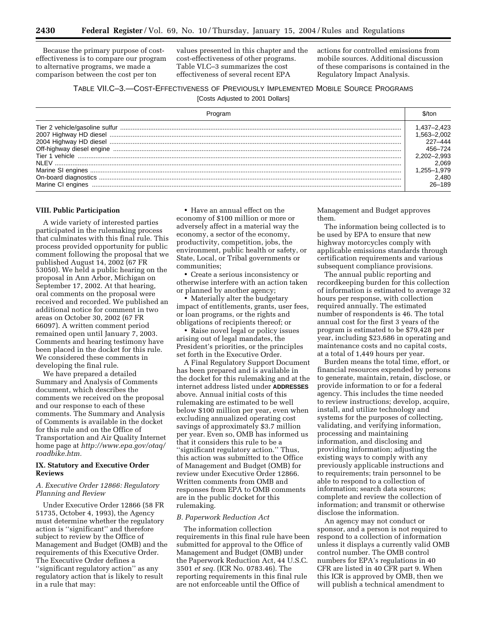Because the primary purpose of costeffectiveness is to compare our program to alternative programs, we made a comparison between the cost per ton

values presented in this chapter and the cost-effectiveness of other programs. Table VI.C–3 summarizes the cost effectiveness of several recent EPA

actions for controlled emissions from mobile sources. Additional discussion of these comparisons is contained in the Regulatory Impact Analysis.

# TABLE VII.C–3.—COST-EFFECTIVENESS OF PREVIOUSLY IMPLEMENTED MOBILE SOURCE PROGRAMS

[Costs Adjusted to 2001 Dollars]

| Program           |                |
|-------------------|----------------|
|                   | .437–2.423     |
|                   | $.563 - 2.002$ |
|                   | 227-444        |
|                   | 456–724        |
|                   | 2.202–2.993    |
| NI FV             | 2,069          |
|                   | .255-1.979     |
|                   | 2.480          |
| Marine CI engines | 26–189         |

#### **VIII. Public Participation**

A wide variety of interested parties participated in the rulemaking process that culminates with this final rule. This process provided opportunity for public comment following the proposal that we published August 14, 2002 (67 FR 53050). We held a public hearing on the proposal in Ann Arbor, Michigan on September 17, 2002. At that hearing, oral comments on the proposal were received and recorded. We published an additional notice for comment in two areas on October 30, 2002 (67 FR 66097). A written comment period remained open until January 7, 2003. Comments and hearing testimony have been placed in the docket for this rule. We considered these comments in developing the final rule.

We have prepared a detailed Summary and Analysis of Comments document, which describes the comments we received on the proposal and our response to each of these comments. The Summary and Analysis of Comments is available in the docket for this rule and on the Office of Transportation and Air Quality Internet home page at *http://www.epa.gov/otaq/ roadbike.htm.*

# **IX. Statutory and Executive Order Reviews**

# *A. Executive Order 12866: Regulatory Planning and Review*

Under Executive Order 12866 (58 FR 51735, October 4, 1993), the Agency must determine whether the regulatory action is ''significant'' and therefore subject to review by the Office of Management and Budget (OMB) and the requirements of this Executive Order. The Executive Order defines a ''significant regulatory action'' as any regulatory action that is likely to result in a rule that may:

• Have an annual effect on the economy of \$100 million or more or adversely affect in a material way the economy, a sector of the economy, productivity, competition, jobs, the environment, public health or safety, or State, Local, or Tribal governments or communities;

• Create a serious inconsistency or otherwise interfere with an action taken or planned by another agency;

• Materially alter the budgetary impact of entitlements, grants, user fees, or loan programs, or the rights and obligations of recipients thereof; or

• Raise novel legal or policy issues arising out of legal mandates, the President's priorities, or the principles set forth in the Executive Order.

A Final Regulatory Support Document has been prepared and is available in the docket for this rulemaking and at the internet address listed under **ADDRESSES** above. Annual initial costs of this rulemaking are estimated to be well below \$100 million per year, even when excluding annualized operating cost savings of approximately \$3.7 million per year. Even so, OMB has informed us that it considers this rule to be a ''significant regulatory action.'' Thus, this action was submitted to the Office of Management and Budget (OMB) for review under Executive Order 12866. Written comments from OMB and responses from EPA to OMB comments are in the public docket for this rulemaking.

#### *B. Paperwork Reduction Act*

The information collection requirements in this final rule have been submitted for approval to the Office of Management and Budget (OMB) under the Paperwork Reduction Act, 44 U.S.C. 3501 *et seq.* (ICR No. 0783.46). The reporting requirements in this final rule are not enforceable until the Office of

Management and Budget approves them.

The information being collected is to be used by EPA to ensure that new highway motorcycles comply with applicable emissions standards through certification requirements and various subsequent compliance provisions.

The annual public reporting and recordkeeping burden for this collection of information is estimated to average 32 hours per response, with collection required annually. The estimated number of respondents is 46. The total annual cost for the first 3 years of the program is estimated to be \$79,428 per year, including \$23,686 in operating and maintenance costs and no capital costs, at a total of 1,449 hours per year.

Burden means the total time, effort, or financial resources expended by persons to generate, maintain, retain, disclose, or provide information to or for a federal agency. This includes the time needed to review instructions; develop, acquire, install, and utilize technology and systems for the purposes of collecting, validating, and verifying information, processing and maintaining information, and disclosing and providing information; adjusting the existing ways to comply with any previously applicable instructions and to requirements; train personnel to be able to respond to a collection of information; search data sources; complete and review the collection of information; and transmit or otherwise disclose the information.

An agency may not conduct or sponsor, and a person is not required to respond to a collection of information unless it displays a currently valid OMB control number. The OMB control numbers for EPA's regulations in 40 CFR are listed in 40 CFR part 9. When this ICR is approved by OMB, then we will publish a technical amendment to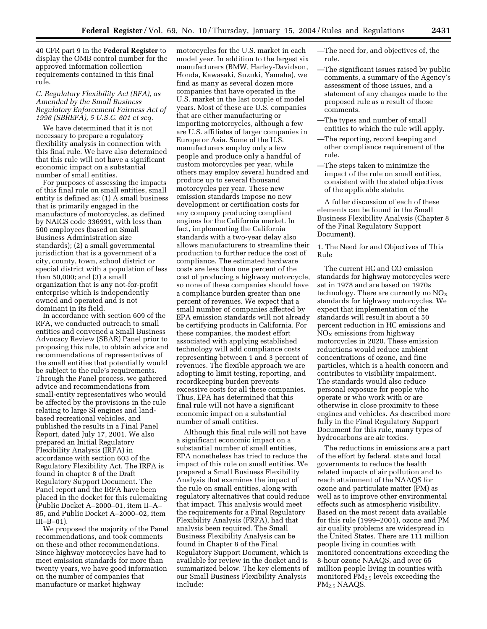40 CFR part 9 in the **Federal Register** to display the OMB control number for the approved information collection requirements contained in this final rule.

# *C. Regulatory Flexibility Act (RFA), as Amended by the Small Business Regulatory Enforcement Fairness Act of 1996 (SBREFA), 5 U.S.C. 601 et seq.*

We have determined that it is not necessary to prepare a regulatory flexibility analysis in connection with this final rule. We have also determined that this rule will not have a significant economic impact on a substantial number of small entities.

For purposes of assessing the impacts of this final rule on small entities, small entity is defined as: (1) A small business that is primarily engaged in the manufacture of motorcycles, as defined by NAICS code 336991, with less than 500 employees (based on Small Business Administration size standards); (2) a small governmental jurisdiction that is a government of a city, county, town, school district or special district with a population of less than 50,000; and (3) a small organization that is any not-for-profit enterprise which is independently owned and operated and is not dominant in its field.

In accordance with section 609 of the RFA, we conducted outreach to small entities and convened a Small Business Advocacy Review (SBAR) Panel prior to proposing this rule, to obtain advice and recommendations of representatives of the small entities that potentially would be subject to the rule's requirements. Through the Panel process, we gathered advice and recommendations from small-entity representatives who would be affected by the provisions in the rule relating to large SI engines and landbased recreational vehicles, and published the results in a Final Panel Report, dated July 17, 2001. We also prepared an Initial Regulatory Flexibility Analysis (IRFA) in accordance with section 603 of the Regulatory Flexibility Act. The IRFA is found in chapter 8 of the Draft Regulatory Support Document. The Panel report and the IRFA have been placed in the docket for this rulemaking (Public Docket A–2000–01, item II–A– 85, and Public Docket A–2000–02, item III–B–01).

We proposed the majority of the Panel recommendations, and took comments on these and other recommendations. Since highway motorcycles have had to meet emission standards for more than twenty years, we have good information on the number of companies that manufacture or market highway

motorcycles for the U.S. market in each model year. In addition to the largest six manufacturers (BMW, Harley-Davidson, Honda, Kawasaki, Suzuki, Yamaha), we find as many as several dozen more companies that have operated in the U.S. market in the last couple of model years. Most of these are U.S. companies that are either manufacturing or importing motorcycles, although a few are U.S. affiliates of larger companies in Europe or Asia. Some of the U.S. manufacturers employ only a few people and produce only a handful of custom motorcycles per year, while others may employ several hundred and produce up to several thousand motorcycles per year. These new emission standards impose no new development or certification costs for any company producing compliant engines for the California market. In fact, implementing the California standards with a two-year delay also allows manufacturers to streamline their production to further reduce the cost of compliance. The estimated hardware costs are less than one percent of the cost of producing a highway motorcycle, so none of these companies should have a compliance burden greater than one percent of revenues. We expect that a small number of companies affected by EPA emission standards will not already be certifying products in California. For these companies, the modest effort associated with applying established technology will add compliance costs representing between 1 and 3 percent of revenues. The flexible approach we are adopting to limit testing, reporting, and recordkeeping burden prevents excessive costs for all these companies. Thus, EPA has determined that this final rule will not have a significant economic impact on a substantial number of small entities.

Although this final rule will not have a significant economic impact on a substantial number of small entities, EPA nonetheless has tried to reduce the impact of this rule on small entities. We prepared a Small Business Flexibility Analysis that examines the impact of the rule on small entities, along with regulatory alternatives that could reduce that impact. This analysis would meet the requirements for a Final Regulatory Flexibility Analysis (FRFA), had that analysis been required. The Small Business Flexibility Analysis can be found in Chapter 8 of the Final Regulatory Support Document, which is available for review in the docket and is summarized below. The key elements of our Small Business Flexibility Analysis include:

—The need for, and objectives of, the rule.

- —The significant issues raised by public comments, a summary of the Agency's assessment of those issues, and a statement of any changes made to the proposed rule as a result of those comments.
- —The types and number of small entities to which the rule will apply.
- —The reporting, record keeping and other compliance requirement of the rule.
- —The steps taken to minimize the impact of the rule on small entities, consistent with the stated objectives of the applicable statute.

A fuller discussion of each of these elements can be found in the Small Business Flexibility Analysis (Chapter 8 of the Final Regulatory Support Document).

1. The Need for and Objectives of This Rule

The current HC and CO emission standards for highway motorcycles were set in 1978 and are based on 1970s technology. There are currently no  $NO<sub>x</sub>$ standards for highway motorcycles. We expect that implementation of the standards will result in about a 50 percent reduction in HC emissions and  $NO<sub>x</sub>$  emissions from highway motorcycles in 2020. These emission reductions would reduce ambient concentrations of ozone, and fine particles, which is a health concern and contributes to visibility impairment. The standards would also reduce personal exposure for people who operate or who work with or are otherwise in close proximity to these engines and vehicles. As described more fully in the Final Regulatory Support Document for this rule, many types of hydrocarbons are air toxics.

The reductions in emissions are a part of the effort by federal, state and local governments to reduce the health related impacts of air pollution and to reach attainment of the NAAQS for ozone and particulate matter (PM) as well as to improve other environmental effects such as atmospheric visibility. Based on the most recent data available for this rule (1999–2001), ozone and PM air quality problems are widespread in the United States. There are 111 million people living in counties with monitored concentrations exceeding the 8-hour ozone NAAQS, and over 65 million people living in counties with monitored PM2.5 levels exceeding the PM2.5 NAAQS.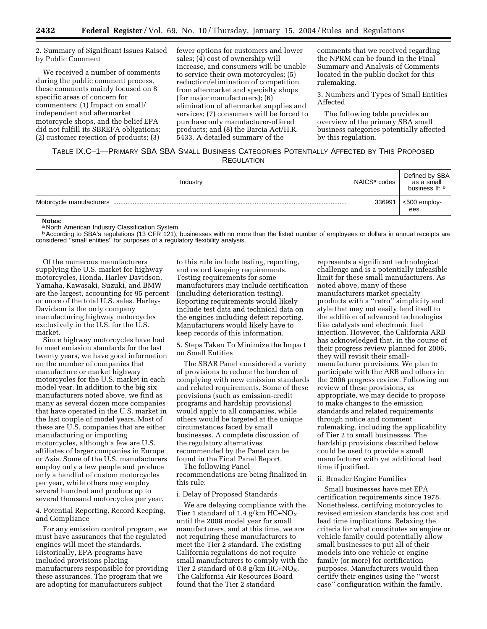2. Summary of Significant Issues Raised by Public Comment

We received a number of comments during the public comment process, these comments mainly focused on 8 specific areas of concern for commenters: (1) Impact on small/ independent and aftermarket motorcycle shops, and the belief EPA did not fulfill its SBREFA obligations; (2) customer rejection of products; (3)

fewer options for customers and lower sales; (4) cost of ownership will increase, and consumers will be unable to service their own motorcycles; (5) reduction/elimination of competition from aftermarket and specialty shops (for major manufacturers); (6) elimination of aftermarket supplies and services; (7) consumers will be forced to purchase only manufacturer-offered products; and (8) the Barcia Act/H.R. 5433. A detailed summary of the

comments that we received regarding the NPRM can be found in the Final Summary and Analysis of Comments located in the public docket for this rulemaking.

3. Numbers and Types of Small Entities Affected

The following table provides an overview of the primary SBA small business categories potentially affected by this regulation.

# TABLE IX.C–1—PRIMARY SBA SBA SMALL BUSINESS CATEGORIES POTENTIALLY AFFECTED BY THIS PROPOSED **REGULATION**

| Industry | NAICS <sup>a</sup> codes | Defined by SBA<br>as a small<br>business If: b |
|----------|--------------------------|------------------------------------------------|
|          | 336991                   | <500 employ-<br>ees.                           |

#### **Notes:**

a North American Industry Classification System.

<sup>b</sup> According to SBA's regulations (13 CFR 121), businesses with no more than the listed number of employees or dollars in annual receipts are considered ''small entities'' for purposes of a regulatory flexibility analysis.

Of the numerous manufacturers supplying the U.S. market for highway motorcycles, Honda, Harley Davidson, Yamaha, Kawasaki, Suzuki, and BMW are the largest, accounting for 95 percent or more of the total U.S. sales. Harley-Davidson is the only company manufacturing highway motorcycles exclusively in the U.S. for the U.S. market.

Since highway motorcycles have had to meet emission standards for the last twenty years, we have good information on the number of companies that manufacture or market highway motorcycles for the U.S. market in each model year. In addition to the big six manufacturers noted above, we find as many as several dozen more companies that have operated in the U.S. market in the last couple of model years. Most of these are U.S. companies that are either manufacturing or importing motorcycles, although a few are U.S. affiliates of larger companies in Europe or Asia. Some of the U.S. manufacturers employ only a few people and produce only a handful of custom motorcycles per year, while others may employ several hundred and produce up to several thousand motorcycles per year.

4. Potential Reporting, Record Keeping, and Compliance

For any emission control program, we must have assurances that the regulated engines will meet the standards. Historically, EPA programs have included provisions placing manufacturers responsible for providing these assurances. The program that we are adopting for manufacturers subject

to this rule include testing, reporting, and record keeping requirements. Testing requirements for some manufacturers may include certification (including deterioration testing). Reporting requirements would likely include test data and technical data on the engines including defect reporting. Manufacturers would likely have to keep records of this information.

5. Steps Taken To Minimize the Impact on Small Entities

The SBAR Panel considered a variety of provisions to reduce the burden of complying with new emission standards and related requirements. Some of these provisions (such as emission-credit programs and hardship provisions) would apply to all companies, while others would be targeted at the unique circumstances faced by small businesses. A complete discussion of the regulatory alternatives recommended by the Panel can be found in the Final Panel Report.

The following Panel recommendations are being finalized in this rule:

#### i. Delay of Proposed Standards

We are delaying compliance with the Tier 1 standard of 1.4  $g/km$  HC+NO<sub>X</sub> until the 2008 model year for small manufacturers, and at this time, we are not requiring these manufacturers to meet the Tier 2 standard. The existing California regulations do not require small manufacturers to comply with the Tier 2 standard of 0.8 g/km  $HC+NO<sub>X</sub>$ . The California Air Resources Board found that the Tier 2 standard

represents a significant technological challenge and is a potentially infeasible limit for these small manufacturers. As noted above, many of these manufacturers market specialty products with a ''retro'' simplicity and style that may not easily lend itself to the addition of advanced technologies like catalysts and electronic fuel injection. However, the California ARB has acknowledged that, in the course of their progress review planned for 2006, they will revisit their smallmanufacturer provisions. We plan to participate with the ARB and others in the 2006 progress review. Following our review of these provisions, as appropriate, we may decide to propose to make changes to the emission standards and related requirements through notice and comment rulemaking, including the applicability of Tier 2 to small businesses. The hardship provisions described below could be used to provide a small manufacturer with yet additional lead time if justified.

#### ii. Broader Engine Families

Small businesses have met EPA certification requirements since 1978. Nonetheless, certifying motorcycles to revised emission standards has cost and lead time implications. Relaxing the criteria for what constitutes an engine or vehicle family could potentially allow small businesses to put all of their models into one vehicle or engine family (or more) for certification purposes. Manufacturers would then certify their engines using the ''worst case'' configuration within the family.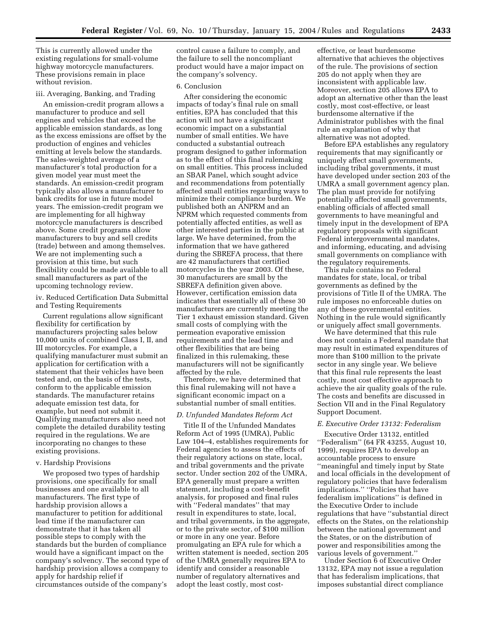This is currently allowed under the existing regulations for small-volume highway motorcycle manufacturers. These provisions remain in place without revision.

#### iii. Averaging, Banking, and Trading

An emission-credit program allows a manufacturer to produce and sell engines and vehicles that exceed the applicable emission standards, as long as the excess emissions are offset by the production of engines and vehicles emitting at levels below the standards. The sales-weighted average of a manufacturer's total production for a given model year must meet the standards. An emission-credit program typically also allows a manufacturer to bank credits for use in future model years. The emission-credit program we are implementing for all highway motorcycle manufacturers is described above. Some credit programs allow manufacturers to buy and sell credits (trade) between and among themselves. We are not implementing such a provision at this time, but such flexibility could be made available to all small manufacturers as part of the upcoming technology review.

iv. Reduced Certification Data Submittal and Testing Requirements

Current regulations allow significant flexibility for certification by manufacturers projecting sales below 10,000 units of combined Class I, II, and III motorcycles. For example, a qualifying manufacturer must submit an application for certification with a statement that their vehicles have been tested and, on the basis of the tests, conform to the applicable emission standards. The manufacturer retains adequate emission test data, for example, but need not submit it. Qualifying manufacturers also need not complete the detailed durability testing required in the regulations. We are incorporating no changes to these existing provisions.

# v. Hardship Provisions

We proposed two types of hardship provisions, one specifically for small businesses and one available to all manufacturers. The first type of hardship provision allows a manufacturer to petition for additional lead time if the manufacturer can demonstrate that it has taken all possible steps to comply with the standards but the burden of compliance would have a significant impact on the company's solvency. The second type of hardship provision allows a company to apply for hardship relief if circumstances outside of the company's

control cause a failure to comply, and the failure to sell the noncompliant product would have a major impact on the company's solvency.

#### 6. Conclusion

After considering the economic impacts of today's final rule on small entities, EPA has concluded that this action will not have a significant economic impact on a substantial number of small entities. We have conducted a substantial outreach program designed to gather information as to the effect of this final rulemaking on small entities. This process included an SBAR Panel, which sought advice and recommendations from potentially affected small entities regarding ways to minimize their compliance burden. We published both an ANPRM and an NPRM which requested comments from potentially affected entities, as well as other interested parties in the public at large. We have determined, from the information that we have gathered during the SBREFA process, that there are 42 manufacturers that certified motorcycles in the year 2003. Of these, 30 manufacturers are small by the SBREFA definition given above. However, certification emission data indicates that essentially all of these 30 manufacturers are currently meeting the Tier 1 exhaust emission standard. Given small costs of complying with the permeation evaporative emission requirements and the lead time and other flexibilities that are being finalized in this rulemaking, these manufacturers will not be significantly affected by the rule.

Therefore, we have determined that this final rulemaking will not have a significant economic impact on a substantial number of small entities.

# *D. Unfunded Mandates Reform Act*

Title II of the Unfunded Mandates Reform Act of 1995 (UMRA), Public Law 104–4, establishes requirements for Federal agencies to assess the effects of their regulatory actions on state, local, and tribal governments and the private sector. Under section 202 of the UMRA, EPA generally must prepare a written statement, including a cost-benefit analysis, for proposed and final rules with ''Federal mandates'' that may result in expenditures to state, local, and tribal governments, in the aggregate, or to the private sector, of \$100 million or more in any one year. Before promulgating an EPA rule for which a written statement is needed, section 205 of the UMRA generally requires EPA to identify and consider a reasonable number of regulatory alternatives and adopt the least costly, most cost-

effective, or least burdensome alternative that achieves the objectives of the rule. The provisions of section 205 do not apply when they are inconsistent with applicable law. Moreover, section 205 allows EPA to adopt an alternative other than the least costly, most cost-effective, or least burdensome alternative if the Administrator publishes with the final rule an explanation of why that alternative was not adopted.

Before EPA establishes any regulatory requirements that may significantly or uniquely affect small governments, including tribal governments, it must have developed under section 203 of the UMRA a small government agency plan. The plan must provide for notifying potentially affected small governments, enabling officials of affected small governments to have meaningful and timely input in the development of EPA regulatory proposals with significant Federal intergovernmental mandates, and informing, educating, and advising small governments on compliance with the regulatory requirements.

This rule contains no Federal mandates for state, local, or tribal governments as defined by the provisions of Title II of the UMRA. The rule imposes no enforceable duties on any of these governmental entities. Nothing in the rule would significantly or uniquely affect small governments.

We have determined that this rule does not contain a Federal mandate that may result in estimated expenditures of more than \$100 million to the private sector in any single year. We believe that this final rule represents the least costly, most cost effective approach to achieve the air quality goals of the rule. The costs and benefits are discussed in Section VII and in the Final Regulatory Support Document.

#### *E. Executive Order 13132: Federalism*

Executive Order 13132, entitled ''Federalism'' (64 FR 43255, August 10, 1999), requires EPA to develop an accountable process to ensure ''meaningful and timely input by State and local officials in the development of regulatory policies that have federalism implications.'' ''Policies that have federalism implications'' is defined in the Executive Order to include regulations that have ''substantial direct effects on the States, on the relationship between the national government and the States, or on the distribution of power and responsibilities among the various levels of government.''

Under Section 6 of Executive Order 13132, EPA may not issue a regulation that has federalism implications, that imposes substantial direct compliance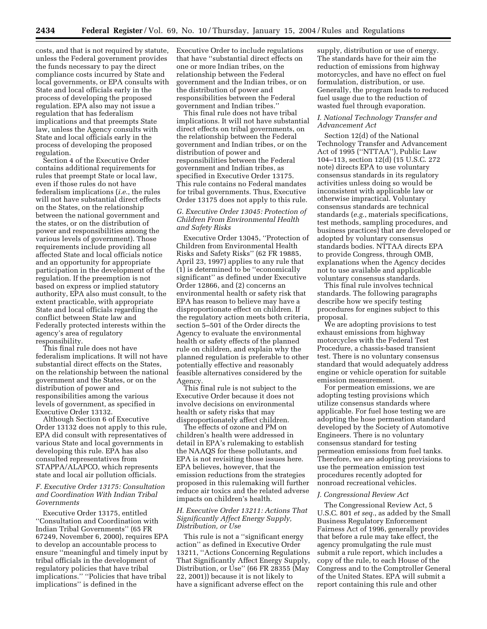costs, and that is not required by statute, unless the Federal government provides the funds necessary to pay the direct compliance costs incurred by State and local governments, or EPA consults with State and local officials early in the process of developing the proposed regulation. EPA also may not issue a regulation that has federalism implications and that preempts State law, unless the Agency consults with State and local officials early in the process of developing the proposed regulation.

Section 4 of the Executive Order contains additional requirements for rules that preempt State or local law, even if those rules do not have federalism implications (*i.e.*, the rules will not have substantial direct effects on the States, on the relationship between the national government and the states, or on the distribution of power and responsibilities among the various levels of government). Those requirements include providing all affected State and local officials notice and an opportunity for appropriate participation in the development of the regulation. If the preemption is not based on express or implied statutory authority, EPA also must consult, to the extent practicable, with appropriate State and local officials regarding the conflict between State law and Federally protected interests within the agency's area of regulatory responsibility.

This final rule does not have federalism implications. It will not have substantial direct effects on the States, on the relationship between the national government and the States, or on the distribution of power and responsibilities among the various levels of government, as specified in Executive Order 13132.

Although Section 6 of Executive Order 13132 does not apply to this rule, EPA did consult with representatives of various State and local governments in developing this rule. EPA has also consulted representatives from STAPPA/ALAPCO, which represents state and local air pollution officials.

# *F. Executive Order 13175: Consultation and Coordination With Indian Tribal Governments*

Executive Order 13175, entitled ''Consultation and Coordination with Indian Tribal Governments'' (65 FR 67249, November 6, 2000), requires EPA to develop an accountable process to ensure ''meaningful and timely input by tribal officials in the development of regulatory policies that have tribal implications.'' ''Policies that have tribal implications'' is defined in the

Executive Order to include regulations that have ''substantial direct effects on one or more Indian tribes, on the relationship between the Federal government and the Indian tribes, or on the distribution of power and responsibilities between the Federal government and Indian tribes.''

This final rule does not have tribal implications. It will not have substantial direct effects on tribal governments, on the relationship between the Federal government and Indian tribes, or on the distribution of power and responsibilities between the Federal government and Indian tribes, as specified in Executive Order 13175. This rule contains no Federal mandates for tribal governments. Thus, Executive Order 13175 does not apply to this rule.

# *G. Executive Order 13045: Protection of Children From Environmental Health and Safety Risks*

Executive Order 13045, ''Protection of Children from Environmental Health Risks and Safety Risks'' (62 FR 19885, April 23, 1997) applies to any rule that (1) is determined to be ''economically significant'' as defined under Executive Order 12866, and (2) concerns an environmental health or safety risk that EPA has reason to believe may have a disproportionate effect on children. If the regulatory action meets both criteria, section 5–501 of the Order directs the Agency to evaluate the environmental health or safety effects of the planned rule on children, and explain why the planned regulation is preferable to other potentially effective and reasonably feasible alternatives considered by the Agency.

This final rule is not subject to the Executive Order because it does not involve decisions on environmental health or safety risks that may disproportionately affect children.

The effects of ozone and PM on children's health were addressed in detail in EPA's rulemaking to establish the NAAQS for these pollutants, and EPA is not revisiting those issues here. EPA believes, however, that the emission reductions from the strategies proposed in this rulemaking will further reduce air toxics and the related adverse impacts on children's health.

# *H. Executive Order 13211: Actions That Significantly Affect Energy Supply, Distribution, or Use*

This rule is not a ''significant energy action'' as defined in Executive Order 13211, ''Actions Concerning Regulations That Significantly Affect Energy Supply, Distribution, or Use'' (66 FR 28355 (May 22, 2001)) because it is not likely to have a significant adverse effect on the

supply, distribution or use of energy. The standards have for their aim the reduction of emissions from highway motorcycles, and have no effect on fuel formulation, distribution, or use. Generally, the program leads to reduced fuel usage due to the reduction of wasted fuel through evaporation.

# *I. National Technology Transfer and Advancement Act*

Section 12(d) of the National Technology Transfer and Advancement Act of 1995 (''NTTAA''), Public Law 104–113, section 12(d) (15 U.S.C. 272 note) directs EPA to use voluntary consensus standards in its regulatory activities unless doing so would be inconsistent with applicable law or otherwise impractical. Voluntary consensus standards are technical standards (*e.g.*, materials specifications, test methods, sampling procedures, and business practices) that are developed or adopted by voluntary consensus standards bodies. NTTAA directs EPA to provide Congress, through OMB, explanations when the Agency decides not to use available and applicable voluntary consensus standards.

This final rule involves technical standards. The following paragraphs describe how we specify testing procedures for engines subject to this proposal.

We are adopting provisions to test exhaust emissions from highway motorcycles with the Federal Test Procedure, a chassis-based transient test. There is no voluntary consensus standard that would adequately address engine or vehicle operation for suitable emission measurement.

For permeation emissions, we are adopting testing provisions which utilize consensus standards where applicable. For fuel hose testing we are adopting the hose permeation standard developed by the Society of Automotive Engineers. There is no voluntary consensus standard for testing permeation emissions from fuel tanks. Therefore, we are adopting provisions to use the permeation emission test procedures recently adopted for nonroad recreational vehicles.

#### *J. Congressional Review Act*

The Congressional Review Act, 5 U.S.C. 801 *et seq.*, as added by the Small Business Regulatory Enforcement Fairness Act of 1996, generally provides that before a rule may take effect, the agency promulgating the rule must submit a rule report, which includes a copy of the rule, to each House of the Congress and to the Comptroller General of the United States. EPA will submit a report containing this rule and other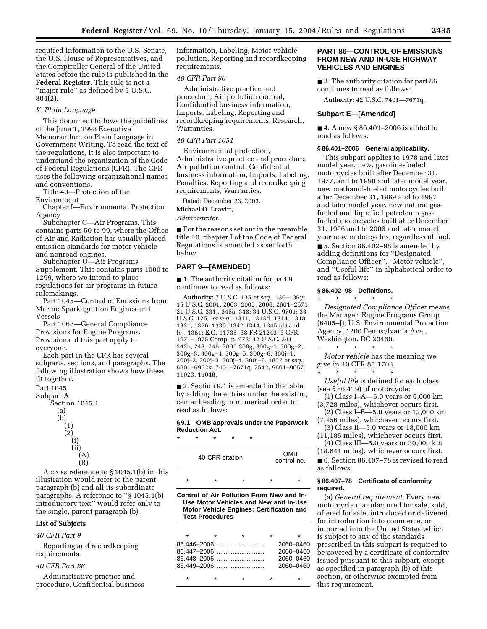required information to the U.S. Senate, the U.S. House of Representatives, and the Comptroller General of the United States before the rule is published in the **Federal Register**. This rule is not a "major rule" as defined by 5 U.S.C. 804(2).

#### *K. Plain Language*

This document follows the guidelines of the June 1, 1998 Executive Memorandum on Plain Language in Government Writing. To read the text of the regulations, it is also important to understand the organization of the Code of Federal Regulations (CFR). The CFR uses the following organizational names and conventions.

Title 40—Protection of the Environment

Chapter I—Environmental Protection Agency

Subchapter C—Air Programs. This contains parts 50 to 99, where the Office of Air and Radiation has usually placed emission standards for motor vehicle and nonroad engines.

Subchapter U—Air Programs Supplement. This contains parts 1000 to 1299, where we intend to place regulations for air programs in future rulemakings.

Part 1045—Control of Emissions from Marine Spark-ignition Engines and Vessels

Part 1068—General Compliance Provisions for Engine Programs. Provisions of this part apply to everyone.

Each part in the CFR has several subparts, sections, and paragraphs. The following illustration shows how these fit together.

Part 1045

Subpart A



A cross reference to § 1045.1(b) in this illustration would refer to the parent paragraph (b) and all its subordinate paragraphs. A reference to ''§ 1045.1(b) introductory text'' would refer only to the single, parent paragraph (b).

# **List of Subjects**

# *40 CFR Part 9*

Reporting and recordkeeping requirements.

# *40 CFR Part 86*

Administrative practice and procedure, Confidential business information, Labeling, Motor vehicle pollution, Reporting and recordkeeping requirements.

# *40 CFR Part 90*

Administrative practice and procedure, Air pollution control, Confidential business information, Imports, Labeling, Reporting and recordkeeping requirements, Research, Warranties.

# *40 CFR Part 1051*

Environmental protection, Administrative practice and procedure, Air pollution control, Confidential business information, Imports, Labeling, Penalties, Reporting and recordkeeping requirements, Warranties.

Dated: December 23, 2003.

# **Michael O. Leavitt,**

*Administrator.*

■ For the reasons set out in the preamble, title 40, chapter I of the Code of Federal Regulations is amended as set forth below.

# **PART 9—[AMENDED]**

■ 1. The authority citation for part 9 continues to read as follows:

**Authority:** 7 U.S.C. 135 *et seq.*, 136–136y; 15 U.S.C. 2001, 2003, 2005, 2006, 2601–2671; 21 U.S.C. 331j, 346a, 348; 31 U.S.C. 9701; 33 U.S.C. 1251 *et seq.*, 1311, 1313d, 1314, 1318 1321, 1326, 1330, 1342 1344, 1345 (d) and (e), 1361; E.O. 11735, 38 FR 21243, 3 CFR, 1971–1975 Comp. p. 973; 42 U.S.C. 241, 242b, 243, 246, 300f, 300g, 300g–1, 300g–2, 300g–3, 300g–4, 300g–5, 300g–6, 300j–1, 300j–2, 300j–3, 300j–4, 300j–9, 1857 *et seq.*, 6901–6992k, 7401–7671q, 7542, 9601–9657, 11023, 11048.

■ 2. Section 9.1 is amended in the table by adding the entries under the existing center heading in numerical order to read as follows:

#### **§ 9.1 OMB approvals under the Paperwork Reduction Act.**

\* \* \* \* \*

| 40 CFR citation |  | <b>OMB</b><br>control no. |  |
|-----------------|--|---------------------------|--|
|                 |  | ÷                         |  |

**Control of Air Pollution From New and In-Use Motor Vehicles and New and In-Use Motor Vehicle Engines; Certification and Test Procedures**

|         |             | ÷ |           |
|---------|-------------|---|-----------|
|         |             |   | 2060–0460 |
|         | 86.447-2006 |   | 2060–0460 |
|         |             |   | 2060–0460 |
|         |             |   | 2060–0460 |
| $\star$ |             | ٠ |           |

# **PART 86—CONTROL OF EMISSIONS FROM NEW AND IN-USE HIGHWAY VEHICLES AND ENGINES**

■ 3. The authority citation for part 86 continues to read as follows:

**Authority:** 42 U.S.C. 7401—7671q.

#### **Subpart E—[Amended]**

■ 4. A new § 86.401–2006 is added to read as follows:

#### **§ 86.401–2006 General applicability.**

This subpart applies to 1978 and later model year, new, gasoline-fueled motorcycles built after December 31, 1977, and to 1990 and later model year, new methanol-fueled motorcycles built after December 31, 1989 and to 1997 and later model year, new natural gasfueled and liquefied petroleum gasfueled motorcycles built after December 31, 1996 and to 2006 and later model year new motorcycles, regardless of fuel.

■ 5. Section 86.402–98 is amended by adding definitions for ''Designated Compliance Officer'', ''Motor vehicle'', and ''Useful life'' in alphabetical order to read as follows:

#### **§ 86.402–98 Definitions.**

\* \* \* \* \* *Designated Compliance Officer* means the Manager, Engine Programs Group (6405–J), U.S. Environmental Protection Agency, 1200 Pennsylvania Ave., Washington, DC 20460.

\* \* \* \* \* *Motor vehicle* has the meaning we give in 40 CFR 85.1703.  $\star$   $\star$   $\star$ 

*Useful life* is defined for each class (see § 86.419) of motorcycle:

- (1) Class I–A—5.0 years or 6,000 km (3,728 miles), whichever occurs first.
- (2) Class I–B—5.0 years or 12,000 km (7,456 miles), whichever occurs first.
- (3) Class II—5.0 years or 18,000 km (11,185 miles), whichever occurs first.
- (4) Class III—5.0 years or 30,000 km (18,641 miles), whichever occurs first.

■ 6. Section 86.407–78 is revised to read as follows:

#### **§ 86.407–78 Certificate of conformity required.**

(a) *General requirement.* Every new motorcycle manufactured for sale, sold, offered for sale, introduced or delivered for introduction into commerce, or imported into the United States which is subject to any of the standards prescribed in this subpart is required to be covered by a certificate of conformity issued pursuant to this subpart, except as specified in paragraph (b) of this section, or otherwise exempted from this requirement.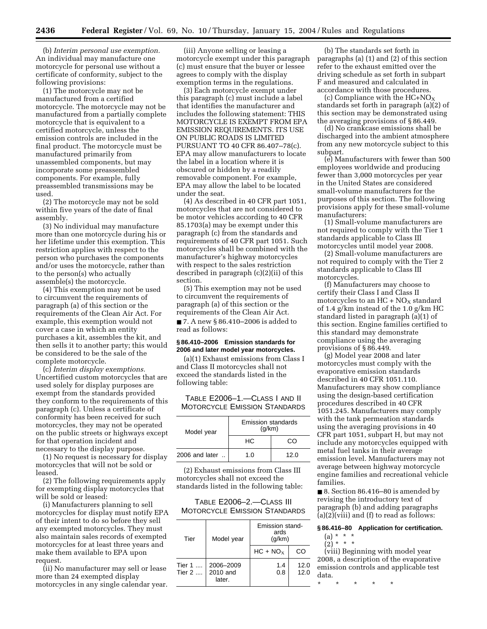(b) *Interim personal use exemption.* An individual may manufacture one motorcycle for personal use without a certificate of conformity, subject to the following provisions:

(1) The motorcycle may not be manufactured from a certified motorcycle. The motorcycle may not be manufactured from a partially complete motorcycle that is equivalent to a certified motorcycle, unless the emission controls are included in the final product. The motorcycle must be manufactured primarily from unassembled components, but may incorporate some preassembled components. For example, fully preassembled transmissions may be used.

(2) The motorcycle may not be sold within five years of the date of final assembly.

(3) No individual may manufacture more than one motorcycle during his or her lifetime under this exemption. This restriction applies with respect to the person who purchases the components and/or uses the motorcycle, rather than to the person(s) who actually assemble(s) the motorcycle.

(4) This exemption may not be used to circumvent the requirements of paragraph (a) of this section or the requirements of the Clean Air Act. For example, this exemption would not cover a case in which an entity purchases a kit, assembles the kit, and then sells it to another party; this would be considered to be the sale of the complete motorcycle.

(c) *Interim display exemptions.* Uncertified custom motorcycles that are used solely for display purposes are exempt from the standards provided they conform to the requirements of this paragraph (c). Unless a certificate of conformity has been received for such motorcycles, they may not be operated on the public streets or highways except for that operation incident and necessary to the display purpose.

(1) No request is necessary for display motorcycles that will not be sold or leased.

(2) The following requirements apply for exempting display motorcycles that will be sold or leased:

(i) Manufacturers planning to sell motorcycles for display must notify EPA of their intent to do so before they sell any exempted motorcycles. They must also maintain sales records of exempted motorcycles for at least three years and make them available to EPA upon request.

(ii) No manufacturer may sell or lease more than 24 exempted display motorcycles in any single calendar year.

(iii) Anyone selling or leasing a motorcycle exempt under this paragraph (c) must ensure that the buyer or lessee agrees to comply with the display exemption terms in the regulations.

(3) Each motorcycle exempt under this paragraph (c) must include a label that identifies the manufacturer and includes the following statement: THIS MOTORCYCLE IS EXEMPT FROM EPA EMISSION REQUIREMENTS. ITS USE ON PUBLIC ROADS IS LIMITED PURSUANT TO 40 CFR 86.407–78(c). EPA may allow manufacturers to locate the label in a location where it is obscured or hidden by a readily removable component. For example, EPA may allow the label to be located under the seat.

(4) As described in 40 CFR part 1051, motorcycles that are not considered to be motor vehicles according to 40 CFR 85.1703(a) may be exempt under this paragraph (c) from the standards and requirements of 40 CFR part 1051. Such motorcycles shall be combined with the manufacturer's highway motorcycles with respect to the sales restriction described in paragraph (c)(2)(ii) of this section.

(5) This exemption may not be used to circumvent the requirements of paragraph (a) of this section or the requirements of the Clean Air Act.

■ 7. A new § 86.410–2006 is added to read as follows:

# **§ 86.410–2006 Emission standards for 2006 and later model year motorcycles.**

(a)(1) Exhaust emissions from Class I and Class II motorcycles shall not exceed the standards listed in the following table:

TABLE E2006–1.—CLASS I AND II MOTORCYCLE EMISSION STANDARDS

| Model year       | Emission standards<br>(q/km) |      |
|------------------|------------------------------|------|
|                  | HC.                          | CO.  |
| $2006$ and later | 1.0                          | 12.0 |

(2) Exhaust emissions from Class III motorcycles shall not exceed the standards listed in the following table:

TABLE E2006–2.—CLASS III MOTORCYCLE EMISSION STANDARDS

| Tier                        | Model year                      | Emission stand-<br>ards<br>(g/km) |              |
|-----------------------------|---------------------------------|-----------------------------------|--------------|
|                             |                                 | $HC + NOx$                        | CO           |
| Tier $1 \ldots$<br>Tier $2$ | 2006-2009<br>2010 and<br>later. | 1.4<br>0.8                        | 12.0<br>12.0 |

(b) The standards set forth in paragraphs (a) (1) and (2) of this section refer to the exhaust emitted over the driving schedule as set forth in subpart F and measured and calculated in accordance with those procedures.

(c) Compliance with the  $HC+NO<sub>X</sub>$ standards set forth in paragraph (a)(2) of this section may be demonstrated using the averaging provisions of § 86.449.

(d) No crankcase emissions shall be discharged into the ambient atmosphere from any new motorcycle subject to this subpart.

(e) Manufacturers with fewer than 500 employees worldwide and producing fewer than 3,000 motorcycles per year in the United States are considered small-volume manufacturers for the purposes of this section. The following provisions apply for these small-volume manufacturers:

(1) Small-volume manufacturers are not required to comply with the Tier 1 standards applicable to Class III motorcycles until model year 2008.

(2) Small-volume manufacturers are not required to comply with the Tier 2 standards applicable to Class III motorcycles.

(f) Manufacturers may choose to certify their Class I and Class II motorcycles to an  $HC + NO<sub>X</sub>$  standard of 1.4 g/km instead of the 1.0 g/km HC standard listed in paragraph (a)(1) of this section. Engine families certified to this standard may demonstrate compliance using the averaging provisions of § 86.449.

(g) Model year 2008 and later motorcycles must comply with the evaporative emission standards described in 40 CFR 1051.110. Manufacturers may show compliance using the design-based certification procedures described in 40 CFR 1051.245. Manufacturers may comply with the tank permeation standards using the averaging provisions in 40 CFR part 1051, subpart H, but may not include any motorcycles equipped with metal fuel tanks in their average emission level. Manufacturers may not average between highway motorcycle engine families and recreational vehicle families.

■ 8. Section 86.416–80 is amended by revising the introductory text of paragraph (b) and adding paragraphs  $(a)(2)(viii)$  and  $(f)$  to read as follows:

#### **§ 86.416–80 Application for certification.**

- $(a) * * * *$
- $(2) * * * *$

(viii) Beginning with model year 2008, a description of the evaporative emission controls and applicable test data.

\* \* \* \* \*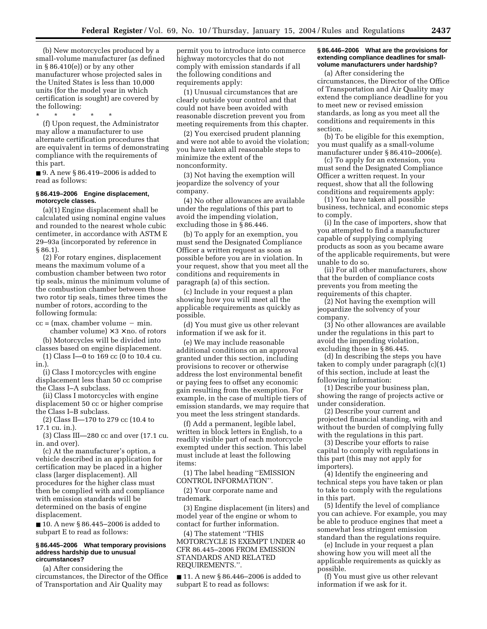(b) New motorcycles produced by a small-volume manufacturer (as defined in  $§86.410(e)$  or by any other manufacturer whose projected sales in the United States is less than 10,000 units (for the model year in which certification is sought) are covered by the following:

\* \* \* \* \* (f) Upon request, the Administrator may allow a manufacturer to use alternate certification procedures that are equivalent in terms of demonstrating compliance with the requirements of this part.

■ 9. A new § 86.419–2006 is added to read as follows:

#### **§ 86.419–2006 Engine displacement, motorcycle classes.**

(a)(1) Engine displacement shall be calculated using nominal engine values and rounded to the nearest whole cubic centimeter, in accordance with ASTM E 29–93a (incorporated by reference in § 86.1).

(2) For rotary engines, displacement means the maximum volume of a combustion chamber between two rotor tip seals, minus the minimum volume of the combustion chamber between those two rotor tip seals, times three times the number of rotors, according to the following formula:

 $cc =$  (max. chamber volume  $-$  min. chamber volume)  $\times$  3  $\times$  no. of rotors

(b) Motorcycles will be divided into classes based on engine displacement.

(1) Class I—0 to 169 cc (0 to 10.4 cu. in.).

(i) Class I motorcycles with engine displacement less than 50 cc comprise the Class I–A subclass.

(ii) Class I motorcycles with engine displacement 50 cc or higher comprise the Class I–B subclass.

(2) Class II—170 to 279 cc (10.4 to 17.1 cu. in.).

(3) Class III—280 cc and over (17.1 cu. in. and over).

(c) At the manufacturer's option, a vehicle described in an application for certification may be placed in a higher class (larger displacement). All procedures for the higher class must then be complied with and compliance with emission standards will be determined on the basis of engine displacement.

■ 10. A new § 86.445–2006 is added to subpart E to read as follows:

#### **§ 86.445–2006 What temporary provisions address hardship due to unusual circumstances?**

(a) After considering the circumstances, the Director of the Office of Transportation and Air Quality may

permit you to introduce into commerce highway motorcycles that do not comply with emission standards if all the following conditions and requirements apply:

(1) Unusual circumstances that are clearly outside your control and that could not have been avoided with reasonable discretion prevent you from meeting requirements from this chapter.

(2) You exercised prudent planning and were not able to avoid the violation; you have taken all reasonable steps to minimize the extent of the nonconformity.

(3) Not having the exemption will jeopardize the solvency of your company.

(4) No other allowances are available under the regulations of this part to avoid the impending violation, excluding those in § 86.446.

(b) To apply for an exemption, you must send the Designated Compliance Officer a written request as soon as possible before you are in violation. In your request, show that you meet all the conditions and requirements in paragraph (a) of this section.

(c) Include in your request a plan showing how you will meet all the applicable requirements as quickly as possible.

(d) You must give us other relevant information if we ask for it.

(e) We may include reasonable additional conditions on an approval granted under this section, including provisions to recover or otherwise address the lost environmental benefit or paying fees to offset any economic gain resulting from the exemption. For example, in the case of multiple tiers of emission standards, we may require that you meet the less stringent standards.

(f) Add a permanent, legible label, written in block letters in English, to a readily visible part of each motorcycle exempted under this section. This label must include at least the following items:

(1) The label heading ''EMISSION CONTROL INFORMATION''.

(2) Your corporate name and trademark.

(3) Engine displacement (in liters) and model year of the engine or whom to contact for further information.

(4) The statement ''THIS MOTORCYCLE IS EXEMPT UNDER 40 CFR 86.445–2006 FROM EMISSION STANDARDS AND RELATED REQUIREMENTS.''.

■ 11. A new § 86.446–2006 is added to subpart E to read as follows:

# **§ 86.446–2006 What are the provisions for extending compliance deadlines for smallvolume manufacturers under hardship?**

(a) After considering the circumstances, the Director of the Office of Transportation and Air Quality may extend the compliance deadline for you to meet new or revised emission standards, as long as you meet all the conditions and requirements in this section.

(b) To be eligible for this exemption, you must qualify as a small-volume manufacturer under § 86.410–2006(e).

(c) To apply for an extension, you must send the Designated Compliance Officer a written request. In your request, show that all the following conditions and requirements apply:

(1) You have taken all possible business, technical, and economic steps to comply.

(i) In the case of importers, show that you attempted to find a manufacturer capable of supplying complying products as soon as you became aware of the applicable requirements, but were unable to do so.

(ii) For all other manufacturers, show that the burden of compliance costs prevents you from meeting the requirements of this chapter.

(2) Not having the exemption will jeopardize the solvency of your company.

(3) No other allowances are available under the regulations in this part to avoid the impending violation, excluding those in § 86.445.

(d) In describing the steps you have taken to comply under paragraph (c)(1) of this section, include at least the following information:

(1) Describe your business plan, showing the range of projects active or under consideration.

(2) Describe your current and projected financial standing, with and without the burden of complying fully with the regulations in this part.

(3) Describe your efforts to raise capital to comply with regulations in this part (this may not apply for importers).

(4) Identify the engineering and technical steps you have taken or plan to take to comply with the regulations in this part.

(5) Identify the level of compliance you can achieve. For example, you may be able to produce engines that meet a somewhat less stringent emission standard than the regulations require.

(e) Include in your request a plan showing how you will meet all the applicable requirements as quickly as possible.

(f) You must give us other relevant information if we ask for it.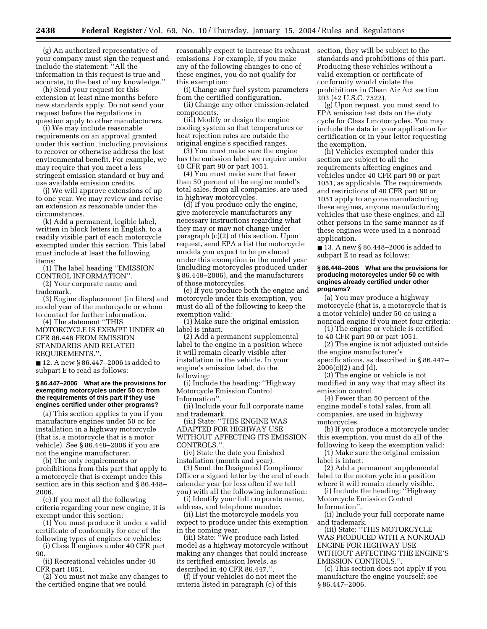(g) An authorized representative of your company must sign the request and include the statement: ''All the information in this request is true and accurate, to the best of my knowledge.''

(h) Send your request for this extension at least nine months before new standards apply. Do not send your request before the regulations in question apply to other manufacturers.

(i) We may include reasonable requirements on an approval granted under this section, including provisions to recover or otherwise address the lost environmental benefit. For example, we may require that you meet a less stringent emission standard or buy and use available emission credits.

(j) We will approve extensions of up to one year. We may review and revise an extension as reasonable under the circumstances.

(k) Add a permanent, legible label, written in block letters in English, to a readily visible part of each motorcycle exempted under this section. This label must include at least the following items:

(1) The label heading ''EMISSION CONTROL INFORMATION''.

(2) Your corporate name and trademark.

(3) Engine displacement (in liters) and model year of the motorcycle or whom to contact for further information.

(4) The statement ''THIS MOTORCYCLE IS EXEMPT UNDER 40 CFR 86.446 FROM EMISSION STANDARDS AND RELATED REQUIREMENTS.''.

■ 12. A new § 86.447–2006 is added to subpart E to read as follows:

#### **§ 86.447–2006 What are the provisions for exempting motorcycles under 50 cc from the requirements of this part if they use engines certified under other programs?**

(a) This section applies to you if you manufacture engines under 50 cc for installation in a highway motorcycle (that is, a motorcycle that is a motor vehicle). See § 86.448–2006 if you are not the engine manufacturer.

(b) The only requirements or prohibitions from this part that apply to a motorcycle that is exempt under this section are in this section and § 86.448– 2006.

(c) If you meet all the following criteria regarding your new engine, it is exempt under this section:

(1) You must produce it under a valid certificate of conformity for one of the following types of engines or vehicles:

(i) Class II engines under 40 CFR part 90.

(ii) Recreational vehicles under 40 CFR part 1051.

(2) You must not make any changes to the certified engine that we could

reasonably expect to increase its exhaust emissions. For example, if you make any of the following changes to one of these engines, you do not qualify for this exemption:

(i) Change any fuel system parameters from the certified configuration.

(ii) Change any other emission-related components.

(iii) Modify or design the engine cooling system so that temperatures or heat rejection rates are outside the original engine's specified ranges.

(3) You must make sure the engine has the emission label we require under 40 CFR part 90 or part 1051.

(4) You must make sure that fewer than 50 percent of the engine model's total sales, from all companies, are used in highway motorcycles.

(d) If you produce only the engine, give motorcycle manufacturers any necessary instructions regarding what they may or may not change under paragraph (c)(2) of this section. Upon request, send EPA a list the motorcycle models you expect to be produced under this exemption in the model year (including motorcycles produced under § 86.448–2006), and the manufacturers of those motorcycles.

(e) If you produce both the engine and motorcycle under this exemption, you must do all of the following to keep the exemption valid:

(1) Make sure the original emission label is intact.

(2) Add a permanent supplemental label to the engine in a position where it will remain clearly visible after installation in the vehicle. In your engine's emission label, do the following:

(i) Include the heading: ''Highway Motorcycle Emission Control Information''.

(ii) Include your full corporate name and trademark.

(iii) State: ''THIS ENGINE WAS ADAPTED FOR HIGHWAY USE WITHOUT AFFECTING ITS EMISSION CONTROLS.''.

(iv) State the date you finished installation (month and year).

(3) Send the Designated Compliance Officer a signed letter by the end of each calendar year (or less often if we tell you) with all the following information:

(i) Identify your full corporate name, address, and telephone number.

(ii) List the motorcycle models you expect to produce under this exemption in the coming year.

(iii) State: ''We produce each listed model as a highway motorcycle without making any changes that could increase its certified emission levels, as described in 40 CFR 86.447.''.

(f) If your vehicles do not meet the criteria listed in paragraph (c) of this

section, they will be subject to the standards and prohibitions of this part. Producing these vehicles without a valid exemption or certificate of conformity would violate the prohibitions in Clean Air Act section 203 (42 U.S.C. 7522).

(g) Upon request, you must send to EPA emission test data on the duty cycle for Class I motorcycles. You may include the data in your application for certification or in your letter requesting the exemption.

(h) Vehicles exempted under this section are subject to all the requirements affecting engines and vehicles under 40 CFR part 90 or part 1051, as applicable. The requirements and restrictions of 40 CFR part 90 or 1051 apply to anyone manufacturing these engines, anyone manufacturing vehicles that use these engines, and all other persons in the same manner as if these engines were used in a nonroad application.

■ 13. A new § 86.448–2006 is added to subpart E to read as follows:

#### **§ 86.448–2006 What are the provisions for producing motorcycles under 50 cc with engines already certified under other programs?**

(a) You may produce a highway motorcycle (that is, a motorcycle that is a motor vehicle) under 50 cc using a nonroad engine if you meet four criteria:

(1) The engine or vehicle is certified to 40 CFR part 90 or part 1051.

(2) The engine is not adjusted outside the engine manufacturer's specifications, as described in § 86.447–  $2006(c)(2)$  and  $(d)$ .

(3) The engine or vehicle is not modified in any way that may affect its emission control.

(4) Fewer than 50 percent of the engine model's total sales, from all companies, are used in highway motorcycles.

(b) If you produce a motorcycle under this exemption, you must do all of the following to keep the exemption valid:

(1) Make sure the original emission label is intact.

(2) Add a permanent supplemental label to the motorcycle in a position where it will remain clearly visible.

(i) Include the heading: ''Highway Motorcycle Emission Control Information''.

(ii) Include your full corporate name and trademark.

(iii) State: ''THIS MOTORCYCLE WAS PRODUCED WITH A NONROAD ENGINE FOR HIGHWAY USE WITHOUT AFFECTING THE ENGINE'S EMISSION CONTROLS.''.

(c) This section does not apply if you manufacture the engine yourself; see § 86.447–2006.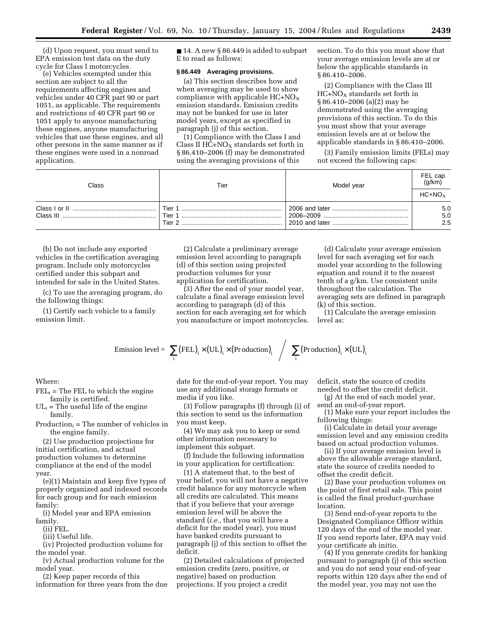(d) Upon request, you must send to EPA emission test data on the duty cycle for Class I motorcycles.

(e) Vehicles exempted under this section are subject to all the requirements affecting engines and vehicles under 40 CFR part 90 or part 1051, as applicable. The requirements and restrictions of 40 CFR part 90 or 1051 apply to anyone manufacturing these engines, anyone manufacturing vehicles that use these engines, and all other persons in the same manner as if these engines were used in a nonroad application.

■ 14. A new § 86.449 is added to subpart E to read as follows:

# **§ 86.449 Averaging provisions.**

(a) This section describes how and when averaging may be used to show compliance with applicable  $HC + NO_X$ emission standards. Emission credits may not be banked for use in later model years, except as specified in paragraph (j) of this section.

(1) Compliance with the Class I and Class II  $HC+NO<sub>X</sub>$  standards set forth in § 86.410–2006 (f) may be demonstrated using the averaging provisions of this

section. To do this you must show that your average emission levels are at or below the applicable standards in § 86.410–2006.

(2) Compliance with the Class III  $HC+NO<sub>X</sub>$  standards set forth in § 86.410–2006 (a)(2) may be demonstrated using the averaging provisions of this section. To do this you must show that your average emission levels are at or below the applicable standards in § 86.410–2006.

(3) Family emission limits (FELs) may not exceed the following caps:

| Class | Tier                       | Model year | FEL cap<br>(q/km) |
|-------|----------------------------|------------|-------------------|
|       |                            |            | $HC+NOx$          |
|       | Tier 1<br>Tier 1<br>Tier 2 |            | 5.0<br>5.0<br>2.5 |

(b) Do not include any exported vehicles in the certification averaging program. Include only motorcycles certified under this subpart and intended for sale in the United States.

(c) To use the averaging program, do the following things:

(1) Certify each vehicle to a family emission limit.

(2) Calculate a preliminary average emission level according to paragraph (d) of this section using projected production volumes for your application for certification.

(3) After the end of your model year, calculate a final average emission level according to paragraph (d) of this section for each averaging set for which you manufacture or import motorcycles.

(d) Calculate your average emission level for each averaging set for each model year according to the following equation and round it to the nearest tenth of a g/km. Use consistent units throughout the calculation. The averaging sets are defined in paragraph (k) of this section.

(1) Calculate the average emission level as:

Emission level = 
$$
\left[ \sum_{i} (FEL)_{i} \times (UL)_{i} \times (Production)_{i} \right] / \left[ \sum_{i} (Production)_{i} \times (UL)_{i} \right]
$$

Where:

- $FEL_i$  = The FEL to which the engine family is certified.
- $UL_i$  = The useful life of the engine family.

 $Production_i = The number of vehicles in$ the engine family.

(2) Use production projections for initial certification, and actual production volumes to determine compliance at the end of the model year.

(e)(1) Maintain and keep five types of properly organized and indexed records for each group and for each emission family:

(i) Model year and EPA emission family.

(ii) FEL.

(iii) Useful life.

(iv) Projected production volume for the model year.

(v) Actual production volume for the model year.

(2) Keep paper records of this

information for three years from the due

date for the end-of-year report. You may use any additional storage formats or media if you like.

(3) Follow paragraphs (f) through (i) of this section to send us the information you must keep.

(4) We may ask you to keep or send other information necessary to implement this subpart.

(f) Include the following information in your application for certification:

(1) A statement that, to the best of your belief, you will not have a negative credit balance for any motorcycle when all credits are calculated. This means that if you believe that your average emission level will be above the standard (*i.e.*, that you will have a deficit for the model year), you must have banked credits pursuant to paragraph (j) of this section to offset the deficit.

(2) Detailed calculations of projected emission credits (zero, positive, or negative) based on production projections. If you project a credit

deficit, state the source of credits needed to offset the credit deficit.

(g) At the end of each model year, send an end-of-year report.

(1) Make sure your report includes the following things:

(i) Calculate in detail your average emission level and any emission credits based on actual production volumes.

(ii) If your average emission level is above the allowable average standard, state the source of credits needed to offset the credit deficit.

(2) Base your production volumes on the point of first retail sale. This point is called the final product-purchase location.

(3) Send end-of-year reports to the Designated Compliance Officer within 120 days of the end of the model year. If you send reports later, EPA may void your certificate ab initio.

(4) If you generate credits for banking pursuant to paragraph (j) of this section and you do not send your end-of-year reports within 120 days after the end of the model year, you may not use the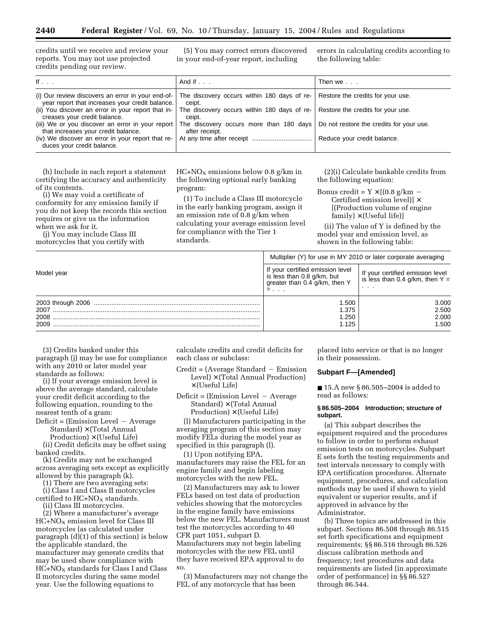credits until we receive and review your reports. You may not use projected credits pending our review.

(5) You may correct errors discovered in your end-of-year report, including

errors in calculating credits according to the following table:

| If $\ldots$                                                                                                                                                                                                | And if $\ldots$                                                                                                                                                          | Then we $\ldots$            |
|------------------------------------------------------------------------------------------------------------------------------------------------------------------------------------------------------------|--------------------------------------------------------------------------------------------------------------------------------------------------------------------------|-----------------------------|
| (i) Our review discovers an error in your end-of-<br>year report that increases your credit balance.<br>(ii) You discover an error in your report that in-                                                 | The discovery occurs within 180 days of re- Restore the credits for your use.<br>ceipt.<br>The discovery occurs within 180 days of re- Restore the credits for your use. |                             |
| creases your credit balance.<br>(iii) We or you discover an error in your report<br>that increases your credit balance.<br>(iv) We discover an error in your report that re-<br>duces your credit balance. | ceipt.<br>The discovery occurs more than 180 days   Do not restore the credits for your use.<br>after receipt.                                                           | Reduce your credit balance. |

(h) Include in each report a statement certifying the accuracy and authenticity of its contents.

(i) We may void a certificate of conformity for any emission family if you do not keep the records this section requires or give us the information when we ask for it.

(j) You may include Class III motorcycles that you certify with  $HC+NO<sub>X</sub>$  emissions below 0.8 g/km in the following optional early banking program:

(1) To include a Class III motorcycle in the early banking program, assign it an emission rate of 0.8 g/km when calculating your average emission level for compliance with the Tier 1 standards.

(2)(i) Calculate bankable credits from the following equation:

Bonus credit =  $Y \times [(0.8 \text{ g/km} -$ Certified emission level)] × [(Production volume of engine  $family$   $\times$  (Useful life)]

(ii) The value of Y is defined by the model year and emission level, as shown in the following table:

|            | Multiplier (Y) for use in MY 2010 or later corporate averaging                                                 |                                                                              |
|------------|----------------------------------------------------------------------------------------------------------------|------------------------------------------------------------------------------|
| Model year | If your certified emission level<br>is less than 0.8 g/km, but<br>greater than 0.4 g/km, then Y<br>$= 1, 1, 1$ | If your certified emission level<br>is less than $0.4$ g/km, then $Y =$<br>. |
|            | 1.500                                                                                                          | 3.000                                                                        |
| 2007       | 1.375                                                                                                          | 2.500                                                                        |
| 2008       | 1.250                                                                                                          | 2.000                                                                        |
| 2009       | 1.125                                                                                                          | 1.500                                                                        |

(3) Credits banked under this paragraph (j) may be use for compliance with any 2010 or later model year standards as follows:

(i) If your average emission level is above the average standard, calculate your credit deficit according to the following equation, rounding to the nearest tenth of a gram:

 $Deficit = (Emission Level - Average)$ 

 $Standard$ )  $\times$  (Total Annual

 $Production$ )  $\times$  (Useful Life) (ii) Credit deficits may be offset using banked credits.

(k) Credits may not be exchanged across averaging sets except as explicitly allowed by this paragraph (k).

(1) There are two averaging sets:

(i) Class I and Class II motorcycles certified to  $HC+NO<sub>X</sub>$  standards.

(ii) Class III motorcycles.

(2) Where a manufacturer's average  $HC+NO<sub>X</sub>$  emission level for Class III motorcycles (as calculated under paragraph (d)(1) of this section) is below the applicable standard, the manufacturer may generate credits that may be used show compliance with  $HC + NO<sub>X</sub>$  standards for Class I and Class II motorcycles during the same model year. Use the following equations to

calculate credits and credit deficits for each class or subclass:

 $Credit = (Average Standard - Emission$  $Level$   $\times$  (Total Annual Production)  $\times$  (Useful Life)

 $Deficit = (Emission Level - Average)$ Standard)  $\times$  (Total Annual  $Production) \times (Useful Life)$ 

(l) Manufacturers participating in the averaging program of this section may modify FELs during the model year as specified in this paragraph (l).

(1) Upon notifying EPA, manufacturers may raise the FEL for an engine family and begin labeling motorcycles with the new FEL.

(2) Manufacturers may ask to lower FELs based on test data of production vehicles showing that the motorcycles in the engine family have emissions below the new FEL. Manufacturers must test the motorcycles according to 40 CFR part 1051, subpart D. Manufacturers may not begin labeling motorcycles with the new FEL until they have received EPA approval to do so.

(3) Manufacturers may not change the FEL of any motorcycle that has been

placed into service or that is no longer in their possession.

# **Subpart F—[Amended]**

■ 15.A new § 86.505–2004 is added to read as follows:

#### **§ 86.505–2004 Introduction; structure of subpart.**

(a) This subpart describes the equipment required and the procedures to follow in order to perform exhaust emission tests on motorcycles. Subpart E sets forth the testing requirements and test intervals necessary to comply with EPA certification procedures. Alternate equipment, procedures, and calculation methods may be used if shown to yield equivalent or superior results, and if approved in advance by the Administrator.

(b) Three topics are addressed in this subpart. Sections 86.508 through 86.515 set forth specifications and equipment requirements; §§ 86.516 through 86.526 discuss calibration methods and frequency; test procedures and data requirements are listed (in approximate order of performance) in §§ 86.527 through 86.544.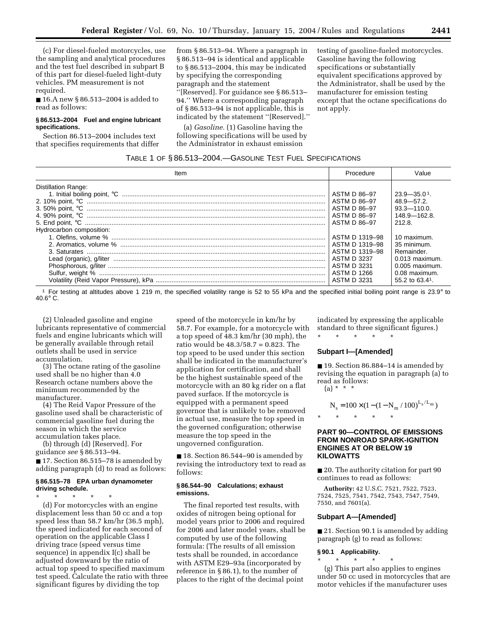(c) For diesel-fueled motorcycles, use the sampling and analytical procedures and the test fuel described in subpart B of this part for diesel-fueled light-duty vehicles. PM measurement is not required.

■ 16.A new § 86.513–2004 is added to read as follows:

#### **§ 86.513–2004 Fuel and engine lubricant specifications.**

Section 86.513–2004 includes text that specifies requirements that differ from § 86.513–94. Where a paragraph in § 86.513–94 is identical and applicable to § 86.513–2004, this may be indicated by specifying the corresponding paragraph and the statement

''[Reserved]. For guidance see § 86.513– 94.'' Where a corresponding paragraph of § 86.513–94 is not applicable, this is indicated by the statement ''[Reserved].''

(a) *Gasoline.* (1) Gasoline having the following specifications will be used by the Administrator in exhaust emission

testing of gasoline-fueled motorcycles. Gasoline having the following specifications or substantially equivalent specifications approved by the Administrator, shall be used by the manufacturer for emission testing except that the octane specifications do not apply.

# TABLE 1 OF § 86.513–2004.—GASOLINE TEST FUEL SPECIFICATIONS

| Item                     | Procedure      | Value             |
|--------------------------|----------------|-------------------|
| Distillation Range:      | ASTM D 86-97   | $23.9 - 35.01$    |
|                          | ASTM D 86–97   | $48.9 - 57.2$     |
|                          | ASTM D 86-97   | $93.3 - 110.0$    |
|                          | ASTM D 86-97   | $148.9 - 162.8$   |
| Hydrocarbon composition: | ASTM D 86-97   | 212.8.            |
|                          | ASTM D 1319-98 | 10 maximum.       |
|                          | ASTM D 1319–98 | 35 minimum.       |
|                          | ASTM D 1319-98 | Remainder.        |
|                          | ASTM D 3237    | $0.013$ maximum.  |
|                          | ASTM D 3231    | $0.005$ maximum.  |
|                          | ASTM D 1266    | $0.08$ maximum.   |
|                          | ASTM D 3231    | 55.2 to $63.41$ . |

<sup>1</sup> For testing at altitudes above 1 219 m, the specified volatility range is 52 to 55 kPa and the specified initial boiling point range is 23.9° to 40.6° C.

(2) Unleaded gasoline and engine lubricants representative of commercial fuels and engine lubricants which will be generally available through retail outlets shall be used in service accumulation.

(3) The octane rating of the gasoline used shall be no higher than 4.0 Research octane numbers above the minimum recommended by the manufacturer.

(4) The Reid Vapor Pressure of the gasoline used shall be characteristic of commercial gasoline fuel during the season in which the service accumulation takes place.

(b) through (d) [Reserved]. For guidance *see* § 86.513–94.

■ 17. Section 86.515–78 is amended by adding paragraph (d) to read as follows:

# **§ 86.515–78 EPA urban dynamometer driving schedule.**

\* \* \* \* \* (d) For motorcycles with an engine displacement less than 50 cc and a top speed less than 58.7 km/hr (36.5 mph), the speed indicated for each second of operation on the applicable Class I driving trace (speed versus time sequence) in appendix I(c) shall be adjusted downward by the ratio of actual top speed to specified maximum test speed. Calculate the ratio with three significant figures by dividing the top

speed of the motorcycle in km/hr by 58.7. For example, for a motorcycle with a top speed of 48.3 km/hr (30 mph), the ratio would be 48.3/58.7 = 0.823. The top speed to be used under this section shall be indicated in the manufacturer's application for certification, and shall be the highest sustainable speed of the motorcycle with an 80 kg rider on a flat paved surface. If the motorcycle is equipped with a permanent speed governor that is unlikely to be removed in actual use, measure the top speed in the governed configuration; otherwise measure the top speed in the ungoverned configuration.

■ 18. Section 86.544–90 is amended by revising the introductory text to read as follows:

#### **§ 86.544–90 Calculations; exhaust emissions.**

The final reported test results, with oxides of nitrogen being optional for model years prior to 2006 and required for 2006 and later model years, shall be computed by use of the following formula: (The results of all emission tests shall be rounded, in accordance with ASTM E29–93a (incorporated by reference in § 86.1), to the number of places to the right of the decimal point

indicated by expressing the applicable standard to three significant figures.)

#### \* \* \* \* \*

#### **Subpart I—[Amended]**

■ 19. Section 86.884–14 is amended by revising the equation in paragraph (a) to read as follows:

(a) \* \* \*

$$
N_s = 100 \times (1 - (1 - N_m / 100)^{L_s / L_m})
$$

# **PART 90—CONTROL OF EMISSIONS FROM NONROAD SPARK-IGNITION ENGINES AT OR BELOW 19 KILOWATTS**

■ 20. The authority citation for part 90 continues to read as follows:

**Authority:** 42 U.S.C. 7521, 7522, 7523, 7524, 7525, 7541, 7542, 7543, 7547, 7549, 7550, and 7601(a).

#### **Subpart A—[Amended]**

■ 21. Section 90.1 is amended by adding paragraph (g) to read as follows:

#### **§ 90.1 Applicability.**

\* \* \* \* \* (g) This part also applies to engines under 50 cc used in motorcycles that are motor vehicles if the manufacturer uses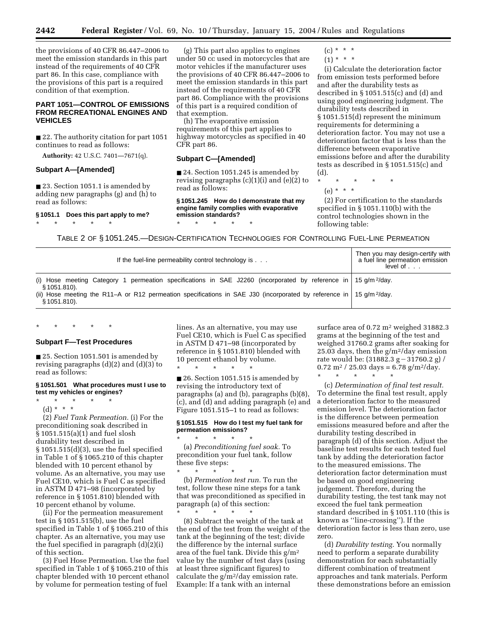**2442 Federal Register** / Vol. 69, No. 10 / Thursday, January 15, 2004 / Rules and Regulations

the provisions of 40 CFR 86.447–2006 to meet the emission standards in this part instead of the requirements of 40 CFR part 86. In this case, compliance with the provisions of this part is a required condition of that exemption.

# **PART 1051—CONTROL OF EMISSIONS FROM RECREATIONAL ENGINES AND VEHICLES**

■ 22. The authority citation for part 1051 continues to read as follows:

**Authority:** 42 U.S.C. 7401—7671(q).

# **Subpart A—[Amended]**

■ 23. Section 1051.1 is amended by adding new paragraphs (g) and (h) to read as follows:

**§ 1051.1 Does this part apply to me?** \* \* \* \* \*

(g) This part also applies to engines under 50 cc used in motorcycles that are motor vehicles if the manufacturer uses the provisions of 40 CFR 86.447–2006 to meet the emission standards in this part instead of the requirements of 40 CFR part 86. Compliance with the provisions of this part is a required condition of that exemption.

(h) The evaporative emission requirements of this part applies to highway motorcycles as specified in 40 CFR part 86.

#### **Subpart C—[Amended]**

■ 24. Section 1051.245 is amended by revising paragraphs (c)(1)(i) and (e)(2) to read as follows:

**§ 1051.245 How do I demonstrate that my engine family complies with evaporative emission standards?**  $*$  \* \*

 $(c) * * * *$ 

 $(1) * * * *$ 

(i) Calculate the deterioration factor from emission tests performed before and after the durability tests as described in § 1051.515(c) and (d) and using good engineering judgment. The durability tests described in § 1051.515(d) represent the minimum requirements for determining a deterioration factor. You may not use a deterioration factor that is less than the difference between evaporative emissions before and after the durability tests as described in § 1051.515(c) and (d).

\* \* \* \* \*

(e) \* \* \*

(2) For certification to the standards specified in § 1051.110(b) with the control technologies shown in the following table:

TABLE 2 OF § 1051.245.—DESIGN-CERTIFICATION TECHNOLOGIES FOR CONTROLLING FUEL-LINE PERMEATION

| If the fuel-line permeability control technology is                                                                                                                                                                                                                                             | Then you may design-certify with<br>a fuel line permeation emission<br>level of $\ldots$ . |
|-------------------------------------------------------------------------------------------------------------------------------------------------------------------------------------------------------------------------------------------------------------------------------------------------|--------------------------------------------------------------------------------------------|
| (i) Hose meeting Category 1 permeation specifications in SAE J2260 (incorporated by reference in 15 g/m <sup>2</sup> /day.<br>§ 1051.810).<br>(ii) Hose meeting the R11–A or R12 permeation specifications in SAE J30 (incorporated by reference in   15 g/m <sup>2</sup> /day.<br>§ 1051.810). |                                                                                            |

#### **Subpart F—Test Procedures**

\* \* \* \* \*

■ 25. Section 1051.501 is amended by revising paragraphs (d)(2) and (d)(3) to read as follows:

#### **§ 1051.501 What procedures must I use to test my vehicles or engines?**

\* \* \* \* \*

(d) \* \* \* (2) *Fuel Tank Permeation.* (i) For the preconditioning soak described in § 1051.515(a)(1) and fuel slosh durability test described in § 1051.515(d)(3), use the fuel specified in Table 1 of § 1065.210 of this chapter blended with 10 percent ethanol by volume. As an alternative, you may use Fuel CE10, which is Fuel C as specified in ASTM D 471–98 (incorporated by reference in § 1051.810) blended with 10 percent ethanol by volume.

(ii) For the permeation measurement test in § 1051.515(b), use the fuel specified in Table 1 of § 1065.210 of this chapter. As an alternative, you may use the fuel specified in paragraph (d)(2)(i) of this section.

(3) Fuel Hose Permeation. Use the fuel specified in Table 1 of § 1065.210 of this chapter blended with 10 percent ethanol by volume for permeation testing of fuel

lines. As an alternative, you may use Fuel CE10, which is Fuel C as specified in ASTM D 471–98 (incorporated by reference in § 1051.810) blended with 10 percent ethanol by volume.

\* \* \* \* \*

■ 26. Section 1051.515 is amended by revising the introductory text of paragraphs (a) and (b), paragraphs (b)(8), (c), and (d) and adding paragraph (e) and Figure 1051.515–1 to read as follows:

# **§ 1051.515 How do I test my fuel tank for permeation emissions?**

 $\star$   $\qquad$   $\star$   $\qquad$   $\star$ (a) *Preconditioning fuel soak.* To precondition your fuel tank, follow these five steps:

\* \* \* \* \* (b) *Permeation test run.* To run the test, follow these nine steps for a tank that was preconditioned as specified in paragraph (a) of this section:

\* \* \* \* \* (8) Subtract the weight of the tank at the end of the test from the weight of the tank at the beginning of the test; divide the difference by the internal surface area of the fuel tank. Divide this g/m2 value by the number of test days (using at least three significant figures) to calculate the  $g/m^2$ /day emission rate. Example: If a tank with an internal

surface area of 0.72 m2 weighed 31882.3 grams at the beginning of the test and weighed 31760.2 grams after soaking for 25.03 days, then the  $g/m^2$  day emission rate would be:  $(31882.3 g - 31760.2 g) /$  $0.72 \text{ m}^2$  / 25.03 days = 6.78 g/m<sup>2</sup>/day.

\* \* \* \* \*

(c) *Determination of final test result.* To determine the final test result, apply a deterioration factor to the measured emission level. The deterioration factor is the difference between permeation emissions measured before and after the durability testing described in paragraph (d) of this section. Adjust the baseline test results for each tested fuel tank by adding the deterioration factor to the measured emissions. The deterioration factor determination must be based on good engineering judgement. Therefore, during the durability testing, the test tank may not exceed the fuel tank permeation standard described in § 1051.110 (this is known as ''line-crossing''). If the deterioration factor is less than zero, use zero.

(d) *Durability testing.* You normally need to perform a separate durability demonstration for each substantially different combination of treatment approaches and tank materials. Perform these demonstrations before an emission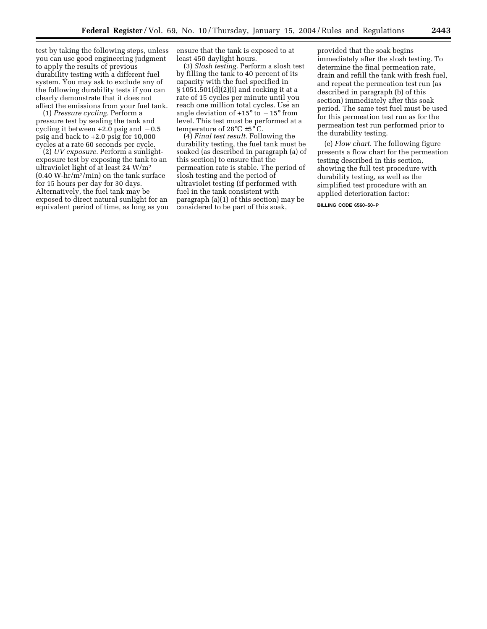test by taking the following steps, unless you can use good engineering judgment to apply the results of previous durability testing with a different fuel system. You may ask to exclude any of the following durability tests if you can clearly demonstrate that it does not affect the emissions from your fuel tank.

(1) *Pressure cycling.* Perform a pressure test by sealing the tank and cycling it between  $+2.0$  psig and  $-0.5$ psig and back to +2.0 psig for 10,000 cycles at a rate 60 seconds per cycle.

(2) *UV exposure.* Perform a sunlightexposure test by exposing the tank to an ultraviolet light of at least 24 W/m2  $(0.40 \text{ W-hr/m}^2/\text{min})$  on the tank surface for 15 hours per day for 30 days. Alternatively, the fuel tank may be exposed to direct natural sunlight for an equivalent period of time, as long as you ensure that the tank is exposed to at least 450 daylight hours.

(3) *Slosh testing.* Perform a slosh test by filling the tank to 40 percent of its capacity with the fuel specified in § 1051.501(d)(2)(i) and rocking it at a rate of 15 cycles per minute until you reach one million total cycles. Use an angle deviation of  $+15^{\circ}$  to  $-15^{\circ}$  from level. This test must be performed at a temperature of 28°C ±5° C.

(4) *Final test result.* Following the durability testing, the fuel tank must be soaked (as described in paragraph (a) of this section) to ensure that the permeation rate is stable. The period of slosh testing and the period of ultraviolet testing (if performed with fuel in the tank consistent with paragraph (a)(1) of this section) may be considered to be part of this soak,

provided that the soak begins immediately after the slosh testing. To determine the final permeation rate, drain and refill the tank with fresh fuel, and repeat the permeation test run (as described in paragraph (b) of this section) immediately after this soak period. The same test fuel must be used for this permeation test run as for the permeation test run performed prior to the durability testing.

(e) *Flow chart.* The following figure presents a flow chart for the permeation testing described in this section, showing the full test procedure with durability testing, as well as the simplified test procedure with an applied deterioration factor:

**BILLING CODE 6560–50–P**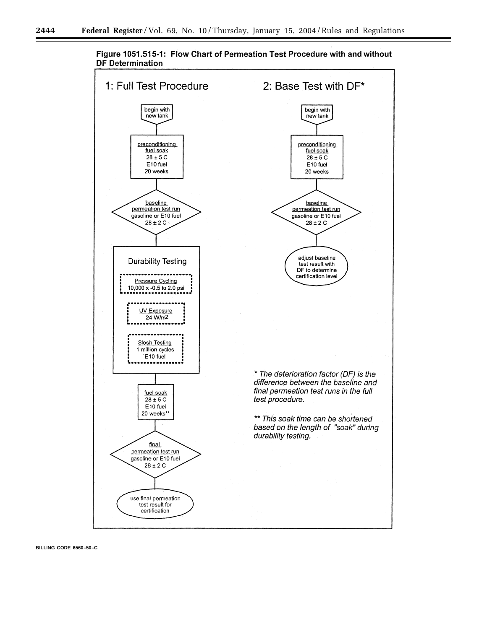

Figure 1051.515-1: Flow Chart of Permeation Test Procedure with and without **DF Determination**